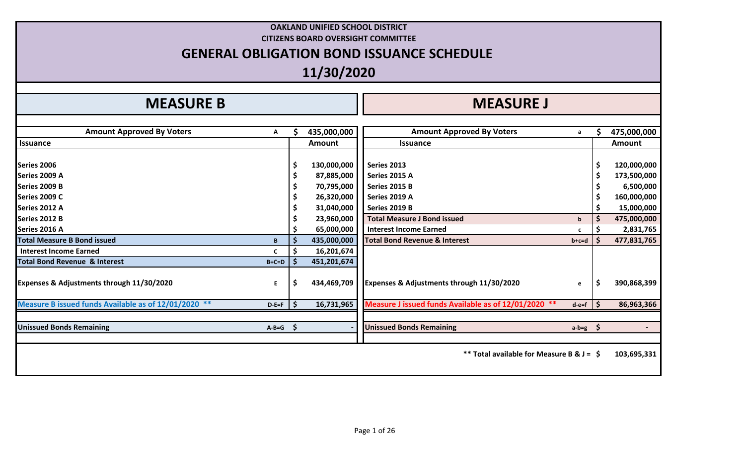|                                                      |         |                    | 11/30/2020  | <b>GENERAL OBLIGATION BOND ISSUANCE SCHEDULE</b>     |              |    |               |
|------------------------------------------------------|---------|--------------------|-------------|------------------------------------------------------|--------------|----|---------------|
|                                                      |         |                    |             |                                                      |              |    |               |
| <b>MEASURE B</b>                                     |         |                    |             | <b>MEASURE J</b>                                     |              |    |               |
| <b>Amount Approved By Voters</b>                     | А       |                    | 435,000,000 | <b>Amount Approved By Voters</b>                     | a            |    | 475,000,000   |
| <b>Issuance</b>                                      |         |                    | Amount      | <b>Issuance</b>                                      |              |    | <b>Amount</b> |
| Series 2006                                          |         | \$                 | 130,000,000 | Series 2013                                          |              | \$ | 120,000,000   |
| Series 2009 A                                        |         |                    | 87,885,000  | Series 2015 A                                        |              |    | 173,500,000   |
| Series 2009 B                                        |         |                    | 70,795,000  | Series 2015 B                                        |              |    | 6,500,000     |
| <b>Series 2009 C</b>                                 |         |                    | 26,320,000  | Series 2019 A                                        |              |    | 160,000,000   |
| Series 2012 A                                        |         |                    | 31,040,000  | Series 2019 B                                        |              |    | 15,000,000    |
| Series 2012 B                                        |         |                    | 23,960,000  | <b>Total Measure J Bond issued</b>                   | $\mathbf b$  |    | 475,000,000   |
| Series 2016 A                                        |         |                    | 65,000,000  | <b>Interest Income Earned</b>                        | $\mathbf{c}$ |    | 2,831,765     |
| <b>Total Measure B Bond issued</b>                   | B       | $\mathsf{\hat{S}}$ | 435,000,000 | <b>Total Bond Revenue &amp; Interest</b>             | $b+c=d$      |    | 477,831,765   |
| Interest Income Earned                               | C       | \$                 | 16,201,674  |                                                      |              |    |               |
| <b>Total Bond Revenue &amp; Interest</b>             | $B+C=D$ |                    | 451,201,674 |                                                      |              |    |               |
| Expenses & Adjustments through 11/30/2020            | E.      | \$                 | 434,469,709 | Expenses & Adjustments through 11/30/2020            | e            | \$ | 390,868,399   |
| Measure B issued funds Available as of 12/01/2020 ** | $D-E=F$ | l \$               | 16,731,965  | Measure J issued funds Available as of 12/01/2020 ** | $d-e=f$      | -S | 86,963,366    |
| <b>Unissued Bonds Remaining</b>                      | $A-B=G$ | \$                 |             | <b>Unissued Bonds Remaining</b>                      | $a-b=g$ \$   |    |               |
|                                                      |         |                    |             | ** Total available for Measure B & J = \$            |              |    | 103,695,331   |

**OAKLAND UNIFIED SCHOOL DISTRICT CITIZENS BOARD OVERSIGHT COMMITTEE**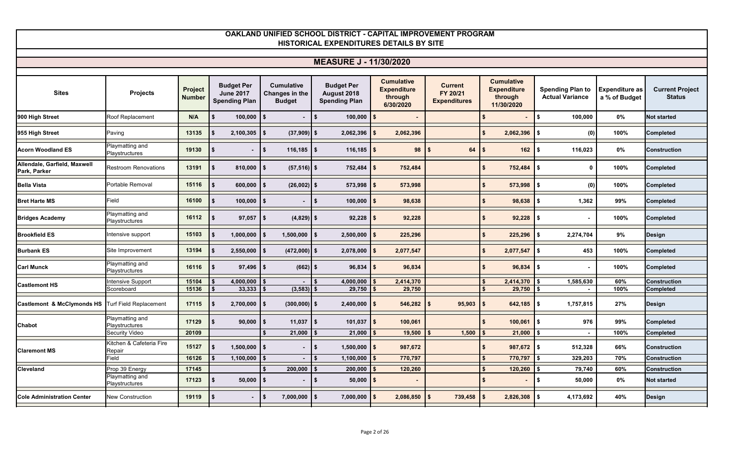| <b>MEASURE J - 11/30/2020</b>                     |                                    |                                 |                                                               |                                                      |                                                          |                                                                 |                                            |                                                                  |                                                   |                                        |                                         |  |  |
|---------------------------------------------------|------------------------------------|---------------------------------|---------------------------------------------------------------|------------------------------------------------------|----------------------------------------------------------|-----------------------------------------------------------------|--------------------------------------------|------------------------------------------------------------------|---------------------------------------------------|----------------------------------------|-----------------------------------------|--|--|
|                                                   |                                    |                                 |                                                               |                                                      |                                                          |                                                                 |                                            |                                                                  |                                                   |                                        |                                         |  |  |
| <b>Sites</b>                                      | Projects                           | <b>Project</b><br><b>Number</b> | <b>Budget Per</b><br><b>June 2017</b><br><b>Spending Plan</b> | <b>Cumulative</b><br>Changes in the<br><b>Budget</b> | <b>Budget Per</b><br>August 2018<br><b>Spending Plan</b> | <b>Cumulative</b><br><b>Expenditure</b><br>through<br>6/30/2020 | Current<br>FY 20/21<br><b>Expenditures</b> | <b>Cumulative</b><br><b>Expenditure</b><br>through<br>11/30/2020 | <b>Spending Plan to</b><br><b>Actual Variance</b> | <b>Expenditure as</b><br>a % of Budget | <b>Current Project</b><br><b>Status</b> |  |  |
| 900 High Street                                   | Roof Replacement                   | N/A                             | 100,000<br>-S                                                 |                                                      | $\sim$<br>$100,000$ \$                                   |                                                                 |                                            | \$                                                               | <b>\$</b><br>100,000                              | $0\%$                                  | <b>Not started</b>                      |  |  |
| 955 High Street                                   | Paving                             | 13135                           | 2,100,305                                                     | $(37,909)$ \$                                        | 2,062,396                                                | 2,062,396                                                       |                                            | $\mathbf{s}$<br>$2,062,396$ \$                                   | (0)                                               | 100%                                   | <b>Completed</b>                        |  |  |
| <b>Acorn Woodland ES</b>                          | Playmatting and<br>Playstructures  | 19130                           | -S<br>$\blacksquare$                                          | $\overline{\phantom{a}}$<br>$116, 185$ \$            | $116, 185$ \$                                            | 98                                                              | 64<br>l \$                                 | $162$ \$<br>\$                                                   | 116,023                                           | $0\%$                                  | <b>Construction</b>                     |  |  |
| Allendale, Garfield, Maxwell<br>Park, Parker      | <b>Restroom Renovations</b>        | 13191                           | 810,000<br>l \$                                               | $(57, 516)$ \$                                       | $752,484$ \$                                             | 752,484                                                         |                                            | \$<br>752,484                                                    | $\mathbf{0}$<br>IS.                               | 100%                                   | <b>Completed</b>                        |  |  |
| <b>Bella Vista</b>                                | Portable Removal                   | 15116                           | 600,000                                                       | $(26,002)$ \$                                        | $573,998$   \$                                           | 573,998                                                         |                                            | 573,998<br>$\mathbf{s}$                                          | (0)<br>-\$                                        | 100%                                   | <b>Completed</b>                        |  |  |
| <b>Bret Harte MS</b>                              | Field                              | 16100                           | 100,000<br>- 56                                               |                                                      | $100,000$ \$<br>\$                                       | 98,638                                                          |                                            | \$<br>98,638                                                     | 1,362                                             | 99%                                    | <b>Completed</b>                        |  |  |
| <b>Bridges Academy</b>                            | Playmatting and<br>Playstructures  | 16112                           | 97,057                                                        | $(4,829)$ \$                                         | $92,228$ \$                                              | 92,228                                                          |                                            | \$<br>$92,228$ \$                                                | $\blacksquare$                                    | 100%                                   | <b>Completed</b>                        |  |  |
| <b>Brookfield ES</b>                              | Intensive support                  | 15103                           | \$<br>1,000,000                                               | $1,500,000$ \$                                       | $2,500,000$ \$                                           | 225,296                                                         |                                            | \$<br>$225,296$ \$                                               | 2,274,704                                         | 9%                                     | <b>Design</b>                           |  |  |
| <b>Burbank ES</b>                                 | Site Improvement                   | 13194                           | 2,550,000                                                     | $(472,000)$ \$                                       | 2,078,000                                                | 2,077,547                                                       |                                            | 2,077,547<br>$\mathbf{s}$                                        | l \$<br>453                                       | 100%                                   | <b>Completed</b>                        |  |  |
| <b>Carl Munck</b>                                 | Playmatting and<br>Playstructures  | 16116                           | $97,496$ \$                                                   | $(662)$ \$                                           | $96,834$ \$                                              | 96,834                                                          |                                            | \$<br>$96,834$ \$                                                |                                                   | 100%                                   | <b>Completed</b>                        |  |  |
|                                                   | Intensive Support                  | 15104                           | 4,000,000                                                     |                                                      | 4,000,000                                                | 2,414,370                                                       |                                            | 2,414,370<br>$\mathbf{s}$                                        | 1,585,630                                         | 60%                                    | <b>Construction</b>                     |  |  |
| <b>Castlemont HS</b>                              | Scoreboard                         | 15136                           | 33,333                                                        | (3, 583)                                             | 29,750                                                   | 29,750                                                          |                                            | $\mathbf{\hat{f}}$<br>29,750                                     |                                                   | 100%                                   | <b>Completed</b>                        |  |  |
| Castlemont & McClymonds HS Turf Field Replacement |                                    | 17115                           | 2,700,000<br><b>S</b>                                         | $(300,000)$ \$                                       | $2,400,000$ \ \$                                         | 546,282                                                         | 95,903<br>l \$                             | $642,185$ \$<br>\$                                               | 1,757,815                                         | 27%                                    | Design                                  |  |  |
| <b>Chabot</b>                                     | Playmatting and<br>Playstructures  | 17129                           | 90,000<br><b>S</b>                                            | $11,037$ \$                                          | $101,037$ \$                                             | 100,061                                                         |                                            | 100,061<br>Ŝ.                                                    | 976<br>$\blacksquare$                             | 99%                                    | <b>Completed</b>                        |  |  |
|                                                   | <b>Security Video</b>              | 20109                           |                                                               | 21,000                                               | 21,000                                                   | 19,500                                                          | 1,500                                      | 21,000                                                           |                                                   | 100%                                   | <b>Completed</b>                        |  |  |
| <b>Claremont MS</b>                               | Kitchen & Cafeteria Fire<br>Repair | 15127                           | $1,500,000$ \$                                                |                                                      | $1,500,000$ \$                                           | 987,672                                                         |                                            | $987,672$ \$<br>\$                                               | 512,328                                           | 66%                                    | <b>Construction</b>                     |  |  |
|                                                   | Field                              | 16126                           | 1,100,000                                                     |                                                      | 1,100,000                                                | 770,797                                                         |                                            | 770,797<br>$\boldsymbol{\$}$                                     | 329,203                                           | 70%                                    | <b>Construction</b>                     |  |  |
| Cleveland                                         | Prop 39 Energy                     | 17145                           |                                                               | 200,000                                              | 200,000                                                  | 120,260                                                         |                                            | 120,260<br>$\mathbf{s}$                                          | 79,740                                            | 60%                                    | <b>Construction</b>                     |  |  |
|                                                   | Playmatting and<br>Playstructures  | 17123                           | $50,000$   \$<br>l \$                                         |                                                      | $50,000$ \$<br>l \$                                      |                                                                 |                                            | \$<br>$\blacksquare$                                             | $\blacksquare$<br>50,000                          | 0%                                     | <b>Not started</b>                      |  |  |
| <b>Cole Administration Center</b>                 | <b>New Construction</b>            | 19119                           |                                                               | $7,000,000$   \$                                     | $7,000,000$   \$                                         | 2,086,850                                                       | 739,458                                    | 2,826,308<br>Ŝ.                                                  | 4,173,692<br>\$                                   | 40%                                    | <b>Design</b>                           |  |  |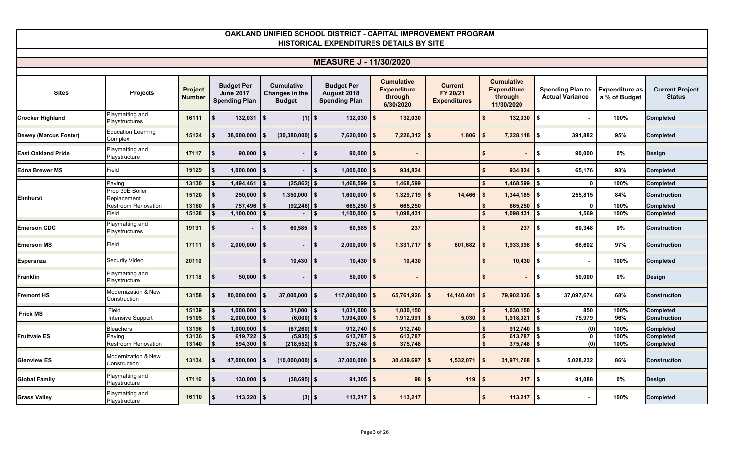#### **Sites Projects Project Number Budget Per June 2017 Spending Plan Cumulative Changes in the Budget Budget Per August 2018 Spending Plan Cumulative Expenditure through 6/30/2020 Current FY 20/21 Expenditures Cumulative Expenditure through 11/30/2020 Spending Plan to Actual Variance Expenditure as a % of Budget Current Project Status OAKLAND UNIFIED SCHOOL DISTRICT - CAPITAL IMPROVEMENT PROGRAM HISTORICAL EXPENDITURES DETAILS BY SITE MEASURE J - 11/30/2020 Crocker Highland** Playmatting and Playstructures Playstructures **16111 \$ 132,031 \$ (1) \$ 132,030 \$ 132,030 \$ 132,030 \$ - 100% Completed Dewey (Marcus Foster)** Education Learning Complex **15124 \$ 38,000,000 \$ (30,380,000) \$ 7,620,000 \$ 7,226,312 \$ 1,806 \$ 7,228,118 \$ 391,882 95% Completed East Oakland Pride** Playmatting and<br>
Playstructure Playstructure **17117 \$ 90,000 \$ - \$ 90,000 \$ - \$ - \$ 90,000 0% Design Edna Brewer MS** Field **15129 \$ 1,000,000 \$ - \$ 1,000,000 \$ 934,824 \$ 934,824 \$ 65,176 93% Completed** Paving **13130 \$ 1,494,461 \$ (25,862) \$ 1,468,599 \$ 1,468,599 \$ 1,468,599 \$ 0 100% Completed** Prop 39E Boiler Replacement **15120 \$ 250,000 \$ 1,350,000 \$ 1,600,000 \$ 1,329,719 \$ 14,466 \$ 1,344,185 \$ 255,815 84% Construction** Restroom Renovation **13160 \$ 757,496 \$ (92,246) \$ 665,250 \$ 665,250 \$ 665,250 \$ 0 100% Completed** Field **15128 \$ 1,100,000 \$ - \$ 1,100,000 \$ 1,098,431 \$ 1,098,431 \$ 1,569 100% Completed Emerson CDC** Playmatting and **Playmatting and** Playstructures **19131 \$ - \$ 60,585 \$ 60,585 \$ 237 \$ 237 \$ 60,348 0% Construction Emerson MS** Field **17111 \$ 2,000,000 \$ - \$ 2,000,000 \$ 1,331,717 \$ 601,682 \$ 1,933,398 \$ 66,602 97% Construction Esperanza** Security Video **20110 \$ 10,430 \$ 10,430 \$ 10,430 \$ 10,430 \$ - 100% Completed Franklin**<br> **Franklin**<br> **Playstructure** Playstructure **17118 \$ 50,000 \$ - \$ 50,000 \$ - \$ - \$ 50,000 0% Design Fremont HS** Modernization & New Construction **13158 \$ 80,000,000 \$ 37,000,000 \$ 117,000,000 \$ 65,761,926 \$ 14,140,401 \$ 79,902,326 \$ 37,097,674 68% Construction** Field **15139 \$ 1,000,000 \$ 31,000 \$ 1,031,000 \$ 1,030,150 \$ 1,030,150 \$ 850 100% Completed** Intensive Support **15105 \$ 2,000,000 \$ (6,000) \$ 1,994,000 \$ 1,912,991 \$ 5,030 \$ 1,918,021 \$ 75,979 96% Construction** Bleachers **13196 \$ 1,000,000 \$ (87,260) \$ 912,740 \$ 912,740 \$ 912,740 \$ (0) 100% Completed** Paving **13136 \$ 619,722 \$ (5,935) \$ 613,787 \$ 613,787 \$ 613,787 \$ 0 100% Completed** Restroom Renovation **13140 \$ 594,300 \$ (218,552) \$ 375,748 \$ 375,748 \$ 375,748 \$ (0) 100% Completed Glenview ES** Modernization & New Construction **13134 \$ 47,000,000 \$ (10,000,000) \$ 37,000,000 \$ 30,439,697 \$ 1,532,071 \$ 31,971,768 \$ 5,028,232 86% Construction Global Family** Playmatting and **Playstructure** Playstructure **17116 \$ 130,000 \$ (38,695) \$ 91,305 \$ 98 \$ 119 \$ 217 \$ 91,088 0% Design Grass Valley Playmatting and**<br>Playstructure Playstructure **16110 \$ 113,220 \$ (3) \$ 113,217 \$ 113,217 \$ 113,217 \$ - 100% Completed Elmhurst Frick MS Fruitvale ES**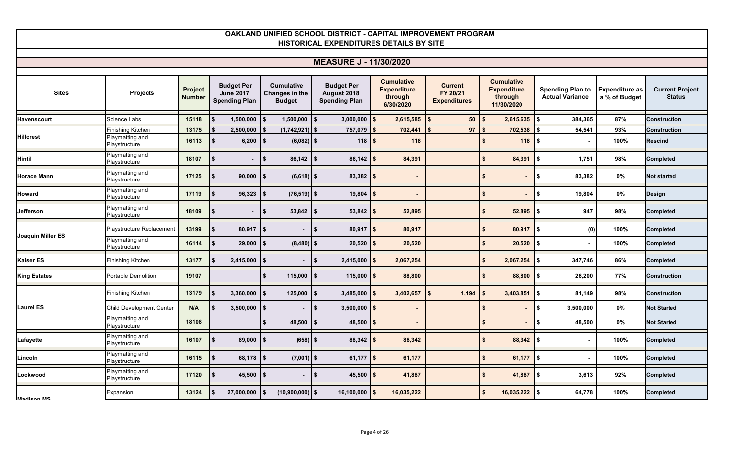#### **Sites Projects Project Number Budget Per June 2017 Spending Plan Cumulative Changes in the Budget Budget Per August 2018 Spending Plan Cumulative Expenditure through 6/30/2020 Current FY 20/21 Expenditures Cumulative Expenditure through 11/30/2020 Spending Plan to Actual Variance Expenditure as a % of Budget Current Project Status OAKLAND UNIFIED SCHOOL DISTRICT - CAPITAL IMPROVEMENT PROGRAM HISTORICAL EXPENDITURES DETAILS BY SITE MEASURE J - 11/30/2020 Havenscourt** Science Labs **15118 \$ 1,500,000 \$ 1,500,000 \$ 3,000,000 \$ 2,615,585 \$ 50 \$ 2,615,635 \$ 384,365 87% Construction** Finishing Kitchen **13175 \$ 2,500,000 \$ (1,742,921) \$ 757,079 \$ 702,441 \$ 97 \$ 702,538 \$ 54,541 93% Construction** Playmatting and Playstructure **16113 \$ 6,200 \$ (6,082) \$ 118 \$ 118 \$ 118 \$ - 100% Rescind Hintil** Playmatting and<br>Playstructure Playstructure 18107 \$ - | \$ 86,142 <mark>\$ 84,391 \$ 84,391 \$ 1,751 98% </mark>Completed<br>Playstructure **Horace Mann**<br> **Horace Mann**<br> **Example 20** Playstructure Playstructure **17125 \$ 90,000 \$ (6,618) \$ 83,382 \$ - \$ - \$ 83,382 0% Not started Howard** Playmatting and<br> **Playstructure** Playstructure **17119 \$ 96,323 \$ (76,519) \$ 19,804 \$ - \$ - \$ 19,804 0% Design Jefferson** Playmatting and<br>Playstructure Playstructure **18109 \$ - \$ 53,842 \$ 53,842 \$ 52,895 \$ 52,895 \$ 947 98% Completed** Playstructure Replacement **13199 \$ 80,917 \$ - \$ 80,917 \$ 80,917 \$ 80,917 \$ (0) 100% Completed** Playmatting and<br>Playstructure Playstructure **16114 \$ 29,000 \$ (8,480) \$ 20,520 \$ 20,520 \$ 20,520 \$ - 100% Completed Kaiser ES** Finishing Kitchen **13177 \$ 2,415,000 \$ - \$ 2,415,000 \$ 2,067,254 \$ 2,067,254 \$ 347,746 86% Completed King Estates** Portable Demolition **19107 \$ 115,000 \$ 115,000 \$ 88,800 \$ 88,800 \$ 26,200 77% Construction** Finishing Kitchen **13179 \$ 3,360,000 \$ 125,000 \$ 3,485,000 \$ 3,402,657 \$ 1,194 \$ 3,403,851 \$ 81,149 98% Construction** Child Development Center **N/A \$ 3,500,000 \$ - \$ 3,500,000 \$ - \$ - \$ 3,500,000 0% Not Started** Playmatting and Playstructure **18108 \$ 48,500 \$ 48,500 \$ - \$ - \$ 48,500 0% Not Started Lafayette Playmatting and**<br>Playstructure Playstructure **16107 \$ 89,000 \$ (658) \$ 88,342 \$ 88,342 \$ 88,342 \$ - 100% Completed Lincoln Contract Contract Playmatting and Playmatting and Playmatting and Playmatting and Playmatting and Playmatting and Playmatting and Playmatting and Playmatting and Playmatting and Playmatting and Playmatting and P** Playstructure **16115 \$ 68,178 \$ (7,001) \$ 61,177 \$ 61,177 \$ 61,177 \$ - 100% Completed Lockwood** Playmatting and<br> **Playstructure** Playstructure **17120 \$ 45,500 \$ - \$ 45,500 \$ 41,887 \$ 41,887 \$ 3,613 92% Completed** Expansion **13124 \$ 27,000,000 \$ (10,900,000) \$ 16,100,000 \$ 16,035,222 \$ 16,035,222 \$ 64,778 100% Completed Hillcrest Joaquin Miller ES Laurel ES**

**Madison MS**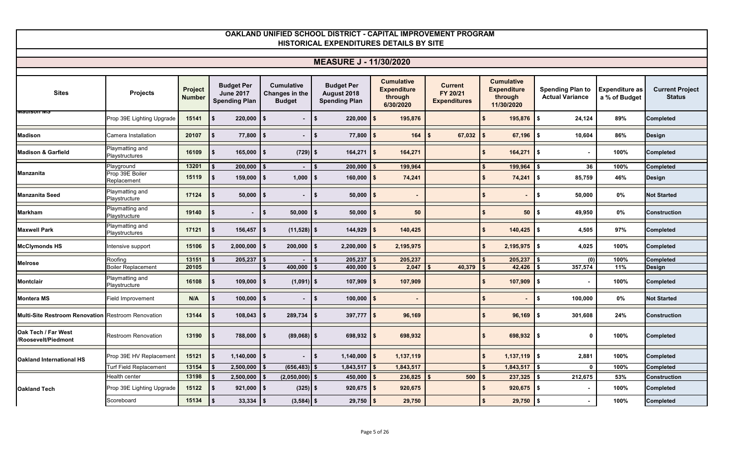#### **Sites Projects Project Number Budget Per June 2017 Spending Plan Cumulative Changes in the Budget Budget Per August 2018 Spending Plan Cumulative Expenditure through 6/30/2020 Current FY 20/21 Expenditures Cumulative Expenditure through 11/30/2020 Spending Plan to Actual Variance Expenditure as a % of Budget Current Project Status OAKLAND UNIFIED SCHOOL DISTRICT - CAPITAL IMPROVEMENT PROGRAM HISTORICAL EXPENDITURES DETAILS BY SITE MEASURE J - 11/30/2020** Prop 39E Lighting Upgrade **15141 \$ 220,000 \$ - \$ 220,000 \$ 195,876 \$ 195,876 \$ 24,124 89% Completed Madison** Camera Installation **20107 \$ 77,800 \$ - \$ 77,800 \$ 164 \$ 67,032 \$ 67,196 \$ 10,604 86% Design Madison & Garfield** Playmatting and **Madison & Garfield** Playstructures **16109 \$ 165,000 \$ (729) \$ 164,271 \$ 164,271 \$ 164,271 \$ - 100% Completed** Playground **13201 \$ 200,000 \$ - \$ 200,000 \$ 199,964 \$ 199,964 \$ 36 100% Completed** Prop 39E Boiler Replacement **15119 \$ 159,000 \$ 1,000 \$ 160,000 \$ 74,241 \$ 74,241 \$ 85,759 46% Design Manzanita Seed** Playmatting and **Manzanita Seed** Playstructure **17124 \$ 50,000 \$ - \$ 50,000 \$ - \$ - \$ 50,000 0% Not Started Markham** Playmatting and<br>Playstructure Playstructure **19140 \$ - \$ 50,000 \$ 50,000 \$ 50 \$ 50 \$ 49,950 0% Construction Maxwell Park** Playmatting and<br>Playstructures Playstructures **17121 \$ 156,457 \$ (11,528) \$ 144,929 \$ 140,425 \$ 140,425 \$ 4,505 97% Completed McClymonds HS** Intensive support **15106 \$ 2,000,000 \$ 200,000 \$ 2,200,000 \$ 2,195,975 \$ 2,195,975 \$ 4,025 100% Completed** Roofing **13151 \$ 205,237 \$ - \$ 205,237 \$ 205,237 \$ 205,237 \$ (0) 100% Completed** Boiler Replacement **20105 \$ 400,000 \$ 400,000 \$ 2,047 \$ 40,379 \$ 42,426 \$ 357,574 11% Design Montclair Montclair Playmatting and <b>Playstructure** Playstructure **16108 \$ 109,000 \$ (1,091) \$ 107,909 \$ 107,909 \$ 107,909 \$ - 100% Completed Montera MS** Field Improvement **N/A \$ 100,000 \$ - \$ 100,000 \$ - \$ - \$ 100,000 0% Not Started Multi-Site Restroom Renovation** Restroom Renovation **13144 \$ 108,043 \$ 289,734 \$ 397,777 \$ 96,169 \$ 96,169 \$ 301,608 24% Construction Oak Tech / Far West /Roosevelt/Piedmont** Restroom Renovation **13190 \$ 788,000 \$ (89,068) \$ 698,932 \$ 698,932 \$ 698,932 \$ 0 100% Completed** Prop 39E HV Replacement **15121 \$ 1,140,000 \$ - \$ 1,140,000 \$ 1,137,119 \$ 1,137,119 \$ 2,881 100% Completed** Turf Field Replacement **13154 \$ 2,500,000 \$ (656,483) \$ 1,843,517 \$ 1,843,517 \$ 1,843,517 \$ 0 100% Completed** Health center **13198 \$ 2,500,000 \$ (2,050,000) \$ 450,000 \$ 236,825 \$ 500 \$ 237,325 \$ 212,675 53% Construction** Prop 39E Lighting Upgrade **15122 \$ 921,000 \$ (325) \$ 920,675 \$ 920,675 \$ 920,675 \$ - 100% Completed** Scoreboard **15134 \$ 33,334 \$ (3,584) \$ 29,750 \$ 29,750 \$ 29,750 \$ - 100% Completed Madison MS Manzanita Melrose Oakland International HS Oakland Tech**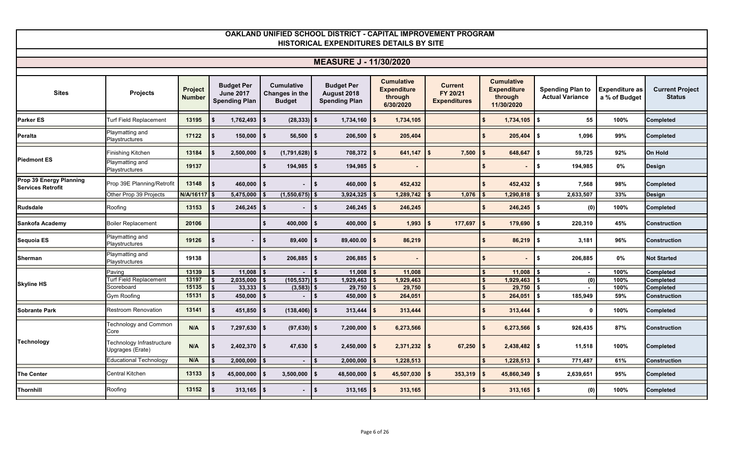| OAKLAND UNIFIED SCHOOL DISTRICT - CAPITAL IMPROVEMENT PROGRAM<br>HISTORICAL EXPENDITURES DETAILS BY SITE |                                               |                          |                                                               |                                                      |                                                          |                                                                 |                                                   |                                                                  |                                                   |                                        |                                         |  |  |
|----------------------------------------------------------------------------------------------------------|-----------------------------------------------|--------------------------|---------------------------------------------------------------|------------------------------------------------------|----------------------------------------------------------|-----------------------------------------------------------------|---------------------------------------------------|------------------------------------------------------------------|---------------------------------------------------|----------------------------------------|-----------------------------------------|--|--|
|                                                                                                          |                                               |                          |                                                               |                                                      |                                                          |                                                                 |                                                   |                                                                  |                                                   |                                        |                                         |  |  |
|                                                                                                          |                                               |                          |                                                               |                                                      | <b>MEASURE J - 11/30/2020</b>                            |                                                                 |                                                   |                                                                  |                                                   |                                        |                                         |  |  |
| <b>Sites</b>                                                                                             | <b>Projects</b>                               | Project<br><b>Number</b> | <b>Budget Per</b><br><b>June 2017</b><br><b>Spending Plan</b> | <b>Cumulative</b><br>Changes in the<br><b>Budget</b> | <b>Budget Per</b><br>August 2018<br><b>Spending Plan</b> | <b>Cumulative</b><br><b>Expenditure</b><br>through<br>6/30/2020 | <b>Current</b><br>FY 20/21<br><b>Expenditures</b> | <b>Cumulative</b><br><b>Expenditure</b><br>through<br>11/30/2020 | <b>Spending Plan to</b><br><b>Actual Variance</b> | <b>Expenditure as</b><br>a % of Budget | <b>Current Project</b><br><b>Status</b> |  |  |
| <b>Parker ES</b>                                                                                         | Turf Field Replacement                        | 13195                    | 1,762,493                                                     | $(28, 333)$ \$                                       | $1,734,160$ \$                                           | 1,734,105                                                       |                                                   | 1,734,105<br>\$.                                                 | 55<br>\$                                          | 100%                                   | <b>Completed</b>                        |  |  |
| Peralta                                                                                                  | Playmatting and<br>Playstructures             | 17122                    | $150,000$ \$                                                  | $56,500$   \$                                        | 206,500                                                  | 205,404                                                         |                                                   | 205,404                                                          | 1,096<br>$\sqrt{2}$                               | 99%                                    | <b>Completed</b>                        |  |  |
| <b>Piedmont ES</b>                                                                                       | Finishing Kitchen                             | 13184                    | 2,500,000                                                     | $(1,791,628)$ \$                                     | 708,372                                                  | 641,147                                                         | 7,500                                             | 648,647<br>\$                                                    | l s<br>59,725                                     | 92%                                    | <b>On Hold</b>                          |  |  |
|                                                                                                          | Playmatting and<br>Playstructures             | 19137                    |                                                               | $194,985$ \$                                         | $194,985$ \$                                             |                                                                 |                                                   |                                                                  | \$<br>194,985                                     | $0\%$                                  | <b>Design</b>                           |  |  |
| Prop 39 Energy Planning<br><b>Services Retrofit</b>                                                      | Prop 39E Planning/Retrofit                    | 13148                    | 460,000 $\frac{1}{3}$                                         |                                                      | $460,000$ \$<br>l \$                                     | 452,432                                                         |                                                   | $452,432$ \$<br>$\mathbf{s}$                                     | 7,568                                             | 98%                                    | <b>Completed</b>                        |  |  |
|                                                                                                          | Other Prop 39 Projects                        | N/A/16117                | 5,475,000                                                     | $(1,550,675)$ \$                                     | 3,924,325                                                | 1,289,742                                                       | 1,076                                             | 1,290,818                                                        | 2,633,507                                         | 33%                                    | <b>Design</b>                           |  |  |
| <b>Rudsdale</b>                                                                                          | Roofing                                       | 13153                    | -\$                                                           |                                                      | l\$<br>$246,245$ \$                                      | 246,245                                                         |                                                   | $246,245$ \$                                                     | (0)                                               | 100%                                   | <b>Completed</b>                        |  |  |
| Sankofa Academy                                                                                          | <b>Boiler Replacement</b>                     | 20106                    |                                                               | 400,000<br>\$                                        | 400,000<br>$\mathbf{s}$                                  | 1,993                                                           | 177,697                                           | 179,690<br>$\mathbf{s}$                                          | 220,310<br>\$                                     | 45%                                    | <b>Construction</b>                     |  |  |
| Sequoia ES                                                                                               | Playmatting and<br>Playstructures             | 19126                    |                                                               | $\sqrt{ }$<br>$89,400$   \$                          | $89,400.00$ \$                                           | 86,219                                                          |                                                   | $86,219$ \$<br>\$                                                | 3,181                                             | 96%                                    | <b>Construction</b>                     |  |  |
| Sherman                                                                                                  | Playmatting and<br>Playstructures             | 19138                    |                                                               | $206,885$ \$<br>\$                                   | $206,885$ \$                                             |                                                                 |                                                   | \$.                                                              | 206,885<br>\$                                     | 0%                                     | <b>Not Started</b>                      |  |  |
|                                                                                                          | Paving                                        | 13139                    | 11,008                                                        |                                                      | 11,008                                                   | 11,008                                                          |                                                   | 11,008                                                           | $\blacksquare$                                    | 100%                                   | Completed                               |  |  |
|                                                                                                          | Turf Field Replacement                        | 13197                    | 2,035,000<br>\$                                               | $(105, 537)$ \$                                      | 1,929,463                                                | 1,929,463                                                       |                                                   | 1,929,463                                                        | (0)                                               | 100%                                   | <b>Completed</b>                        |  |  |
| <b>Skyline HS</b>                                                                                        | Scoreboard                                    | 15135                    | 33,333                                                        | $(3,583)$ \$                                         | 29,750                                                   | 29,750                                                          |                                                   | 29,750<br>$\mathbf{s}$                                           |                                                   | 100%                                   | Completed                               |  |  |
|                                                                                                          | Gym Roofing                                   | 15131                    | 450,000<br>\$                                                 |                                                      | 450,000<br>-\$                                           | 264,051                                                         |                                                   | 264,051<br>$\mathbf{s}$                                          | 185,949<br>\$                                     | 59%                                    | <b>Construction</b>                     |  |  |
| <b>Sobrante Park</b>                                                                                     | Restroom Renovation                           | 13141                    | 451,850                                                       | $(138, 406)$ \$                                      | 313,444                                                  | 313,444                                                         |                                                   | 313,444<br>\$.                                                   | $\mathbf 0$<br>Ŝ.                                 | 100%                                   | <b>Completed</b>                        |  |  |
|                                                                                                          | <b>Technology and Common</b><br>Core          | N/A                      | $7,297,630$ \\$<br>-\$                                        | $(97, 630)$ \$                                       | 7,200,000                                                | 6,273,566<br>IS.                                                |                                                   | $\mathbf{\hat{z}}$<br>$6,273,566$ \$                             | 926,435                                           | 87%                                    | <b>Construction</b>                     |  |  |
| <b>Technology</b>                                                                                        | Technology Infrastructure<br>Upgrages (Erate) | N/A                      | $2,402,370$ \$<br>\$                                          | $47,630$ \ \$                                        | $2,450,000$ \$                                           | $2,371,232$ \$                                                  | 67,250                                            | $2,438,482$ \$<br>-\$                                            | 11,518                                            | 100%                                   | <b>Completed</b>                        |  |  |
|                                                                                                          | Educational Technology                        | N/A                      | 2,000,000                                                     |                                                      | 2,000,000                                                | 1,228,513                                                       |                                                   | 1,228,513                                                        | 771,487                                           | 61%                                    | <b>Construction</b>                     |  |  |
| <b>The Center</b>                                                                                        | Central Kitchen                               | 13133                    | $\mathbf{s}$<br>45,000,000                                    | $3,500,000$ \$                                       | 48,500,000                                               | 45,507,030                                                      | 353,319                                           | $45,860,349$ \$<br>$\sim$                                        | 2,639,651                                         | 95%                                    | <b>Completed</b>                        |  |  |
| Thornhill                                                                                                | Roofing                                       | 13152                    | $313,165$ \$                                                  |                                                      | l \$<br>$313,165$   \$                                   | 313,165                                                         |                                                   | $313,165$ \$                                                     | (0)                                               | 100%                                   | <b>Completed</b>                        |  |  |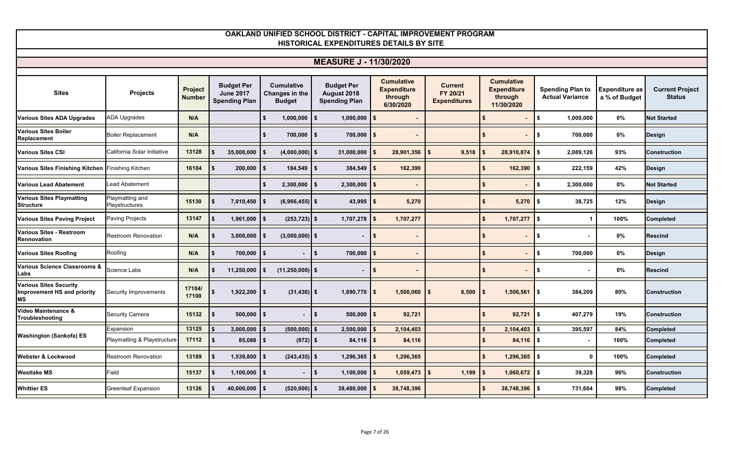| <b>MEASURE J - 11/30/2020</b>                                             |                                   |                          |                                           |                                 |                                     |                                            |                                 |                                             |                                                   |                                        |                                         |  |
|---------------------------------------------------------------------------|-----------------------------------|--------------------------|-------------------------------------------|---------------------------------|-------------------------------------|--------------------------------------------|---------------------------------|---------------------------------------------|---------------------------------------------------|----------------------------------------|-----------------------------------------|--|
|                                                                           |                                   |                          | <b>Budget Per</b>                         | <b>Cumulative</b>               | <b>Budget Per</b>                   | <b>Cumulative</b>                          | <b>Current</b>                  | <b>Cumulative</b>                           |                                                   |                                        |                                         |  |
| <b>Sites</b>                                                              | <b>Projects</b>                   | Project<br><b>Number</b> | <b>June 2017</b><br><b>Spending Plan</b>  | Changes in the<br><b>Budget</b> | August 2018<br><b>Spending Plan</b> | <b>Expenditure</b><br>through<br>6/30/2020 | FY 20/21<br><b>Expenditures</b> | <b>Expenditure</b><br>through<br>11/30/2020 | <b>Spending Plan to</b><br><b>Actual Variance</b> | <b>Expenditure as</b><br>a % of Budget | <b>Current Project</b><br><b>Status</b> |  |
| <b>Various Sites ADA Upgrades</b>                                         | <b>ADA Upgrades</b>               | N/A                      |                                           | $1,000,000$   \$<br>- \$        | $1,000,000$   \$                    |                                            |                                 | \$                                          | \$<br>1,000,000                                   | $0\%$                                  | <b>Not Started</b>                      |  |
| <b>Various Sites Boiler</b><br>Replacement                                | <b>Boiler Replacement</b>         | N/A                      |                                           | $700,000$ \$                    | $700,000$ \$                        |                                            |                                 | Ŝ.                                          | l \$<br>700,000                                   | 0%                                     | <b>Design</b>                           |  |
| <b>Various Sites CSI</b>                                                  | California Solar Initiative       | 13128                    | 35,000,000                                | $(4,000,000)$ \$                | $31,000,000$ \$                     | 28,901,356                                 | 9,518<br><b>S</b>               | 28,910,874                                  | \$<br>2,089,126                                   | 93%                                    | <b>Construction</b>                     |  |
| Various Sites Finishing Kitchen Finishing Kitchen                         |                                   | 16104                    | 200,000                                   | $184,549$ \$                    | $384,549$ \$                        | 162,390                                    |                                 | $162,390$ \$<br>\$                          | 222,159                                           | 42%                                    | <b>Design</b>                           |  |
| <b>Various Lead Abatement</b>                                             | Lead Abatement                    |                          |                                           | 2,300,000                       | 2,300,000                           |                                            |                                 | \$                                          | \$<br>2,300,000                                   | 0%                                     | <b>Not Started</b>                      |  |
| <b>Various Sites Playmatting</b><br><b>Structure</b>                      | Playmatting and<br>Playstructures | 15130                    | 7,010,450                                 | $(6,966,455)$ \$                | 43,995   \$                         | 5,270                                      |                                 | $5,270$ \$<br>\$                            | 38,725                                            | 12%                                    | <b>Design</b>                           |  |
| <b>Various Sites Paving Project</b>                                       | <b>Paving Projects</b>            | 13147                    | 1,961,000<br>$\mathbf{s}$                 | $(253, 723)$ \$                 | $1,707,278$ \$                      | 1,707,277                                  |                                 | $\mathbf{s}$<br>$1,707,277$ \$              |                                                   | 100%                                   | <b>Completed</b>                        |  |
| <b>Various Sites - Restroom</b><br>Rennovation                            | Restroom Renovation               | N/A                      | 3,000,000<br>I \$                         | $(3,000,000)$ \$                | $\blacksquare$                      | l \$                                       |                                 | \$                                          | \$                                                | $0\%$                                  | <b>Rescind</b>                          |  |
| <b>Various Sites Roofing</b>                                              | Roofing                           | N/A                      | 700,000                                   |                                 | 700,000                             |                                            |                                 | \$                                          | \$<br>700,000                                     | $0\%$                                  | <b>Design</b>                           |  |
| <b>Various Science Classrooms &amp;</b><br>Labs                           | Science Labs                      | N/A                      | 11,250,000<br>- 56                        | $(11, 250, 000)$ \$             | $\overline{\phantom{a}}$            |                                            |                                 | Ŝ.                                          | \$                                                | 0%                                     | <b>Rescind</b>                          |  |
| <b>Various Sites Security</b><br>Improvement HS and priority<br><b>MS</b> | Security Improvements             | 17104/<br>17100          | $1,922,200$ \$                            | $(31, 430)$ \$                  | $1,890,770$ \$                      | $1,500,060$ \$                             | 6,500                           | $1,506,561$ \$<br>\$                        | 384,209                                           | 80%                                    | <b>Construction</b>                     |  |
| Video Maintenance &<br>Troubleshooting                                    | Security Camera                   | 15132                    | $500,000$ \$                              |                                 | $500,000$ \$<br>I \$                | 92,721                                     |                                 | $92,721$ \$<br>\$                           | 407,279                                           | 19%                                    | <b>Construction</b>                     |  |
|                                                                           | Expansion                         | 13125                    | 3,000,000                                 | $(500,000)$ \$                  | 2,500,000                           | 2,104,403                                  |                                 | 2,104,403<br>$\mathbf{s}$                   | 395,597                                           | 84%                                    | <b>Completed</b>                        |  |
| Washington (Sankofa) ES                                                   | Playmatting & Playstructure       | 17112                    | $85,088$ \ \$<br>$\overline{\phantom{a}}$ | $(972)$ \$                      | $84,116$ \$                         | 84,116                                     |                                 | \$<br>$84,116$ \$                           |                                                   | 100%                                   | <b>Completed</b>                        |  |
| <b>Webster &amp; Lockwood</b>                                             | <b>Restroom Renovation</b>        | 13189                    | 1,539,800                                 | $(243, 435)$ \$                 | 1,296,365                           | 1,296,365                                  |                                 | $1,296,365$ \$<br>$\mathbf{s}$              | $\Omega$                                          | 100%                                   | <b>Completed</b>                        |  |
| <b>Westlake MS</b>                                                        | Field                             | 15137                    | 1,100,000<br>l \$                         |                                 | l \$<br>$1,100,000$ \$              | $1,059,473$ \$                             | 1,199                           | $1,060,672$ \$<br>\$                        | 39,328                                            | 96%                                    | <b>Construction</b>                     |  |
| <b>Whittier ES</b>                                                        | <b>Greenleaf Expansion</b>        | 13126                    | 40,000,000                                | $(520,000)$ \$                  | 39,480,000                          | 38,748,396                                 |                                 | $38,748,396$ \$<br>\$                       | 731,604                                           | 98%                                    | <b>Completed</b>                        |  |
|                                                                           |                                   |                          |                                           |                                 |                                     |                                            |                                 |                                             |                                                   |                                        |                                         |  |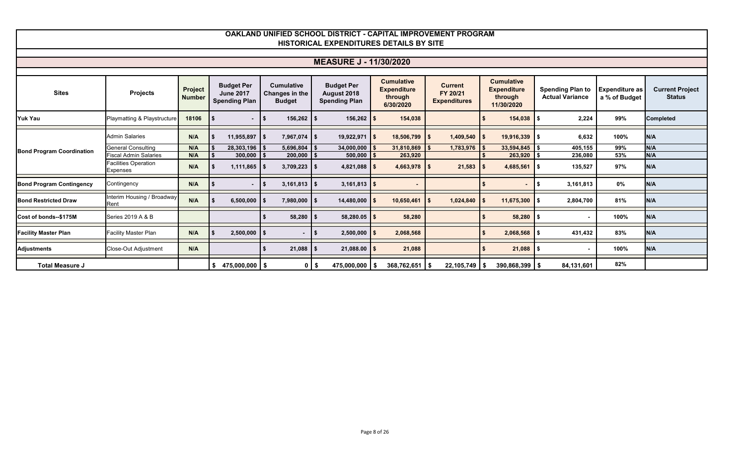#### **Sites Projects Projects Number Budget Per June 2017 Spending Plan Cumulative Changes in the Budget Budget Per August 2018 Spending Plan Cumulative Expenditure through 6/30/2020 Current FY 20/21 Expenditures Cumulative Expenditure through 11/30/2020 Spending Plan to Actual Variance Expenditure as a % of Budget Current Project Status OAKLAND UNIFIED SCHOOL DISTRICT - CAPITAL IMPROVEMENT PROGRAM HISTORICAL EXPENDITURES DETAILS BY SITE MEASURE J - 11/30/2020 Yuk Yau** Playmatting & Playstructure **18106 \$ - \$ 156,262 \$ 156,262 \$ 154,038 \$ 154,038 \$ 2,224 99% Completed** Admin Salaries **N/A \$ 11,955,897 \$ 7,967,074 \$ 19,922,971 \$ 18,506,799 \$ 1,409,540 \$ 19,916,339 \$ 6,632 100% N/A** General Consulting **N/A \$ 28,303,196 \$ 5,696,804 \$ 34,000,000 \$ 31,810,869 \$ 1,783,976 \$ 33,594,845 \$ 405,155 99% N/A** Fiscal Admin Salaries **N/A \$ 300,000 \$ 200,000 \$ 500,000 \$ 263,920 \$ 263,920 \$ 236,080 53% N/A** Facilities Operation Expenses **N/A \$ 1,111,865 \$ 3,709,223 \$ 4,821,088 \$ 4,663,978 \$ 21,583 \$ 4,685,561 \$ 135,527 97% N/A Bond Program Contingency** Contingency **N/A \$ - \$ 3,161,813 \$ 3,161,813 \$ - \$ - \$ 3,161,813 0% N/A Bond Restricted Draw** Interim Housing / Broadway Rent **N/A \$ 6,500,000 \$ 7,980,000 \$ 14,480,000 \$ 10,650,461 \$ 1,024,840 \$ 11,675,300 \$ 2,804,700 81% N/A Cost of bonds--\$175M** Series 2019 A & B **\$ 58,280 \$ 58,280.05 \$ 58,280 \$ 58,280 \$ - 100% N/A Facility Master Plan** Facility Master Plan **N/A \$ 2,500,000 \$ - \$ 2,500,000 \$ 2,068,568 \$ 2,068,568 \$ 431,432 83% N/A Adjustments** Close-Out Adjustment **N/A \$ 21,088 \$ 21,088.00 \$ 21,088 \$ 21,088 \$ - 100% N/A Total Measure J \$ 475,000,000 \$ 0 \$ 475,000,000 \$ 368,762,651 \$ 22,105,749 \$ 390,868,399 \$ 84,131,601 82% Bond Program Coordination**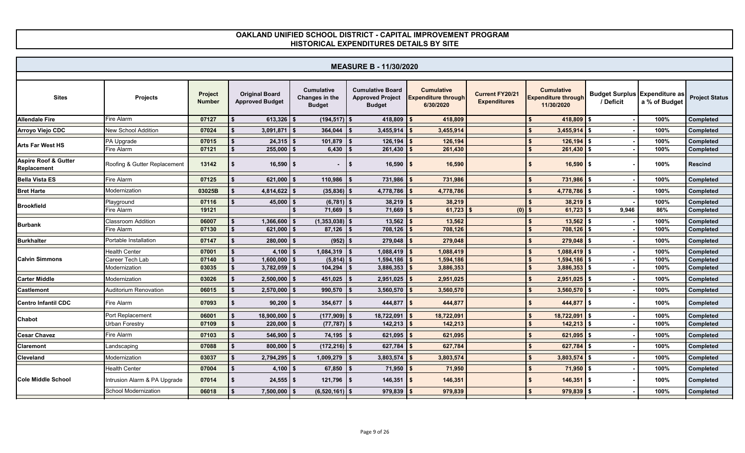|                                                | <b>MEASURE B - 11/30/2020</b>                     |                          |                                                 |                                                      |                                                                     |                                                              |                                               |                                                               |                                                   |                      |                                     |  |  |  |
|------------------------------------------------|---------------------------------------------------|--------------------------|-------------------------------------------------|------------------------------------------------------|---------------------------------------------------------------------|--------------------------------------------------------------|-----------------------------------------------|---------------------------------------------------------------|---------------------------------------------------|----------------------|-------------------------------------|--|--|--|
| <b>Sites</b>                                   | <b>Projects</b>                                   | Project<br><b>Number</b> | <b>Original Board</b><br><b>Approved Budget</b> | <b>Cumulative</b><br>Changes in the<br><b>Budget</b> | <b>Cumulative Board</b><br><b>Approved Project</b><br><b>Budget</b> | <b>Cumulative</b><br><b>Expenditure through</b><br>6/30/2020 | <b>Current FY20/21</b><br><b>Expenditures</b> | <b>Cumulative</b><br><b>Expenditure through</b><br>11/30/2020 | <b>Budget Surplus Expenditure as</b><br>/ Deficit | a % of Budget        | <b>Project Status</b>               |  |  |  |
| <b>Allendale Fire</b>                          | Fire Alarm                                        | 07127                    | $613,326$ \$                                    | $(194, 517)$ \$                                      | $418,809$ \$                                                        | 418,809                                                      |                                               | 418,809 \$                                                    |                                                   | 100%                 | Completed                           |  |  |  |
| Arroyo Viejo CDC                               | New School Addition                               | 07024                    | 3,091,871                                       | 364,044<br>\$                                        | 3,455,914                                                           | 3,455,914                                                    |                                               | 3,455,914                                                     |                                                   | 100%                 | <b>Completed</b>                    |  |  |  |
| <b>Arts Far West HS</b>                        | PA Upgrade<br>Fire Alarm                          | 07015<br>07121           | 24,315<br>255,000                               | 101,879<br>\$<br>6,430<br>$\mathbf{s}$               | 126,194<br>261,430                                                  | 126,194<br>261,430                                           |                                               | 126,194<br>261,430                                            |                                                   | 100%<br>100%         | Completed<br>Completed              |  |  |  |
| <b>Aspire Roof &amp; Gutter</b><br>Replacement | Roofing & Gutter Replacement                      | 13142                    | $16,590$ \$                                     |                                                      | $16,590$ \$<br>\$                                                   | 16,590                                                       |                                               | 16,590                                                        | IS.                                               | 100%                 | <b>Rescind</b>                      |  |  |  |
| <b>Bella Vista ES</b>                          | Fire Alarm                                        | 07125                    | $621,000$ \$                                    | 110,986                                              | 731,986<br>\$                                                       | 731,986                                                      |                                               | 731,986 \$                                                    |                                                   | 100%                 | Completed                           |  |  |  |
| <b>Bret Harte</b>                              | Modernization                                     | 03025B                   | $4,814,622$ \$                                  | (35, 836)                                            | 4,778,786<br>-S                                                     | 4,778,786                                                    |                                               | 4,778,786                                                     | l \$                                              | 100%                 | Completed                           |  |  |  |
| <b>Brookfield</b>                              | Playground                                        | 07116                    | 45,000                                          | $(6, 781)$ \$<br>$\mathbf{s}$                        | 38,219                                                              | 38,219                                                       |                                               | 38,219                                                        | l \$                                              | 100%                 | Completed                           |  |  |  |
|                                                | Fire Alarm                                        | 19121                    |                                                 | 71,669                                               | 71,669                                                              | 61,723                                                       | (0)                                           | 61,723                                                        | 9,946<br>l \$                                     | 86%                  | <b>Completed</b>                    |  |  |  |
| <b>Burbank</b>                                 | Classroom Addition<br>Fire Alarm                  | 06007<br>07130           | 1,366,600<br>621,000                            | (1, 353, 038)<br>\$<br>87,126<br>\$                  | 13,562<br>708,126                                                   | 13,562<br>708,126                                            |                                               | 13,562<br>708,126                                             |                                                   | 100%<br>100%         | Completed<br>Completed              |  |  |  |
| <b>Burkhalter</b>                              | Portable Installation                             | 07147                    | 280,000                                         | (952)<br>\$                                          | 279,048                                                             | 279,048                                                      |                                               | 279,048                                                       | l \$                                              | 100%                 | Completed                           |  |  |  |
| <b>Calvin Simmons</b>                          | Health Center<br>Career Tech Lab<br>Modernization | 07001<br>07140<br>03035  | 4,100<br>1,600,000<br>$3,782,059$ \$            | 1,084,319<br>\$<br>(5,814)<br>104,294                | 1,088,419<br>1,594,186<br>3,886,353<br>\$                           | 1,088,419<br>1,594,186<br>3,886,353                          |                                               | 1,088,419<br>1,594,186<br>$3,886,353$ \$                      |                                                   | 100%<br>100%<br>100% | Completed<br>Completed<br>Completed |  |  |  |
| <b>Carter Middle</b>                           | Modernization                                     | 03026                    | 2,500,000                                       | 451,025<br>\$                                        | 2,951,025<br>\$                                                     | 2,951,025                                                    |                                               | 2,951,025                                                     |                                                   | 100%                 | Completed                           |  |  |  |
| <b>Castlemont</b>                              | Auditorium Renovation                             | 06015                    | 2,570,000                                       | 990,570<br>\$                                        | 3,560,570<br>\$                                                     | 3,560,570                                                    |                                               | 3,560,570                                                     | <b>S</b>                                          | 100%                 | <b>Completed</b>                    |  |  |  |
| <b>Centro Infantil CDC</b>                     | Fire Alarm                                        | 07093                    | 90,200                                          | 354,677<br>$\mathbf{s}$                              | 444,877<br>\$                                                       | 444,877                                                      |                                               | 444,877 \$                                                    |                                                   | 100%                 | Completed                           |  |  |  |
| Chabot                                         | Port Replacement                                  | 06001                    | 18,900,000                                      | (177, 909)<br>\$                                     | 18,722,091                                                          | 18,722,091                                                   |                                               | 18,722,091                                                    |                                                   | 100%                 | Completed                           |  |  |  |
|                                                | <b>Jrban Forestry</b>                             | 07109                    | 220,000                                         | $(77, 787)$ \$<br>\$                                 | 142,213                                                             | 142,213                                                      |                                               | 142,213                                                       | l \$                                              | 100%                 | Completed                           |  |  |  |
| <b>Cesar Chavez</b>                            | Fire Alarm                                        | 07103                    | 546,900                                         | 74,195<br>\$                                         | 621,095                                                             | 621,095                                                      |                                               | 621,095                                                       |                                                   | 100%                 | Completed                           |  |  |  |
| Claremont                                      | Landscaping                                       | 07088                    | $800,000$ \$                                    | $(172, 216)$ \$                                      | 627,784                                                             | 627,784                                                      |                                               | 627,784 \$                                                    |                                                   | 100%                 | Completed                           |  |  |  |
| Cleveland                                      | Modernization                                     | 03037                    | 2,794,295                                       | 1,009,279<br>- \$                                    | 3,803,574                                                           | 3,803,574                                                    |                                               | 3,803,574                                                     |                                                   | 100%                 | Completed                           |  |  |  |
|                                                | <b>Health Center</b>                              | 07004                    | 4,100                                           | 67,850<br>\$                                         | 71,950<br>\$                                                        | 71,950                                                       |                                               | 71,950                                                        | l \$                                              | 100%                 | Completed                           |  |  |  |
| <b>Cole Middle School</b>                      | Intrusion Alarm & PA Upgrade                      | 07014                    | $24,555$ \$                                     | $121,796$ \$                                         | 146,351                                                             | 146,351                                                      |                                               | $146,351$ \$                                                  |                                                   | 100%                 | Completed                           |  |  |  |
|                                                | School Modernization                              | 06018                    | 7,500,000                                       | $(6,520,161)$ \$<br>\$                               | 979,839                                                             | 979,839                                                      |                                               | 979,839                                                       |                                                   | 100%                 | Completed                           |  |  |  |
|                                                |                                                   |                          |                                                 |                                                      |                                                                     |                                                              |                                               |                                                               |                                                   |                      |                                     |  |  |  |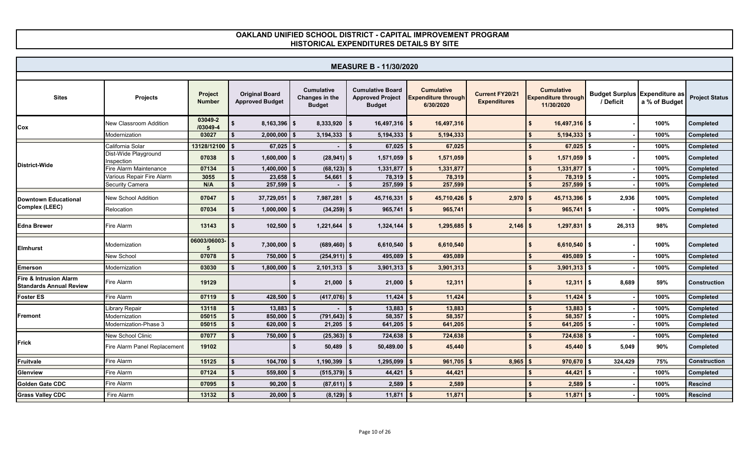|                                                          | <b>MEASURE B - 11/30/2020</b>      |                          |                                                 |                                                      |                                                                     |                                                              |                                               |                                                               |                                                       |      |                       |  |  |  |
|----------------------------------------------------------|------------------------------------|--------------------------|-------------------------------------------------|------------------------------------------------------|---------------------------------------------------------------------|--------------------------------------------------------------|-----------------------------------------------|---------------------------------------------------------------|-------------------------------------------------------|------|-----------------------|--|--|--|
|                                                          |                                    |                          |                                                 |                                                      |                                                                     |                                                              |                                               |                                                               |                                                       |      |                       |  |  |  |
| <b>Sites</b>                                             | <b>Projects</b>                    | Project<br><b>Number</b> | <b>Original Board</b><br><b>Approved Budget</b> | <b>Cumulative</b><br>Changes in the<br><b>Budget</b> | <b>Cumulative Board</b><br><b>Approved Project</b><br><b>Budget</b> | <b>Cumulative</b><br><b>Expenditure through</b><br>6/30/2020 | <b>Current FY20/21</b><br><b>Expenditures</b> | <b>Cumulative</b><br><b>Expenditure through</b><br>11/30/2020 | Budget Surplus Expenditure as / Deficit a % of Budget |      | <b>Project Status</b> |  |  |  |
| Cox                                                      | New Classroom Addition             | 03049-2<br>/03049-4      | $8,163,396$ \$                                  | $8,333,920$ \\$                                      | $16,497,316$ \$                                                     | 16,497,316                                                   |                                               | $16,497,316$ $\frac{1}{3}$                                    |                                                       | 100% | Completed             |  |  |  |
|                                                          | Modernization                      | 03027                    | 2,000,000<br>\$                                 | 3,194,333                                            | 5,194,333                                                           | 5,194,333                                                    |                                               | 5,194,333                                                     |                                                       | 100% | Completed             |  |  |  |
|                                                          | California Solar                   | 13128/12100              | $67,025$ \$                                     |                                                      | 67,025                                                              | 67,025                                                       |                                               | $67,025$ \$                                                   |                                                       | 100% | Completed             |  |  |  |
|                                                          | Dist-Wide Playground<br>Inspection | 07038                    | $1,600,000$ \$<br>\$.                           | $(28, 941)$ \$                                       | $1,571,059$ \$                                                      | 1,571,059                                                    |                                               | $1,571,059$ \$                                                |                                                       | 100% | Completed             |  |  |  |
| District-Wide                                            | Fire Alarm Maintenance             | 07134                    | 1,400,000                                       | $(68, 123)$ \$<br>l S                                | 1,331,877                                                           | 1,331,877                                                    |                                               | 1,331,877                                                     |                                                       | 100% | Completed             |  |  |  |
|                                                          | Various Repair Fire Alarm          | 3055                     | 23,658                                          | 54,661                                               | 78,319                                                              | 78,319                                                       |                                               | 78,319                                                        |                                                       | 100% | <b>Completed</b>      |  |  |  |
|                                                          | Security Camera                    | N/A                      | $257,599$ \$                                    | $\sim$                                               | 257,599                                                             | 257,599                                                      |                                               | 257,599                                                       |                                                       | 100% | Completed             |  |  |  |
| <b>Downtown Educational</b>                              | <b>New School Addition</b>         | 07047                    | 37,729,051<br>\$.                               | l S<br>7,987,281                                     | $45,716,331$ \$<br>- \$                                             | $45,710,426$ \$                                              | $2,970$ \$                                    | $45,713,396$ \$                                               | 2,936                                                 | 100% | <b>Completed</b>      |  |  |  |
| <b>Complex (LEEC)</b>                                    | Relocation                         | 07034                    | 1,000,000                                       | $(34,259)$ \$<br>-\$                                 | 965,741                                                             | 965,741                                                      |                                               | 965,741                                                       |                                                       | 100% | Completed             |  |  |  |
| <b>Edna Brewer</b>                                       | Fire Alarm                         | 13143                    | $102,500$ \$                                    | 1,221,644                                            | $1,324,144$ \$                                                      | $1,295,685$ $\frac{1}{5}$                                    | $2,146$ \$                                    | $1,297,831$ \$                                                | 26,313                                                | 98%  | Completed             |  |  |  |
| <b>Elmhurst</b>                                          | Modernization                      | 06003/06003              | $7,300,000$ \$                                  | $(689, 460)$ \$                                      | 6,610,540 \$                                                        | 6,610,540                                                    |                                               | 6,610,540 \$                                                  |                                                       | 100% | <b>Completed</b>      |  |  |  |
|                                                          | New School                         | 07078                    | $750,000$ \$                                    | $(254, 911)$ \$                                      | 495,089                                                             | 495,089                                                      |                                               | 495,089                                                       | <b>S</b>                                              | 100% | Completed             |  |  |  |
| <b>Emerson</b>                                           | Modernization                      | 03030                    | $1,800,000$ \$                                  | 2,101,313                                            | 3,901,313                                                           | 3,901,313                                                    |                                               | 3,901,313                                                     |                                                       | 100% | Completed             |  |  |  |
| Fire & Intrusion Alarm<br><b>Standards Annual Review</b> | Fire Alarm                         | 19129                    |                                                 | $21,000$   \$<br>\$                                  | $21,000$   \$                                                       | 12,311                                                       |                                               | $12,311$ \$                                                   | 8,689                                                 | 59%  | <b>Construction</b>   |  |  |  |
| <b>Foster ES</b>                                         | Fire Alarm                         | 07119                    | 428,500                                         | $(417, 076)$ \$                                      | 11,424                                                              | 11,424                                                       |                                               | 11,424                                                        |                                                       | 100% | Completed             |  |  |  |
|                                                          | Library Repair                     | 13118                    | 13,883                                          |                                                      | 13,883                                                              | 13,883                                                       |                                               | 13,883                                                        |                                                       | 100% | Completed             |  |  |  |
| Fremont                                                  | Modernization                      | 05015                    | 850,000                                         | $(791, 643)$ \$                                      | 58,357                                                              | 58,357                                                       |                                               | 58,357                                                        |                                                       | 100% | Completed             |  |  |  |
|                                                          | Modernization-Phase 3              | 05015                    | 620,000                                         | 21,205                                               | 641,205                                                             | 641,205                                                      |                                               | 641,205                                                       |                                                       | 100% | Completed             |  |  |  |
|                                                          | <b>New School Clinic</b>           | 07077                    | 750,000                                         | (25, 363)<br>- \$                                    | 724,638                                                             | 724,638                                                      |                                               | 724,638                                                       |                                                       | 100% | Completed             |  |  |  |
| <b>Frick</b>                                             | Fire Alarm Panel Replacement       | 19102                    |                                                 | $50,489$ \$                                          | 50,489.00                                                           | 45,440                                                       |                                               | $45,440$ \$                                                   | 5,049                                                 | 90%  | Completed             |  |  |  |
| Fruitvale                                                | Fire Alarm                         | 15125                    | 104,700                                         | 1,190,399<br>\$                                      | 1,295,099                                                           | 961,705                                                      | 8,965                                         | 970,670                                                       | 324,429                                               | 75%  | <b>Construction</b>   |  |  |  |
| Glenview                                                 | Fire Alarm                         | 07124                    | 559,800                                         | $(515, 379)$ \$                                      | 44,421                                                              | 44,421                                                       |                                               | 44,421                                                        |                                                       | 100% | Completed             |  |  |  |
| Golden Gate CDC                                          | Fire Alarm                         | 07095                    | 90,200                                          | $(87,611)$ \$                                        | 2,589                                                               | 2,589                                                        |                                               | 2,589                                                         |                                                       | 100% | <b>Rescind</b>        |  |  |  |
| <b>Grass Valley CDC</b>                                  | Fire Alarm                         | 13132                    | 20,000                                          | $(8, 129)$ \$                                        | 11,871                                                              | 11,871                                                       |                                               | 11,871                                                        |                                                       | 100% | <b>Rescind</b>        |  |  |  |
|                                                          |                                    |                          |                                                 |                                                      |                                                                     |                                                              |                                               |                                                               |                                                       |      |                       |  |  |  |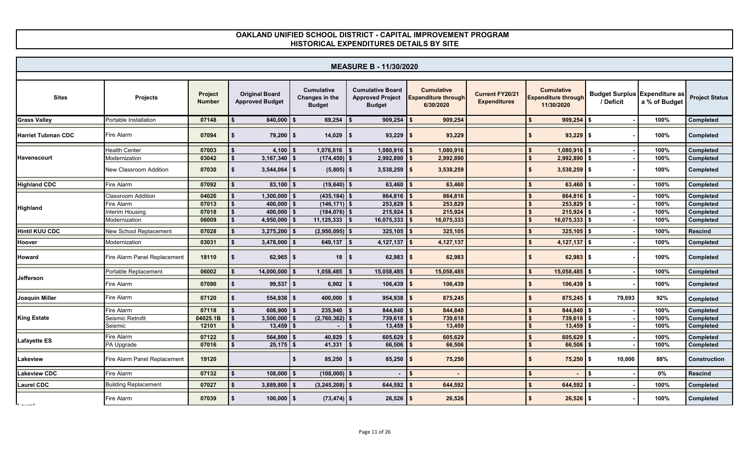|                           | <b>MEASURE B - 11/30/2020</b> |                          |                                                 |                                                      |                                                                     |                                                              |                                               |                                                               |                                                          |      |                       |  |  |
|---------------------------|-------------------------------|--------------------------|-------------------------------------------------|------------------------------------------------------|---------------------------------------------------------------------|--------------------------------------------------------------|-----------------------------------------------|---------------------------------------------------------------|----------------------------------------------------------|------|-----------------------|--|--|
|                           |                               |                          |                                                 |                                                      |                                                                     |                                                              |                                               |                                                               |                                                          |      |                       |  |  |
| <b>Sites</b>              | Projects                      | Project<br><b>Number</b> | <b>Original Board</b><br><b>Approved Budget</b> | <b>Cumulative</b><br>Changes in the<br><b>Budget</b> | <b>Cumulative Board</b><br><b>Approved Project</b><br><b>Budget</b> | <b>Cumulative</b><br><b>Expenditure through</b><br>6/30/2020 | <b>Current FY20/21</b><br><b>Expenditures</b> | <b>Cumulative</b><br><b>Expenditure through</b><br>11/30/2020 | Budget Surplus Expenditure as<br>/ Deficit a % of Budget |      | <b>Project Status</b> |  |  |
| <b>Grass Valley</b>       | Portable Installation         | 07148                    | 840,000                                         | $69,254$ \$<br>Ŝ.                                    | 909,254                                                             | 909,254                                                      |                                               | 909,254                                                       | - \$                                                     | 100% | Completed             |  |  |
| <b>Harriet Tubman CDC</b> | Fire Alarm                    | 07094                    | $79,200$ \ \$<br>\$                             | $14,029$ \$                                          | $93,229$ \$                                                         | 93,229                                                       |                                               | $93,229$ \$                                                   |                                                          | 100% | Completed             |  |  |
|                           | <b>Health Center</b>          | 07003                    | 4,100                                           | $1,076,816$ \$<br>Ŝ.                                 | 1,080,916                                                           | 1,080,916                                                    |                                               | 1,080,916                                                     |                                                          | 100% | Completed             |  |  |
| Havenscourt               | Modernization                 | 03042                    | $3,167,340$ \$                                  | $(174, 450)$ \$                                      | 2,992,890                                                           | 2,992,890                                                    |                                               | $2,992,890$ \$                                                |                                                          | 100% | Completed             |  |  |
|                           | <b>New Classroom Addition</b> | 07030                    | $3,544,064$ \$<br>\$                            | $(5,805)$ \$                                         | $3,538,259$ \$                                                      | 3,538,259                                                    |                                               | $3,538,259$ \$                                                |                                                          | 100% | Completed             |  |  |
| <b>Highland CDC</b>       | Fire Alarm                    | 07092                    | $83,100$ \$                                     | $(19,640)$ \$                                        | 63,460                                                              | 63,460                                                       |                                               | $63,460$ \$                                                   |                                                          | 100% | Completed             |  |  |
|                           | Classroom Addition            | 04026                    | 1,300,000                                       | $(435, 184)$ \$                                      | 864,816                                                             | 864,816                                                      |                                               | 864,816 \$                                                    |                                                          | 100% | Completed             |  |  |
|                           | Fire Alarm                    | 07013                    | $400,000$ \$                                    | $(146, 171)$ \$                                      | $253,829$ \.                                                        | 253,829                                                      |                                               | $253,829$ \$                                                  |                                                          | 100% | Completed             |  |  |
| <b>Highland</b>           | Interim Housing               | 07018                    | $400.000$   \$                                  | $(184, 076)$ \$                                      | $215,924$ \$                                                        | 215,924                                                      |                                               | 215.924                                                       |                                                          | 100% | <b>Completed</b>      |  |  |
|                           | Modernization                 | 06009                    | 4,950,000                                       | $11,125,333$ \\$<br>Ŝ.                               | 16,075,333                                                          | 16,075,333                                                   |                                               | $16,075,333$ \$                                               |                                                          | 100% | Completed             |  |  |
| <b>Hintil KUU CDC</b>     | <b>New School Replacement</b> | 07028                    | $3,275,200$ \$                                  | $(2,950,095)$ \$                                     | $325,105$ \$                                                        | 325,105                                                      |                                               | $325,105$ \$                                                  |                                                          | 100% | <b>Rescind</b>        |  |  |
| Hoover                    | Modernization                 | 03031                    | $3,478,000$ \$                                  | $649,137$ \$                                         | 4,127,137                                                           | 4,127,137                                                    |                                               | $4,127,137$ \$                                                |                                                          | 100% | <b>Completed</b>      |  |  |
| Howard                    | Fire Alarm Panel Replacement  | 18110                    | $62,965$ \$<br>\$                               | $18 \mid$ \$                                         | $62,983$ \$                                                         | 62,983                                                       |                                               | $62,983$ \$                                                   |                                                          | 100% | Completed             |  |  |
|                           | Portable Replacement          | 06002                    | $14,000,000$ \$                                 | $1,058,485$ \$                                       | 15,058,485                                                          | 15,058,485                                                   |                                               | $15,058,485$ \$                                               |                                                          | 100% | Completed             |  |  |
| Jefferson                 | Fire Alarm                    | 07090                    | $99,537$ \$<br>\$                               | 6,902                                                | $106,439$ \\$<br><b>S</b>                                           | 106,439                                                      |                                               | $106,439$ \$                                                  |                                                          | 100% | Completed             |  |  |
| <b>Joaquin Miller</b>     | Fire Alarm                    | 07120                    | $554,938$ \$                                    | $400,000$ \$                                         | $954,938$ \\$                                                       | 875,245                                                      |                                               | $875,245$ \$                                                  | 79.693                                                   | 92%  | Completed             |  |  |
|                           | Fire Alarm                    | 07118                    | 608,900                                         | $235,940$ \$                                         | 844,840                                                             | 844,840                                                      |                                               | 844,840 \$                                                    |                                                          | 100% | Completed             |  |  |
| <b>King Estate</b>        | Seismic Retrofit              | 04025.1B                 | $3,500,000$ \$                                  | $(2,760,382)$ \$                                     | 739,618                                                             | 739,618                                                      |                                               | $739,618$ \$                                                  |                                                          | 100% | Completed             |  |  |
|                           | Seismic                       | 12101                    | $13,459$ \$                                     |                                                      | l S<br>13,459                                                       | 13,459                                                       |                                               | $13,459$ \$                                                   |                                                          | 100% | Completed             |  |  |
| <b>Lafayette ES</b>       | Fire Alarm                    | 07122                    | $564,800$ \$                                    | 40,829 $\frac{1}{3}$                                 | 605,629                                                             | 605,629                                                      |                                               | $605,629$ \$                                                  |                                                          | 100% | Completed             |  |  |
|                           | PA Upgrade                    | 07016                    | $25,175$ \$                                     | 41,331 $\frac{1}{3}$                                 | 66,506                                                              | 66,506                                                       |                                               | 66,506                                                        | \$                                                       | 100% | Completed             |  |  |
| Lakeview                  | Fire Alarm Panel Replacement  | 19120                    |                                                 | $85,250$   \$<br>\$.                                 | $85,250$   \$                                                       | 75,250                                                       |                                               | $75,250$ \$                                                   | 10,000                                                   | 88%  | <b>Construction</b>   |  |  |
| <b>Lakeview CDC</b>       | Fire Alarm                    | 07132                    | 108,000                                         | $(108,000)$ \$                                       |                                                                     |                                                              |                                               |                                                               |                                                          | 0%   | <b>Rescind</b>        |  |  |
| <b>Laurel CDC</b>         | <b>Building Replacement</b>   | 07027                    | 3,889,800                                       | $(3,245,208)$ \$                                     | 644,592                                                             | 644,592                                                      |                                               | 644,592                                                       |                                                          | 100% | <b>Completed</b>      |  |  |
| المستنمانا                | Fire Alarm                    | 07039                    | $100,000$ \$<br>\$                              | $(73, 474)$ \$                                       | $26,526$ \$                                                         | 26,526                                                       |                                               | $26,526$ \$                                                   |                                                          | 100% | Completed             |  |  |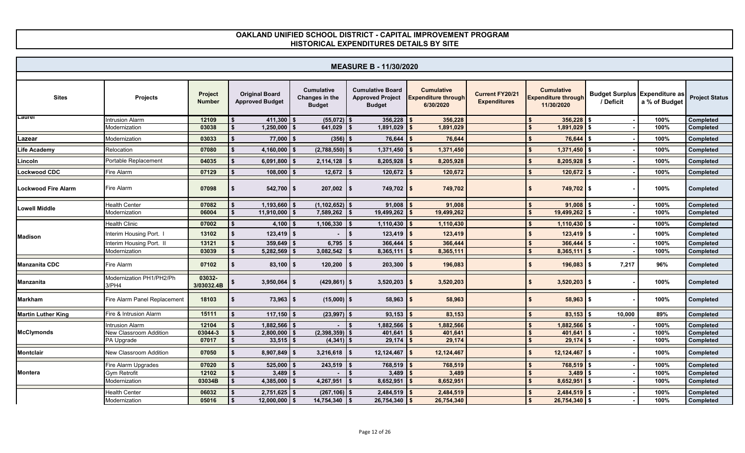|                           | <b>MEASURE B - 11/30/2020</b>     |                          |                                                 |                                                      |                                                                     |                                                              |                                        |                                                               |                                                   |               |                       |  |  |  |
|---------------------------|-----------------------------------|--------------------------|-------------------------------------------------|------------------------------------------------------|---------------------------------------------------------------------|--------------------------------------------------------------|----------------------------------------|---------------------------------------------------------------|---------------------------------------------------|---------------|-----------------------|--|--|--|
|                           |                                   |                          |                                                 |                                                      |                                                                     |                                                              |                                        |                                                               |                                                   |               |                       |  |  |  |
| <b>Sites</b>              | <b>Projects</b>                   | Project<br><b>Number</b> | <b>Original Board</b><br><b>Approved Budget</b> | <b>Cumulative</b><br>Changes in the<br><b>Budget</b> | <b>Cumulative Board</b><br><b>Approved Project</b><br><b>Budget</b> | <b>Cumulative</b><br><b>Expenditure through</b><br>6/30/2020 | Current FY20/21<br><b>Expenditures</b> | <b>Cumulative</b><br><b>Expenditure through</b><br>11/30/2020 | <b>Budget Surplus Expenditure as</b><br>/ Deficit | a % of Budget | <b>Project Status</b> |  |  |  |
| Laurei                    | <b>Intrusion Alarm</b>            | 12109                    | $411,300$ \$<br>\$                              | $(55,072)$ \$                                        | 356,228                                                             | 356,228                                                      |                                        | 356,228                                                       | s.                                                | 100%          | Completed             |  |  |  |
|                           | Modernization                     | 03038                    | $1,250,000$ \$                                  | $641,029$ \$                                         | 1,891,029                                                           | 1,891,029                                                    |                                        | 1,891,029                                                     | \$                                                | 100%          | <b>Completed</b>      |  |  |  |
| Lazear                    | Modernization                     | 03033                    | $77,000$ \$                                     | $(356)$ \$                                           | 76,644                                                              | 76,644                                                       |                                        | 76,644                                                        | Ŝ.                                                | 100%          | Completed             |  |  |  |
| Life Academy              | Relocation                        | 07080                    | 4,160,000                                       | $(2,788,550)$ \$<br>Ŝ.                               | 1,371,450                                                           | 1,371,450                                                    |                                        | 1,371,450                                                     |                                                   | 100%          | Completed             |  |  |  |
| Lincoln                   | Portable Replacement              | 04035                    | $6,091,800$ \$                                  | $2,114,128$ \$                                       | 8,205,928                                                           | 8,205,928                                                    |                                        | $8,205,928$ \$                                                |                                                   | 100%          | Completed             |  |  |  |
| <b>Lockwood CDC</b>       | Fire Alarm                        | 07129                    | 108,000                                         | 12,672                                               | 120,672                                                             | 120,672                                                      |                                        | 120,672                                                       | l \$                                              | 100%          | Completed             |  |  |  |
| Lockwood Fire Alarm       | Fire Alarm                        | 07098                    | $542,700$ \$<br>\$                              | $207,002$ \$                                         | $749,702$ \$                                                        | 749,702                                                      |                                        | 749,702 \$<br>\$                                              |                                                   | 100%          | Completed             |  |  |  |
| <b>Lowell Middle</b>      | <b>Health Center</b>              | 07082                    | $1,193,660$ \$                                  | $(1, 102, 652)$ \$                                   | 91,008                                                              | 91,008                                                       |                                        | 91,008                                                        |                                                   | 100%          | Completed             |  |  |  |
|                           | Modernization                     | 06004                    | $11,910,000$ \$                                 | $7,589,262$ \$                                       | $19,499,262$ \$                                                     | 19,499,262                                                   |                                        | 19,499,262 \$                                                 |                                                   | 100%          | <b>Completed</b>      |  |  |  |
|                           | <b>Health Clinic</b>              | 07002                    | 4,100                                           | 1,106,330<br>$$^{\circ}$                             | $\sim$<br>1,110,430                                                 | 1,110,430                                                    |                                        | 1,110,430                                                     | $\mathbf{s}$                                      | 100%          | Completed             |  |  |  |
| <b>Madison</b>            | Interim Housing Port. I           | 13102                    | $123,419$ \$                                    |                                                      | $123,419$ \$<br>\$                                                  | 123,419                                                      |                                        | $123,419$ \$                                                  |                                                   | 100%          | Completed             |  |  |  |
|                           | Interim Housing Port. II          | 13121                    | 359,649                                         | $6,795$ \$<br>- \$                                   | 366,444                                                             | 366,444                                                      |                                        | 366,444                                                       | <b>S</b>                                          | 100%          | Completed             |  |  |  |
|                           | Modernization                     | 03039                    | 5,282,569                                       | 3,082,542                                            | $8,365,111$ \$<br>$\mathbf{s}$                                      | 8,365,111                                                    |                                        | $8,365,111$ \$                                                |                                                   | 100%          | Completed             |  |  |  |
| <b>Manzanita CDC</b>      | Fire Alarm                        | 07102                    | $83,100$ \$                                     | $120,200$ \$                                         | $203,300$ \$                                                        | 196,083                                                      |                                        | $196,083$ $\frac{1}{5}$                                       | 7,217                                             | 96%           | Completed             |  |  |  |
| Manzanita                 | Modernization PH1/PH2/Ph<br>3/PH4 | 03032-<br>3/03032.4B     | $3,950,064$ \$                                  | $(429, 861)$ \$                                      | $3,520,203$ \$                                                      | 3,520,203                                                    |                                        | $3,520,203$ \$                                                |                                                   | 100%          | Completed             |  |  |  |
| Markham                   | Fire Alarm Panel Replacement      | 18103                    | $73,963$ \$                                     | $(15,000)$ \$                                        | $58,963$ \$                                                         | 58,963                                                       |                                        | $58,963$ \$                                                   |                                                   | 100%          | Completed             |  |  |  |
| <b>Martin Luther King</b> | Fire & Intrusion Alarm            | 15111                    | $117,150$ \$                                    | $(23,997)$ \$                                        | 93,153                                                              | 83,153                                                       |                                        | $83,153$ \$                                                   | 10,000                                            | 89%           | Completed             |  |  |  |
|                           | Intrusion Alarm                   | 12104                    | $1,882,566$ \$                                  |                                                      | 1,882,566                                                           | 1,882,566                                                    |                                        | 1,882,566                                                     |                                                   | 100%          | Completed             |  |  |  |
| <b>McClymonds</b>         | New Classroom Addition            | 03044-3                  | $2,800,000$ \$                                  | $(2,398,359)$ \$                                     | 401,641                                                             | 401,641                                                      |                                        | 401,641                                                       | <b>\$</b>                                         | 100%          | Completed             |  |  |  |
|                           | PA Upgrade                        | 07017                    | $33,515$ \$                                     | $(4,341)$ \$                                         | $29,174$ \$                                                         | 29,174                                                       |                                        | 29,174                                                        | l \$                                              | 100%          | Completed             |  |  |  |
| Montclair                 | <b>New Classroom Addition</b>     | 07050                    | $8,907,849$ \$                                  | 3,216,618                                            | 12,124,467<br>l \$                                                  | 12,124,467                                                   |                                        | $12,124,467$ \$                                               |                                                   | 100%          | Completed             |  |  |  |
|                           | Fire Alarm Upgrades               | 07020                    | 525,000                                         | $243,519$ \$<br>-\$                                  | 768,519                                                             | 768,519                                                      |                                        | 768,519                                                       |                                                   | 100%          | Completed             |  |  |  |
| Montera                   | Gym Retrofit                      | 12102                    | $3,489$ \$                                      |                                                      | 3,489<br>l \$                                                       | 3,489                                                        |                                        | 3,489                                                         | Ŝ.                                                | 100%          | Completed             |  |  |  |
|                           | Modernization                     | 03034B                   | $4,385,000$ \$                                  | 4,267,951                                            | 8,652,951<br>l \$                                                   | 8,652,951                                                    |                                        | 8,652,951                                                     | l \$                                              | 100%          | Completed             |  |  |  |
|                           | <b>Health Center</b>              | 06032                    | $2,751,625$ \$                                  | $(267, 106)$ \$                                      | 2,484,519                                                           | 2,484,519                                                    |                                        | $2,484,519$ \$                                                |                                                   | 100%          | Completed             |  |  |  |
|                           | Modernization                     | 05016                    | $12,000,000$ \$                                 | $14,754,340$ \$                                      | $26,754,340$ \$                                                     | 26,754,340                                                   |                                        | $26,754,340$ \$                                               |                                                   | 100%          | Completed             |  |  |  |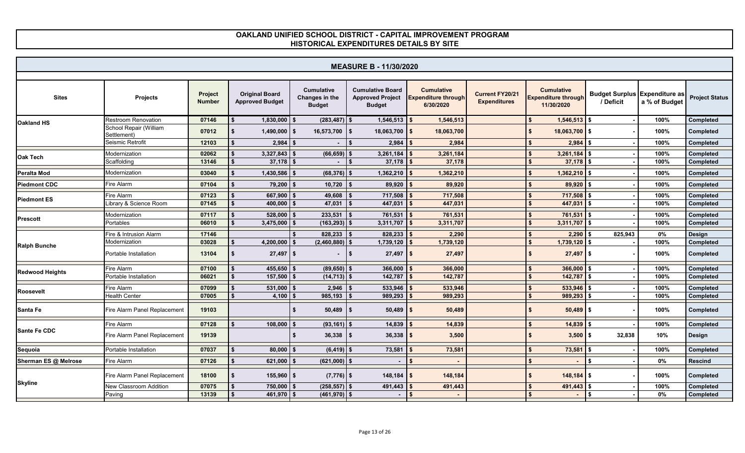|                        | <b>MEASURE B - 11/30/2020</b>         |                          |                                                 |                                                      |                                                                     |                                                              |                                        |                                                               |                                                   |               |                        |  |  |  |
|------------------------|---------------------------------------|--------------------------|-------------------------------------------------|------------------------------------------------------|---------------------------------------------------------------------|--------------------------------------------------------------|----------------------------------------|---------------------------------------------------------------|---------------------------------------------------|---------------|------------------------|--|--|--|
|                        |                                       |                          |                                                 |                                                      |                                                                     |                                                              |                                        |                                                               |                                                   |               |                        |  |  |  |
| <b>Sites</b>           | Projects                              | Project<br><b>Number</b> | <b>Original Board</b><br><b>Approved Budget</b> | <b>Cumulative</b><br>Changes in the<br><b>Budget</b> | <b>Cumulative Board</b><br><b>Approved Project</b><br><b>Budget</b> | <b>Cumulative</b><br><b>Expenditure through</b><br>6/30/2020 | Current FY20/21<br><b>Expenditures</b> | <b>Cumulative</b><br><b>Expenditure through</b><br>11/30/2020 | <b>Budget Surplus Expenditure as</b><br>/ Deficit | a % of Budget | <b>Project Status</b>  |  |  |  |
| Oakland HS             | <b>Restroom Renovation</b>            | 07146                    | $1,830,000$ \$                                  | $(283, 487)$ \$                                      | $1,546,513$ \$                                                      | 1,546,513                                                    |                                        | $1,546,513$ \$                                                |                                                   | 100%          | Completed              |  |  |  |
|                        | School Repair (William<br>Settlement) | 07012                    | $1,490,000$ \$                                  | 16,573,700                                           | $18,063,700$ \$<br><b>S</b>                                         | 18,063,700                                                   |                                        | $18,063,700$ \$                                               |                                                   | 100%          | Completed              |  |  |  |
|                        | Seismic Retrofit                      | 12103                    | $2,984$ \$                                      |                                                      | 2,984<br>\$                                                         | 2,984                                                        |                                        | $2,984$ \$                                                    |                                                   | 100%          | Completed              |  |  |  |
| Oak Tech               | Modernization<br>Scaffolding          | 02062<br>13146           | 3,327,843<br>$37,178$ \$                        | $(66, 659)$ \$                                       | 3,261,184<br>37,178                                                 | 3,261,184<br>37,178                                          |                                        | 3,261,184<br>$37,178$ \$                                      |                                                   | 100%<br>100%  | Completed<br>Completed |  |  |  |
| Peralta Mod            | Modernization                         | 03040                    | $1,430,586$ \$                                  | $(68, 376)$ \$                                       | 1,362,210                                                           | 1,362,210                                                    |                                        | $1,362,210$ \$                                                |                                                   | 100%          | Completed              |  |  |  |
| <b>Piedmont CDC</b>    | Fire Alarm                            | 07104                    | $79,200$ \$                                     | $10,720$ \$                                          | 89,920                                                              | 89,920                                                       |                                        | $89,920$ \$                                                   |                                                   | 100%          | Completed              |  |  |  |
|                        | Fire Alarm                            | 07123                    | 667,900                                         | 49,608                                               | 717,508                                                             | 717,508                                                      |                                        | 717,508 \$                                                    |                                                   | 100%          | Completed              |  |  |  |
| <b>Piedmont ES</b>     | Library & Science Room                | 07145                    | $400,000$ \$                                    | 47,031                                               | 447,031<br>- \$                                                     | 447,031                                                      |                                        | 447,031                                                       | l \$                                              | 100%          | Completed              |  |  |  |
|                        | Modernization                         | 07117                    | $528,000$ \$                                    | 233,531                                              | 761,531                                                             | 761,531                                                      |                                        | 761,531                                                       | S.                                                | 100%          | <b>Completed</b>       |  |  |  |
| Prescott               | Portables                             | 06010                    | $3,475,000$ \$                                  | $(163, 293)$ \$                                      | 3,311,707                                                           | 3,311,707                                                    |                                        | 3,311,707                                                     | l \$                                              | 100%          | Completed              |  |  |  |
|                        | Fire & Intrusion Alarm                | 17146                    |                                                 | $828,233$ \$                                         | 828,233                                                             | 2,290                                                        |                                        | 2,290                                                         | 825,943                                           | 0%            | Design                 |  |  |  |
| <b>Ralph Bunche</b>    | Modernization                         | 03028                    | 4,200,000                                       | $(2,460,880)$ \$<br>l S                              | $1,739,120$ \$                                                      | 1,739,120                                                    |                                        | $1,739,120$ \$                                                |                                                   | 100%          | Completed              |  |  |  |
|                        | Portable Installation                 | 13104                    | $27,497$ \$                                     | ٠                                                    | $27,497$ \$<br>l \$                                                 | 27,497                                                       |                                        | $27,497$ \$                                                   |                                                   | 100%          | Completed              |  |  |  |
|                        | Fire Alarm                            | 07100                    | 455,650                                         | $(89,650)$ \$                                        | 366,000                                                             | 366,000                                                      |                                        | 366,000                                                       |                                                   | 100%          | Completed              |  |  |  |
| <b>Redwood Heights</b> | Portable Installation                 | 06021                    | $157,500$ \$                                    | $(14, 713)$ \$                                       | 142,787                                                             | 142,787                                                      |                                        | 142,787                                                       | S.                                                | 100%          | Completed              |  |  |  |
|                        | Fire Alarm                            | 07099                    | $531,000$ \$                                    | 2,946                                                | 533,946                                                             | 533,946                                                      |                                        | 533,946                                                       | ls.                                               | 100%          | Completed              |  |  |  |
| Roosevelt              | <b>Health Center</b>                  | 07005                    | 4,100 $\frac{1}{3}$                             | $985,193$ \$                                         | 989,293                                                             | 989,293                                                      |                                        | 989,293                                                       | l \$                                              | 100%          | Completed              |  |  |  |
| Santa Fe               | Fire Alarm Panel Replacement          | 19103                    |                                                 | $50,489$ \\$                                         | $50,489$ \$                                                         | 50,489                                                       |                                        | $50,489$ \$                                                   |                                                   | 100%          | Completed              |  |  |  |
|                        | Fire Alarm                            | 07128                    | $108,000$ \$                                    | $(93, 161)$ \$                                       | 14,839                                                              | 14,839                                                       |                                        | 14,839                                                        | <b>S</b>                                          | 100%          | Completed              |  |  |  |
| Sante Fe CDC           | Fire Alarm Panel Replacement          | 19139                    |                                                 | $36,338$ $\frac{1}{5}$<br>\$                         | $36,338$ \$                                                         | 3,500                                                        |                                        | $3,500$ $\sqrt{5}$                                            | 32,838                                            | 10%           | Design                 |  |  |  |
| Sequoia                | Portable Installation                 | 07037                    | $80,000$ \$                                     | $(6, 419)$ \$                                        | 73,581                                                              | 73,581                                                       |                                        | 73,581                                                        |                                                   | 100%          | Completed              |  |  |  |
| Sherman ES @ Melrose   | Fire Alarm                            | 07126                    | 621,000                                         | $(621,000)$ \$                                       |                                                                     |                                                              |                                        |                                                               | \$                                                | $0\%$         | <b>Rescind</b>         |  |  |  |
|                        | Fire Alarm Panel Replacement          | 18100                    | $155,960$ \$                                    | $(7, 776)$ \$                                        | $148,184$ \$                                                        | 148,184                                                      |                                        | $148,184$ \$                                                  |                                                   | 100%          | Completed              |  |  |  |
| <b>Skyline</b>         | New Classroom Addition                | 07075                    | $750,000$ \$                                    | $(258, 557)$ \$                                      | 491,443                                                             | 491,443                                                      |                                        | 491,443                                                       |                                                   | 100%          | Completed              |  |  |  |
|                        | Paving                                | 13139                    | $461,970$ \$                                    | $(461,970)$ \$                                       |                                                                     |                                                              |                                        |                                                               | \$                                                | 0%            | Completed              |  |  |  |
|                        |                                       |                          |                                                 |                                                      |                                                                     |                                                              |                                        |                                                               |                                                   |               |                        |  |  |  |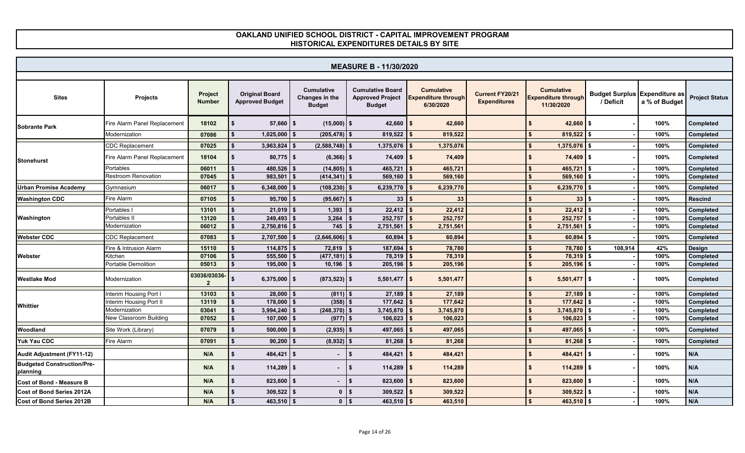|                                               | <b>MEASURE B - 11/30/2020</b> |                              |                                                 |                                                      |                                                                     |                                                              |                                        |                                                               |                                                   |               |                       |  |  |  |
|-----------------------------------------------|-------------------------------|------------------------------|-------------------------------------------------|------------------------------------------------------|---------------------------------------------------------------------|--------------------------------------------------------------|----------------------------------------|---------------------------------------------------------------|---------------------------------------------------|---------------|-----------------------|--|--|--|
|                                               |                               |                              |                                                 |                                                      |                                                                     |                                                              |                                        |                                                               |                                                   |               |                       |  |  |  |
| <b>Sites</b>                                  | <b>Projects</b>               | Project<br><b>Number</b>     | <b>Original Board</b><br><b>Approved Budget</b> | <b>Cumulative</b><br>Changes in the<br><b>Budget</b> | <b>Cumulative Board</b><br><b>Approved Project</b><br><b>Budget</b> | <b>Cumulative</b><br><b>Expenditure through</b><br>6/30/2020 | Current FY20/21<br><b>Expenditures</b> | <b>Cumulative</b><br><b>Expenditure through</b><br>11/30/2020 | <b>Budget Surplus Expenditure as</b><br>/ Deficit | a % of Budget | <b>Project Status</b> |  |  |  |
| <b>Sobrante Park</b>                          | Fire Alarm Panel Replacement  | 18102                        | $57,660$   \$                                   | $(15,000)$ \$                                        | $42,660$   \$                                                       | 42,660                                                       |                                        | $42,660$ \$                                                   |                                                   | 100%          | Completed             |  |  |  |
|                                               | Modernization                 | 07086                        | 1,025,000                                       | $(205, 478)$ \$                                      | 819,522                                                             | 819,522                                                      |                                        | $819,522$ \$                                                  |                                                   | 100%          | Completed             |  |  |  |
|                                               | <b>CDC Replacement</b>        | 07025                        | 3,963,824                                       | $(2,588,748)$ \$                                     | $1,375,076$ \$                                                      | 1,375,076                                                    |                                        | $1,375,076$ \$                                                |                                                   | 100%          | Completed             |  |  |  |
| <b>Stonehurst</b>                             | Fire Alarm Panel Replacement  | 18104                        | $80,775$ \$                                     | $(6,366)$ \$                                         | $74,409$ \$                                                         | 74,409                                                       |                                        | $74,409$ \$                                                   |                                                   | 100%          | Completed             |  |  |  |
|                                               | Portables                     | 06011                        | 480,526                                         | $(14, 805)$ \$                                       | 465,721                                                             | 465,721                                                      |                                        | 465,721                                                       |                                                   | 100%          | Completed             |  |  |  |
|                                               | <b>Restroom Renovation</b>    | 07045                        | 983,501                                         | $(414, 341)$ \$<br>l S                               | $569,160$ \$                                                        | 569,160                                                      |                                        | $569,160$ \$                                                  |                                                   | 100%          | Completed             |  |  |  |
| <b>Urban Promise Academy</b>                  | Gymnasium                     | 06017                        | 6,348,000                                       | $(108, 230)$ \$                                      | 6,239,770                                                           | 6,239,770                                                    |                                        | $6,239,770$ \$                                                |                                                   | 100%          | Completed             |  |  |  |
| <b>Washington CDC</b>                         | Fire Alarm                    | 07105                        | $95,700$ \$                                     | $(95,667)$ \$                                        | 33 <sup>3</sup>                                                     | 33                                                           |                                        | 33                                                            | \$                                                | 100%          | <b>Rescind</b>        |  |  |  |
|                                               | Portables I                   | 13101                        | $21,019$ \$                                     | $1,393$ \$                                           | 22,412                                                              | 22,412                                                       |                                        | $22,412$ \$                                                   |                                                   | 100%          | Completed             |  |  |  |
| Washington                                    | Portables II                  | 13120                        | $249,493$ \$                                    | $3,264$ \ \$                                         | 252,757                                                             | 252,757                                                      |                                        | $252,757$ \$                                                  |                                                   | 100%          | Completed             |  |  |  |
|                                               | Modernization                 | 06012                        | $2,750,816$ \$                                  | $745$ \\$                                            | 2,751,561                                                           | 2,751,561                                                    |                                        | 2,751,561                                                     | \$                                                | 100%          | Completed             |  |  |  |
| Webster CDC                                   | <b>CDC Replacement</b>        | 07083                        | $2,707,500$ \$                                  | $(2,646,606)$ \$                                     | 60,894                                                              | 60,894                                                       |                                        | 60,894                                                        |                                                   | 100%          | Completed             |  |  |  |
|                                               | Fire & Intrusion Alarm        | 15110                        | $114,875$ \$                                    | $72,819$ \$                                          | 187,694                                                             | 78,780                                                       |                                        | 78,780                                                        | 108,914                                           | 42%           | Design                |  |  |  |
| Webster                                       | Kitchen                       | 07106                        | 555,500                                         | $(477, 181)$ \$                                      | 78,319                                                              | 78,319                                                       |                                        | 78,319                                                        |                                                   | 100%          | Completed             |  |  |  |
|                                               | Portable Demolition           | 05013                        | $195,000$ \$                                    | $10,196$ \$                                          | 205,196                                                             | 205,196                                                      |                                        | 205,196                                                       |                                                   | 100%          | Completed             |  |  |  |
| Westlake Mod                                  | Modernization                 | 03036/03036-<br>$\mathbf{2}$ | $6,375,000$ \$                                  | $(873, 523)$ \$                                      | $5,501,477$ \$                                                      | 5,501,477                                                    |                                        | $5,501,477$ \$                                                |                                                   | 100%          | Completed             |  |  |  |
|                                               | Interim Housing Port I        | 13103                        | 28,000                                          | $(811)$ \$                                           | 27,189                                                              | 27,189                                                       |                                        | $27,189$ \$                                                   |                                                   | 100%          | Completed             |  |  |  |
| Whittier                                      | Interim Housing Port II       | 13119                        | $178,000$ \$                                    | $(358)$ \$                                           | 177,642                                                             | 177,642                                                      |                                        | $177,642$ \$                                                  |                                                   | 100%          | Completed             |  |  |  |
|                                               | Modernization                 | 03041                        | $3,994,240$ \$<br>\$                            | $(248, 370)$ \$                                      | $3,745,870$ \$                                                      | 3,745,870                                                    |                                        | $3,745,870$ \$                                                |                                                   | 100%          | Completed             |  |  |  |
|                                               | New Classroom Building        | 07052                        | $107,000$ \$                                    | $(977)$ \$                                           | 106,023                                                             | 106,023                                                      |                                        | $106,023$ \$                                                  |                                                   | 100%          | Completed             |  |  |  |
| Woodland                                      | Site Work (Library)           | 07079                        | $500,000$ \$                                    | $(2,935)$ \$                                         | 497,065                                                             | 497,065                                                      |                                        | $497,065$ \$                                                  |                                                   | 100%          | Completed             |  |  |  |
| <b>Yuk Yau CDC</b>                            | Fire Alarm                    | 07091                        | 90,200                                          | $(8,932)$ \$                                         | 81,268                                                              | 81,268                                                       |                                        | 81,268                                                        |                                                   | 100%          | Completed             |  |  |  |
| <b>Audit Adjustment (FY11-12)</b>             |                               | N/A                          | 484,421                                         | l S                                                  | 484,421<br>\$                                                       | 484,421                                                      |                                        | 484,421                                                       | ls.                                               | 100%          | N/A                   |  |  |  |
| <b>Budgeted Construction/Pre-</b><br>planning |                               | N/A                          | $114,289$ \$<br>\$                              |                                                      | $114,289$   \$<br>-\$                                               | 114,289                                                      |                                        | $114,289$ \$                                                  |                                                   | 100%          | N/A                   |  |  |  |
| <b>Cost of Bond - Measure B</b>               |                               | N/A                          | $823,600$ \$                                    | ٠                                                    | $823,600$ \$<br>\$                                                  | 823,600                                                      |                                        | $823,600$ \$                                                  |                                                   | 100%          | N/A                   |  |  |  |
| <b>Cost of Bond Series 2012A</b>              |                               | N/A                          | $309,522$ \$                                    | $0$   \$                                             | $309,522$ \$                                                        | 309,522                                                      |                                        | $309,522$ \$                                                  |                                                   | 100%          | N/A                   |  |  |  |
| <b>Cost of Bond Series 2012B</b>              |                               | N/A                          | $463,510$ \$                                    | $0$   \$                                             | $463,510$ \$                                                        | 463,510                                                      |                                        | $463,510$ \$                                                  |                                                   | 100%          | N/A                   |  |  |  |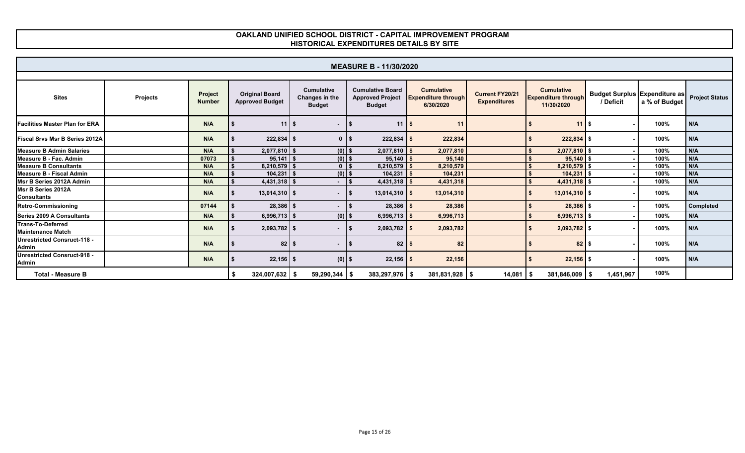|                                             | <b>MEASURE B - 11/30/2020</b> |                          |                                                 |                                                      |                                                                     |                                                              |                                               |                                                               |                                                           |               |           |  |  |  |
|---------------------------------------------|-------------------------------|--------------------------|-------------------------------------------------|------------------------------------------------------|---------------------------------------------------------------------|--------------------------------------------------------------|-----------------------------------------------|---------------------------------------------------------------|-----------------------------------------------------------|---------------|-----------|--|--|--|
|                                             |                               |                          |                                                 |                                                      |                                                                     |                                                              |                                               |                                                               |                                                           |               |           |  |  |  |
| <b>Sites</b>                                | <b>Projects</b>               | Project<br><b>Number</b> | <b>Original Board</b><br><b>Approved Budget</b> | <b>Cumulative</b><br>Changes in the<br><b>Budget</b> | <b>Cumulative Board</b><br><b>Approved Project</b><br><b>Budget</b> | <b>Cumulative</b><br><b>Expenditure through</b><br>6/30/2020 | <b>Current FY20/21</b><br><b>Expenditures</b> | <b>Cumulative</b><br><b>Expenditure through</b><br>11/30/2020 | Budget Surplus Expenditure as Project Status<br>/ Deficit | a % of Budget |           |  |  |  |
| <b>Facilities Master Plan for ERA</b>       |                               | N/A                      | 11 <sup>1</sup>                                 | - \$<br>$\blacksquare$                               | $11$ s                                                              | 11                                                           |                                               | $11$ S                                                        |                                                           | 100%          | N/A       |  |  |  |
| <b>Fiscal Srvs Msr B Series 2012A</b>       |                               | N/A                      | $222,834$ \$                                    | $0$   \$                                             | $222,834$ \$                                                        | 222,834                                                      |                                               | $222,834$ \$                                                  |                                                           | 100%          | N/A       |  |  |  |
| Measure B Admin Salaries                    |                               | N/A                      | $2,077,810$ \$                                  | $(0)$ \$                                             | 2,077,810                                                           | 2,077,810                                                    |                                               | 2,077,810 \$                                                  |                                                           | 100%          | N/A       |  |  |  |
| Measure B - Fac. Admin                      |                               | 07073                    | $95,141$ \$                                     | $(0)$ \$                                             | $95,140$   \$                                                       | 95,140                                                       |                                               | $95,140$ \$                                                   |                                                           | 100%          | N/A       |  |  |  |
| <b>Measure B Consultants</b>                |                               | N/A                      | $8,210,579$ \$                                  | 0 <sup>1</sup>                                       | $8,210,579$ \$                                                      | 8,210,579                                                    |                                               | 8,210,579                                                     |                                                           | 100%          | N/A       |  |  |  |
| Measure B - Fiscal Admin                    |                               | N/A                      | $104,231$ \$                                    | $(0)$ \$                                             | 104,231                                                             | 104,231                                                      |                                               | 104.231                                                       |                                                           | 100%          | N/A       |  |  |  |
| Msr B Series 2012A Admin                    |                               | N/A                      | $4,431,318$ \$                                  | $\blacksquare$                                       | $4,431,318$ \$                                                      | 4,431,318                                                    |                                               | 4,431,318                                                     |                                                           | 100%          | N/A       |  |  |  |
| Msr B Series 2012A<br><b>Consultants</b>    |                               | N/A                      | $13,014,310$ \$                                 | $\sim$ 10 $\pm$                                      | $13,014,310$ \$                                                     | 13,014,310                                                   |                                               | $13,014,310$ \$                                               |                                                           | 100%          | N/A       |  |  |  |
| <b>Retro-Commissioning</b>                  |                               | 07144                    | $28,386$ \$                                     | $\sim$                                               | $28,386$ \$                                                         | 28,386                                                       |                                               | $28,386$ \$                                                   |                                                           | 100%          | Completed |  |  |  |
| Series 2009 A Consultants                   |                               | N/A                      | $6,996,713$ \$                                  | $(0)$ \$                                             | 6,996,713 $\frac{1}{5}$                                             | 6,996,713                                                    |                                               | $6,996,713$ \$                                                |                                                           | 100%          | N/A       |  |  |  |
| Trans-To-Deferred<br>Maintenance Match      |                               | N/A                      | $2,093,782$ \$                                  | $\blacksquare$                                       | $2,093,782$ \$                                                      | 2,093,782                                                    |                                               | 2,093,782 \$                                                  |                                                           | 100%          | N/A       |  |  |  |
| Unrestricted Consruct-118 -<br>Admin        |                               | N/A                      | $82$ \ \$                                       | $\sim$                                               | ∣ SS                                                                | 82                                                           |                                               | $82$ \$                                                       |                                                           | 100%          | N/A       |  |  |  |
| Unrestricted Consruct-918 -<br><b>Admin</b> |                               | N/A                      | $22,156$ \$                                     | $(0)$ \$                                             | $22,156$ \$                                                         | 22,156                                                       |                                               | $22,156$ \$                                                   |                                                           | 100%          | N/A       |  |  |  |
| <b>Total - Measure B</b>                    |                               |                          | 324,007,632                                     | $59,290,344$ \$<br>- \$                              | $383,297,976$ \$                                                    | $381,831,928$ \$                                             | $14,081$ \$                                   | $381,846,009$ \$                                              | 1,451,967                                                 | 100%          |           |  |  |  |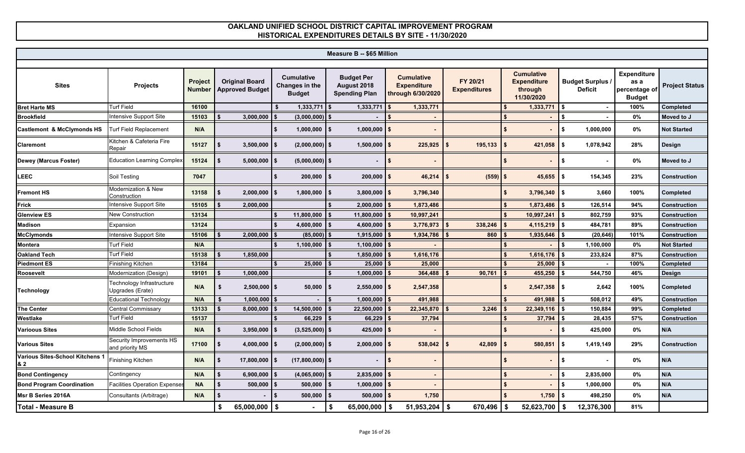| <b>Measure B -- \$65 Million</b>      |                                               |                                 |    |                                                 |     |                                                      |                                                          |                                                              |                                 |                                                                  |                                           |                                                              |                       |
|---------------------------------------|-----------------------------------------------|---------------------------------|----|-------------------------------------------------|-----|------------------------------------------------------|----------------------------------------------------------|--------------------------------------------------------------|---------------------------------|------------------------------------------------------------------|-------------------------------------------|--------------------------------------------------------------|-----------------------|
|                                       |                                               |                                 |    |                                                 |     |                                                      |                                                          |                                                              |                                 |                                                                  |                                           |                                                              |                       |
| <b>Sites</b>                          | Projects                                      | <b>Project</b><br><b>Number</b> |    | <b>Original Board</b><br><b>Approved Budget</b> |     | <b>Cumulative</b><br>Changes in the<br><b>Budget</b> | <b>Budget Per</b><br>August 2018<br><b>Spending Plan</b> | <b>Cumulative</b><br><b>Expenditure</b><br>through 6/30/2020 | FY 20/21<br><b>Expenditures</b> | <b>Cumulative</b><br><b>Expenditure</b><br>through<br>11/30/2020 | <b>Budget Surplus /</b><br><b>Deficit</b> | <b>Expenditure</b><br>as a<br>percentage of<br><b>Budget</b> | <b>Project Status</b> |
| <b>Bret Harte MS</b>                  | <b>Turf Field</b>                             | 16100                           |    |                                                 |     | $1,333,771$ \$                                       | 1,333,771                                                | 1,333,771                                                    |                                 | $1,333,771$ \$                                                   |                                           | 100%                                                         | Completed             |
| <b>Brookfield</b>                     | Intensive Support Site                        | 15103                           |    | 3,000,000                                       |     | (3,000,000)                                          |                                                          |                                                              |                                 |                                                                  |                                           | 0%                                                           | Moved to J            |
| <b>Castlemont &amp; McClymonds HS</b> | Turf Field Replacement                        | N/A                             |    |                                                 |     | $1,000,000$   \$                                     | 1,000,000                                                |                                                              |                                 |                                                                  | \$<br>1,000,000                           | 0%                                                           | <b>Not Started</b>    |
| <b>Claremont</b>                      | Kitchen & Cafeteria Fire<br>Repair            | 15127                           |    | 3,500,000                                       | \$  | $(2,000,000)$ \$                                     | 1,500,000                                                | 225,925                                                      | 195,133                         | 421,058                                                          | 1,078,942<br>\$                           | 28%                                                          | Design                |
| Dewey (Marcus Foster)                 | <b>Education Learning Complex</b>             | 15124                           |    | 5,000,000                                       | IS. | $(5,000,000)$ \$                                     | $\overline{\phantom{0}}$                                 | l S                                                          |                                 |                                                                  | $$^{\circ}$                               | 0%                                                           | Moved to J            |
| LEEC                                  | Soil Testing                                  | 7047                            |    |                                                 | \$  | $200,000$ \$                                         | $200,000$ \$                                             | 46,214                                                       | $(559)$ \$                      | 45,655                                                           | 154,345<br>l \$                           | 23%                                                          | <b>Construction</b>   |
| <b>Fremont HS</b>                     | Modernization & New<br>Construction           | 13158                           |    | 2,000,000                                       | \$  | $1,800,000$   \$                                     | $3,800,000$   \$                                         | 3,796,340                                                    |                                 | 3,796,340                                                        | Ŝ.<br>3,660                               | 100%                                                         | <b>Completed</b>      |
| <b>Frick</b>                          | Intensive Support Site                        | 15105                           |    | 2,000,000                                       |     |                                                      | 2,000,000                                                | 1,873,486                                                    |                                 | 1,873,486                                                        | 126,514                                   | 94%                                                          | Construction          |
| <b>Glenview ES</b>                    | <b>New Construction</b>                       | 13134                           |    |                                                 |     | 11,800,000                                           | 11,800,000                                               | 10,997,241                                                   |                                 | 10,997,241                                                       | 802,759                                   | 93%                                                          | <b>Construction</b>   |
| <b>Madison</b>                        | Expansion                                     | 13124                           |    |                                                 |     | 4,600,000                                            | 4,600,000                                                | 3,776,973                                                    | 338,246                         | 4,115,219                                                        | 484,781<br>\$                             | 89%                                                          | <b>Construction</b>   |
| <b>McClymonds</b>                     | Intensive Support Site                        | 15106                           |    | 2,000,000                                       |     | (85,000)                                             | 1,915,000                                                | 1,934,786                                                    | 860                             | 1,935,646                                                        | (20, 646)                                 | 101%                                                         | <b>Construction</b>   |
| <b>Montera</b>                        | <b>Turf Field</b>                             | N/A                             |    |                                                 |     | 1,100,000                                            | 1,100,000                                                |                                                              |                                 |                                                                  | 1,100,000<br>\$                           | 0%                                                           | <b>Not Started</b>    |
| <b>Oakland Tech</b>                   | <b>Turf Field</b>                             | 15138                           |    | 1,850,000                                       |     |                                                      | 1,850,000                                                | 1,616,176                                                    |                                 | 1,616,176                                                        | 233,824                                   | 87%                                                          | <b>Construction</b>   |
| <b>Piedmont ES</b>                    | Finishing Kitchen                             | 13184                           |    |                                                 |     | 25,000                                               | 25,000                                                   | 25,000                                                       |                                 | 25,000                                                           |                                           | 100%                                                         | Completed             |
| Roosevelt                             | Modernization (Design)                        | 19101                           |    | 1,000,000                                       |     |                                                      | 1,000,000                                                | 364,488                                                      | 90,761                          | 455,250                                                          | 544,750                                   | 46%                                                          | <b>Design</b>         |
| <b>Technology</b>                     | Technology Infrastructure<br>Jpgrades (Erate) | N/A                             | \$ | $2,500,000$ \$                                  |     | $50,000$   \$                                        | $2,550,000$ \$                                           | 2,547,358                                                    |                                 | $2,547,358$ \$                                                   | 2,642                                     | 100%                                                         | Completed             |
|                                       | <b>Educational Technology</b>                 | N/A                             | \$ | 1,000,000                                       |     |                                                      | 1,000,000                                                | 491,988                                                      |                                 | 491,988                                                          | 508,012                                   | 49%                                                          | <b>Construction</b>   |
| <b>The Center</b>                     | Central Commissary                            | 13133                           |    | 8,000,000                                       |     | 14,500,000                                           | 22,500,000                                               | 22,345,870                                                   | 3,246                           | 22,349,116                                                       | 150,884                                   | 99%                                                          | <b>Completed</b>      |
| Westlake                              | Turf Field                                    | 15137                           |    |                                                 |     | 66,229                                               | 66,229                                                   | 37,794                                                       |                                 | 37,794                                                           | 28,435                                    | 57%                                                          | <b>Construction</b>   |
| <b>Varioous Sites</b>                 | Middle School Fields                          | N/A                             |    | 3,950,000                                       |     | $(3,525,000)$ \$                                     | 425,000                                                  |                                                              |                                 |                                                                  | \$<br>425,000                             | $0\%$                                                        | N/A                   |
| <b>Various Sites</b>                  | Security Improvements HS<br>and priority MS   | 17100                           |    | 4,000,000                                       |     | $(2,000,000)$ \$                                     | 2,000,000                                                | 538,042                                                      | 42,809                          | 580,851                                                          | \$<br>1,419,149                           | 29%                                                          | <b>Construction</b>   |
| Various Sites-School Kitchens 1<br>82 | Finishing Kitchen                             | N/A                             |    | 17,800,000 \$                                   |     | $(17,800,000)$ \$                                    | $\overline{\phantom{0}}$                                 |                                                              |                                 |                                                                  | \$                                        | 0%                                                           | N/A                   |
| <b>Bond Contingency</b>               | Contingency                                   | N/A                             |    | 6,900,000                                       |     | $(4,065,000)$ \$                                     | 2,835,000                                                |                                                              |                                 |                                                                  | 2,835,000<br>\$                           | 0%                                                           | N/A                   |
| <b>Bond Program Coordination</b>      | <b>Facilities Operation Expenses</b>          | <b>NA</b>                       |    | 500,000                                         |     | 500,000                                              | $1,000,000$ \$                                           |                                                              |                                 |                                                                  | \$<br>1,000,000                           | 0%                                                           | N/A                   |
| Msr B Series 2016A                    | Consultants (Arbitrage)                       | N/A                             |    |                                                 | \$  | 500,000                                              | $500,000$ \$                                             | 1,750                                                        |                                 | 1,750                                                            | \$<br>498,250                             | 0%                                                           | N/A                   |
| <b>Total - Measure B</b>              |                                               |                                 |    |                                                 |     |                                                      | 65,000,000<br>\$                                         | $51,953,204$ \$                                              | 670,496                         | 52,623,700                                                       | 12,376,300<br>- \$                        | 81%                                                          |                       |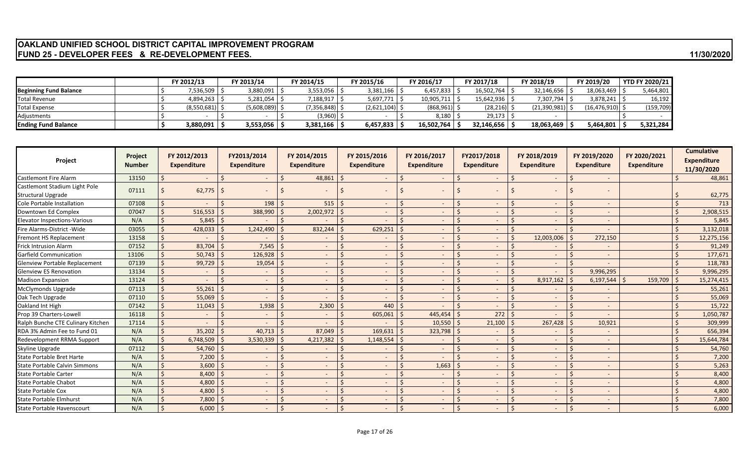### **OAKLAND UNIFIED SCHOOL DISTRICT CAPITAL IMPROVEMENT PROGRAM FUND 25 - DEVELOPER FEES & RE-DEVELOPMENT FEES.** 11/30/2020

|                               | FY 2012/13         | FY 2013/14      | FY 2014/15  | FY 2015/16       | FY 2016/17     | FY 2017/18     | FY 2018/19   | FY 2019/20     | <b>YTD FY 2020/21</b> |
|-------------------------------|--------------------|-----------------|-------------|------------------|----------------|----------------|--------------|----------------|-----------------------|
| <b>Beginning Fund Balance</b> | 7,536,509   .      | 3,880,091       | 3,553,056   | 3,381,166        | 6,457,833      | 16,502,764     | 32,146,656   | 18,063,469     | 5,464,801             |
| Total Revenue                 | $4,894,263$ $\mid$ | 5,281,054       | 1,188,917   | 5,697,771        | 10,905,711     | 15,642,936 S   | 7,307,794    | 3,878,241      | 16,192                |
| Total Expense                 | $(8,550,681)$ \;   | (5,608,089)  \$ | (7,356,848) | $(2,621,104)$ \$ | $(868,961)$ \$ | $(28, 216)$ \$ | (21,390,981) | (16, 476, 910) | (159, 709)            |
| Adiustments                   |                    |                 | $(3,960)$ : |                  | 8,180          | 29,173         |              |                |                       |
| <b>Ending Fund Balance</b>    | 3,880,091          | 3,553,056       | 3,381,166   | 6,457,833        | 16,502,764     | 32,146,656     | 18,063,469   | 5,464,801      | 5,321,284             |

| Project                                                    | <b>Project</b><br><b>Number</b> | FY 2012/2013<br><b>Expenditure</b> | FY2013/2014<br><b>Expenditure</b> | FY 2014/2015<br><b>Expenditure</b> |                      | FY 2015/2016<br><b>Expenditure</b> | FY 2016/2017<br><b>Expenditure</b> |              | FY2017/2018<br><b>Expenditure</b> | FY 2018/2019<br><b>Expenditure</b> |    | FY 2019/2020<br><b>Expenditure</b> | FY 2020/2021<br><b>Expenditure</b> |    | <b>Cumulative</b><br><b>Expenditure</b><br>11/30/2020 |
|------------------------------------------------------------|---------------------------------|------------------------------------|-----------------------------------|------------------------------------|----------------------|------------------------------------|------------------------------------|--------------|-----------------------------------|------------------------------------|----|------------------------------------|------------------------------------|----|-------------------------------------------------------|
| <b>Castlemont Fire Alarm</b>                               | 13150                           | $\sim$                             | $\sim$                            | 48,861                             | <sup>5</sup>         |                                    | $\overline{\phantom{a}}$           | Ŝ.           | $\sim$                            | $\sim$                             | Ŝ. | $\overline{\phantom{a}}$           |                                    |    | 48,861                                                |
| Castlemont Stadium Light Pole<br><b>Structural Upgrade</b> | 07111                           | 62,775                             |                                   |                                    |                      |                                    |                                    |              |                                   | $\overline{\phantom{a}}$           |    |                                    |                                    |    | 62,775                                                |
| Cole Portable Installation                                 | 07108                           |                                    | 198                               | 515                                | S.                   |                                    | $\overline{\phantom{a}}$           | <sup>5</sup> | $\sim$                            | $\overline{\phantom{a}}$           |    | $\overline{\phantom{a}}$           |                                    |    | 713                                                   |
| Downtown Ed Complex                                        | 07047                           | 516,553                            | 388,990                           | 2,002,972                          | <sup>5</sup>         | $\overline{\phantom{a}}$           | $\overline{\phantom{a}}$           |              | $\sim$                            | $\overline{\phantom{a}}$           |    | $\overline{\phantom{a}}$           |                                    |    | 2,908,515                                             |
| <b>Elevator Inspections-Various</b>                        | N/A                             | 5,845                              |                                   |                                    | $\zeta$              |                                    |                                    |              | $\sim$                            | $\overline{\phantom{a}}$           |    |                                    |                                    |    | 5,845                                                 |
| Fire Alarms-District - Wide                                | 03055                           | 428,033                            | 1,242,490                         | 832,244                            |                      | 629,251                            |                                    |              | $\sim$                            |                                    |    |                                    |                                    |    | 3,132,018                                             |
| Fremont HS Replacement                                     | 13158                           |                                    |                                   |                                    | <sup>5</sup>         |                                    |                                    |              |                                   | 12,003,006                         |    | 272,150                            |                                    |    | 12,275,156                                            |
| <b>Frick Intrusion Alarm</b>                               | 07152                           | 83,704                             | 7,545                             | $\qquad \qquad -$                  | $\zeta$              |                                    |                                    |              | $\sim$                            | $\overline{\phantom{a}}$           |    |                                    |                                    |    | 91,249                                                |
| Garfield Communication                                     | 13106                           | 50,743                             | 126,928                           | $\overline{\phantom{a}}$           |                      |                                    |                                    |              | $\sim$                            | $\overline{\phantom{a}}$           |    | $\overline{\phantom{a}}$           |                                    |    | 177,671                                               |
| Glenview Portable Replacement                              | 07139                           | 99,729                             | 19,054                            | $\sim$                             |                      |                                    |                                    |              | $\sim$                            | $\overline{\phantom{a}}$           |    |                                    |                                    |    | 118,783                                               |
| <b>Glenview ES Renovation</b>                              | 13134                           |                                    |                                   |                                    | $\zeta$              |                                    |                                    |              |                                   |                                    |    | 9,996,295                          |                                    |    | 9,996,295                                             |
| <b>Madison Expansion</b>                                   | 13124                           |                                    | $\sim$                            | $\overline{\phantom{a}}$           | $\zeta$              |                                    |                                    |              |                                   | 8,917,162                          | Ŝ. | 6,197,544                          | 159,709                            | Ś. | 15,274,415                                            |
| <b>McClymonds Upgrade</b>                                  | 07113                           | 55,261                             | $\sim$                            | $\overline{\phantom{a}}$           |                      |                                    | $\overline{\phantom{a}}$           |              | $\sim$                            | $\overline{\phantom{a}}$           |    | $\overline{\phantom{a}}$           |                                    |    | 55,261                                                |
| Oak Tech Upgrade                                           | 07110                           | 55,069                             | $\sim$                            | $\overline{\phantom{a}}$           |                      |                                    | $\overline{\phantom{a}}$           |              | $\sim$                            | $\overline{\phantom{a}}$           |    | $\overline{\phantom{a}}$           |                                    |    | 55,069                                                |
| Oakland Int High                                           | 07142                           | 11,043                             | 1,938                             | 2,300                              |                      | 440                                |                                    |              | $\sim$                            | $\overline{\phantom{a}}$           |    | $\overline{\phantom{a}}$           |                                    |    | 15,722                                                |
| Prop 39 Charters-Lowell                                    | 16118                           |                                    |                                   |                                    | $\zeta$              | 605,061                            | 445,454                            |              | 272                               |                                    |    |                                    |                                    |    | 1,050,787                                             |
| Ralph Bunche CTE Culinary Kitchen                          | 17114                           |                                    |                                   |                                    |                      |                                    | 10,550                             |              | 21,100                            | 267,428                            |    | 10,921                             |                                    |    | 309,999                                               |
| RDA 3% Admin Fee to Fund 01                                | N/A                             | 35,202                             | 40,713                            | 87,049                             |                      | 169,631                            | 323,798                            |              | $\sim$                            | $\overline{\phantom{a}}$           |    | $\overline{\phantom{a}}$           |                                    |    | 656,394                                               |
| Redevelopment RRMA Support                                 | N/A                             | 6,748,509                          | 3,530,339                         | 4,217,382                          | $\zeta$              | 1,148,554                          |                                    |              | $\sim$                            | $\overline{\phantom{a}}$           |    | ٠                                  |                                    |    | 15,644,784                                            |
| Skyline Upgrade                                            | 07112                           | 54,760                             |                                   |                                    | <sup>5</sup>         |                                    |                                    |              |                                   |                                    |    |                                    |                                    |    | 54,760                                                |
| <b>State Portable Bret Harte</b>                           | N/A                             | 7,200                              | $\sim$                            | $\overline{a}$                     | $\zeta$              |                                    |                                    | $\zeta$      |                                   | $\overline{\phantom{a}}$           |    | $\overline{\phantom{a}}$           |                                    |    | 7,200                                                 |
| <b>State Portable Calvin Simmons</b>                       | N/A                             | 3,600                              | $\sim$                            | $\overline{\phantom{a}}$           |                      |                                    | 1,663                              |              | $\sim$                            | $\overline{\phantom{a}}$           |    | $\overline{\phantom{a}}$           |                                    |    | 5,263                                                 |
| <b>State Portable Carter</b>                               | N/A                             | 8,400                              | $\sim$                            | $\sim$                             |                      |                                    | $\overline{\phantom{a}}$           |              | $\sim$                            | $\overline{\phantom{a}}$           |    | $\overline{\phantom{a}}$           |                                    |    | 8,400                                                 |
| <b>State Portable Chabot</b>                               | N/A                             | 4,800                              | $\sim$                            |                                    | $\breve{\mathbf{c}}$ |                                    |                                    |              |                                   | $\overline{\phantom{a}}$           |    |                                    |                                    |    | 4,800                                                 |
| <b>State Portable Cox</b>                                  | N/A                             | 4,800                              | $\overline{\phantom{a}}$          |                                    | $\zeta$              |                                    |                                    |              |                                   | $\overline{\phantom{a}}$           |    |                                    |                                    |    | 4,800                                                 |
| <b>State Portable Elmhurst</b>                             | N/A                             | 7,800                              | $\overline{a}$                    | $\qquad \qquad -$                  |                      |                                    | $\overline{\phantom{a}}$           |              | $\sim$                            | ٠                                  |    | $\overline{\phantom{a}}$           |                                    |    | 7,800                                                 |
| <b>State Portable Havenscourt</b>                          | N/A                             | 6,000                              |                                   |                                    | $\zeta$              |                                    |                                    |              |                                   |                                    |    |                                    |                                    |    | 6,000                                                 |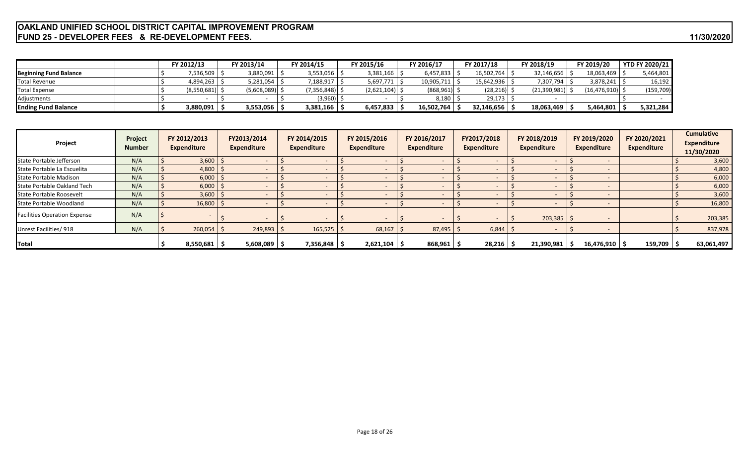### **OAKLAND UNIFIED SCHOOL DISTRICT CAPITAL IMPROVEMENT PROGRAM FUND 25 - DEVELOPER FEES & RE-DEVELOPMENT FEES.** 11/30/2020

|                               |  | <b>FY 2012/13</b> | FY 2013/14      | FY 2014/15                | FY 2015/16       | FY 2016/17      | FY 2017/18      | FY 2018/19        | FY 2019/20     | <b>YTD FY 2020/21</b> |
|-------------------------------|--|-------------------|-----------------|---------------------------|------------------|-----------------|-----------------|-------------------|----------------|-----------------------|
| <b>Beginning Fund Balance</b> |  | 7,536,509 S       | 3,880,091       | $3,553,056$ $\frac{1}{5}$ | 3,381,166        | 6,457,833       | 16,502,764      | $32,146,656$ S    | 18,063,469     | 5,464,801             |
| Total Revenue                 |  | 4,894,263 \$      | 5,281,054       | : ∥ 188,917,              | 5,697,771        | 10,905,711      | $15,642,936$ \$ | 7,307,794         | 3,878,241      | 16,192                |
| Total Expense                 |  | (8,550,681)       | $(5,608,089)$ . | $(7,356,848)$ \$          | $(2,621,104)$ \$ | $(868, 961)$ \$ | (28, 216)       | (21,390,981)      | (16, 476, 910) | (159, 709)            |
| Adjustments                   |  |                   |                 | $(3,960)$ \$              |                  | 8,180           | 29,173          |                   |                |                       |
| <b>Ending Fund Balance</b>    |  | 3,880,091         | 3,553,056       | $3,381,166$   \$          | 6,457,833        | 16,502,764      | 32,146,656      | $18,063,469$   \$ | 5,464,801      | 5,321,284             |

| Project                             | Project<br><b>Number</b> | FY 2012/2013<br>Expenditure | FY2013/2014<br>Expenditure | FY 2014/2015<br>Expenditure | FY 2015/2016<br><b>Expenditure</b> | FY 2016/2017<br><b>Expenditure</b> | FY2017/2018<br><b>Expenditure</b> | FY 2018/2019<br>Expenditure | FY 2019/2020<br><b>Expenditure</b> | FY 2020/2021<br><b>Expenditure</b> | <b>Cumulative</b><br><b>Expenditure</b><br>11/30/2020 |
|-------------------------------------|--------------------------|-----------------------------|----------------------------|-----------------------------|------------------------------------|------------------------------------|-----------------------------------|-----------------------------|------------------------------------|------------------------------------|-------------------------------------------------------|
| State Portable Jefferson            | N/A                      | 3,600                       |                            | $\sim$                      |                                    |                                    |                                   |                             |                                    |                                    | 3,600                                                 |
| State Portable La Escuelita         | N/A                      | 4,800                       |                            |                             |                                    |                                    |                                   |                             |                                    |                                    | 4,800                                                 |
| State Portable Madison              | N/A                      | 6,000                       |                            |                             |                                    |                                    |                                   |                             |                                    |                                    | 6,000                                                 |
| State Portable Oakland Tech         | N/A                      | 6,000                       |                            |                             |                                    |                                    |                                   |                             |                                    |                                    | 6,000                                                 |
| State Portable Roosevelt            | N/A                      | 3,600                       |                            |                             |                                    |                                    |                                   |                             |                                    |                                    | 3,600                                                 |
| State Portable Woodland             | N/A                      | 16,800                      |                            |                             |                                    |                                    |                                   |                             |                                    |                                    | 16,800                                                |
| <b>Facilities Operation Expense</b> | N/A                      |                             |                            |                             |                                    |                                    |                                   | $203,385$   \$              |                                    |                                    | 203,385                                               |
| Unrest Facilities/918               | N/A                      | $260,054$ \$                | $249,893$ \$               | $165,525$ \$                | 68,167                             | 87,495                             | $6,844$ $\frac{3}{5}$             |                             |                                    |                                    | 837,978                                               |
| Total                               |                          | 8,550,681                   | $5,608,089$   \$           | 7,356,848   \$              | $2,621,104$   \$                   | 868,961                            | 28,216                            | 21,390,981                  | $16,476,910$ $\mid$ \$             | 159,709                            | 63,061,497                                            |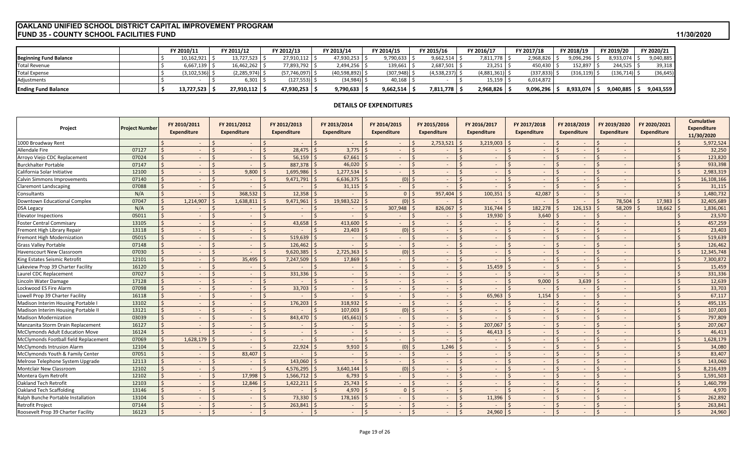#### **FUND 35 - COUNTY SCHOOL FACILITIES FUND 11/30/2020 OAKLAND UNIFIED SCHOOL DISTRICT CAPITAL IMPROVEMENT PROGRAM**

|                               | <b>FY 2010/11</b> | FY 2011/12    | FY 2012/13     | FY 2013/14   | FY 2014/15 | FY 2015/16  | FY 2016/17      | FY 2017/18       | FY 2018/19      | FY 2019/20 | FY 2020/21 |
|-------------------------------|-------------------|---------------|----------------|--------------|------------|-------------|-----------------|------------------|-----------------|------------|------------|
| <b>Beginning Fund Balance</b> | 10,162,921        | 13,727,523    | 27,910,112     | 47,930,253   | 9,790,633  | 9,662,514   | 7,811,778       | 2,968,826        | ,096,296        | 8,933,074  | 9,040,885  |
| <b>Total Revenue</b>          | 6,667,139         | 16,462,262    | 77,893,792     | 2,494,256    | 139,661    | 2,687,501   | 23,251          | 450,430          | 152,897         | 244,525    | 39,318     |
| <b>Total Expense</b>          | (3, 102, 536)     | (2, 285, 974) | (57, 746, 097) | (40,598,892) | (307,948)  | (4,538,237) | $(4,881,361)$ : | $(337, 833)$ $ $ | $(316, 119)$ \$ | (136,714)  | (36, 645)  |
| Adjustments                   |                   | 6,301         | (127, 553)     | (34, 984)    | 40,168     |             | 15,159          | 6,014,872        |                 |            |            |
| <b>Ending Fund Balance</b>    | 13,727,523        | 27,910,112    | 47,930,253     | 9,790,633    | 9,662,514  | 7,811,778   | 2,968,826       | 9,096,296        | 8,933,074       | 9,040,885  | 9,043,559  |

#### **DETAILS OF EXPENDITURES**

| Project                                | <b>Project Number</b> |                    | FY 2010/2011<br>Expenditure | FY 2011/2012<br><b>Expenditure</b> | FY 2012/2013<br><b>Expenditure</b> |               | FY 2013/2014<br><b>Expenditure</b> | FY 2014/2015<br><b>Expenditure</b> | FY 2015/2016<br><b>Expenditure</b> | FY 2016/2017<br><b>Expenditure</b>                | FY 2017/2018<br>Expenditure |         | FY 2018/2019<br><b>Expenditure</b> | FY 2019/2020<br><b>Expenditure</b>        | FY 2020/2021<br><b>Expenditure</b> | <b>Cumulative</b><br><b>Expenditure</b><br>11/30/2020 |
|----------------------------------------|-----------------------|--------------------|-----------------------------|------------------------------------|------------------------------------|---------------|------------------------------------|------------------------------------|------------------------------------|---------------------------------------------------|-----------------------------|---------|------------------------------------|-------------------------------------------|------------------------------------|-------------------------------------------------------|
| 1000 Broadway Rent                     |                       |                    | $\sim$ $-$                  | $\varsigma$<br>$\sim$              | S.<br>$\sim$                       | <sup>\$</sup> | $\sim$                             | $\sim$                             | 2,753,521                          | 3,219,003                                         | $\sim$                      |         | $\overline{\phantom{a}}$           | $\zeta$                                   |                                    | 5,972,524                                             |
| <b>Allendale Fire</b>                  | 07127                 | $\dot{\mathsf{S}}$ | $\sim$                      | $\sim$                             | $\mathsf{S}$<br>28,475             |               | 3,775                              | $\sim$                             | $\sim$                             | $\breve{\phantom{a}}$<br>$\overline{\phantom{a}}$ | $\overline{\phantom{a}}$    |         | $\overline{\phantom{a}}$           | $\mathsf{S}$<br>$\overline{\phantom{a}}$  |                                    | 32,250                                                |
| Arroyo Viejo CDC Replacement           | 07024                 | \$                 | $\sim$                      | $\sim$                             | 56,159<br>$\zeta$                  |               | 67,661                             | $\sim$                             | $\sim$                             | $\overline{\phantom{a}}$                          | $\overline{\phantom{a}}$    |         |                                    | $\zeta$                                   |                                    | 123,820                                               |
| <b>Burckhalter Portable</b>            | 07147                 | $\dot{\mathsf{S}}$ | $\sim$                      | $\sim$                             | 887,378<br>$\zeta$                 |               | 46,020                             | $\sim$                             | $\sim$                             | $\sim$                                            | $\overline{\phantom{a}}$    |         |                                    | $\zeta$<br>$\overline{\phantom{a}}$       |                                    | 933,398                                               |
| California Solar Initiative            | 12100                 | \$                 | $\sim$                      | 9,800                              | 1,695,986                          |               | 1,277,534                          | $\sim$                             | l S<br>$\sim$                      | $\sim$                                            | $\overline{\phantom{a}}$    |         |                                    | $\mathsf{S}$                              |                                    | 2,983,319                                             |
| <b>Calvin Simmons Improvements</b>     | 07140                 | $\mathsf{\dot{S}}$ | $\sim$                      | $\sim$                             | 9,471,791<br>-Ś                    |               | 6,636,375                          | $(0)$ \$                           | $\sim$                             | $\sim$                                            | $\sim$                      | $\zeta$ | $\sim$                             | $\zeta$<br>$\overline{\phantom{a}}$       |                                    | 16,108,166                                            |
| <b>Claremont Landscaping</b>           | 07088                 | $\mathsf{\dot{S}}$ | $\sim$                      | $\sim$                             | $\zeta$                            |               | 31,115                             | $\sim$                             | $\sim$                             | $\sim$                                            | $\overline{\phantom{a}}$    |         | $\overline{\phantom{a}}$           | $\zeta$<br>$\overline{\phantom{a}}$       |                                    | 31,115                                                |
| Consultants                            | N/A                   | $\zeta$            | $\sim$                      | 368,532                            | 12,358                             |               |                                    | 0 <sup>1</sup>                     | 957,404                            | 100,351                                           | 42,087                      |         |                                    | $\zeta$                                   |                                    | 1,480,732                                             |
| Downtown Educational Complex           | 07047                 | <sup>\$</sup>      | 1,214,907                   | 1,638,811                          | 9,471,961<br>-S                    |               | 19,983,522                         | $(0)$ \$                           |                                    | $\overline{a}$                                    | $\overline{\phantom{a}}$    |         |                                    | $\mathsf{S}$<br>78,504                    | 17,983                             | 32,405,689                                            |
| <b>DSA Legacy</b>                      | N/A                   | $\mathsf{\dot{S}}$ | $\sim$                      |                                    | $\mathsf{S}$                       |               | $\overline{\phantom{a}}$           | 307,948                            | 826,067                            | 316,744                                           | 182,278                     |         | 126,153                            | 58,209                                    | 18,662                             | 1,836,061                                             |
| <b>Elevator Inspections</b>            | 05011                 | $\mathsf{\hat{S}}$ | $\sim$                      |                                    | $\zeta$                            |               | $\sim$                             | $\overline{\phantom{a}}$           | $\prec$<br>$\sim$                  | 19,930                                            | 3,640                       |         | $\overline{\phantom{a}}$           | $\zeta$                                   |                                    | 23,570                                                |
| <b>Foster Central Commisary</b>        | 13105                 | \$                 | $\sim$                      | $\sim$                             | $\zeta$<br>43,658                  |               | 413,600                            | $\sim$                             | $\sim$                             | $\sim$                                            | $\overline{\phantom{a}}$    |         | $\overline{\phantom{a}}$           | $\sim$                                    |                                    | 457,259                                               |
| Fremont High Library Repair            | 13118                 | $\zeta$            | $\sim$                      |                                    | <sup>5</sup>                       |               | 23,403                             | $(0)$ $\leq$                       | $\sim$                             | $\overline{\phantom{a}}$                          | $\overline{\phantom{a}}$    |         |                                    | <sup>5</sup><br>$\overline{\phantom{a}}$  |                                    | 23,403                                                |
| <b>Fremont High Modernization</b>      | 05015                 | $\mathsf{S}$       | $\sim$                      |                                    | 519.639<br>$\zeta$                 |               | $\sim$                             | $\sim$                             | $\sim$                             | $\overline{\phantom{a}}$                          | $\overline{\phantom{a}}$    |         |                                    | $\zeta$<br>$\overline{\phantom{a}}$       |                                    | 519,639                                               |
| <b>Grass Valley Portable</b>           | 07148                 | $\mathsf{\dot{S}}$ | $\sim$                      | $\sim$                             | 126,462<br><sup>\$</sup>           |               | $\sim$                             | $\sim$                             | $\sim$                             | $\overline{\phantom{a}}$                          | $\overline{\phantom{a}}$    |         | $\overline{\phantom{a}}$           | <sup>\$</sup><br>$\overline{\phantom{a}}$ |                                    | 126,462                                               |
| <b>Havenscourt New Classroom</b>       | 07030                 | $\mathsf{\dot{S}}$ | $\sim$                      |                                    | 9,620,385<br>$\prec$               |               | 2,725,363                          | $(0)$ \$                           | $\sim$                             | $\overline{\phantom{a}}$                          | $\overline{\phantom{a}}$    |         |                                    | $\leq$                                    |                                    | 12,345,748                                            |
| King Estates Seismic Retrofit          | 12101                 | Ŝ.                 | $\sim$                      | 35,495                             | 7,247,509                          |               | 17,869                             | $\sim$                             | $\sim$                             | $\sim$                                            | $\overline{\phantom{a}}$    |         | $\overline{\phantom{a}}$           | $\zeta$<br>$\overline{\phantom{a}}$       |                                    | 7,300,872                                             |
| Lakeview Prop 39 Charter Facility      | 16120                 | $\dot{\mathsf{S}}$ | $\sim$                      | $\sim$                             | <sup>5</sup>                       |               | $\sim$                             | $\sim$                             | $\sim$                             | 15,459                                            | $\overline{\phantom{a}}$    |         | $\overline{\phantom{a}}$           | $\zeta$<br>$\overline{\phantom{a}}$       |                                    | 15,459                                                |
| Laurel CDC Replacement                 | 07027                 | $\mathsf{S}$       | $\sim$                      | $\overline{\phantom{a}}$           | 331,336<br>$\zeta$                 |               | $\sim$                             | $\sim$                             | $\sim$                             | $\overline{\phantom{a}}$                          | $\overline{\phantom{a}}$    |         |                                    | $\zeta$                                   |                                    | 331,336                                               |
| Lincoln Water Damage                   | 17128                 | $\mathsf{\hat{S}}$ | $\sim$                      | $\sim$                             | $\zeta$                            |               | $\sim$                             | $\sim$                             | $\sim$                             | $\sim$                                            | 9,000                       |         | 3,639                              | $\zeta$<br>$\overline{\phantom{a}}$       |                                    | 12,639                                                |
| Lockwood ES Fire Alarm                 | 07098                 | \$                 | $\sim$                      |                                    | 33,703<br>S.                       |               | $\sim$                             | $\sim$                             | $\sim$                             | $\sim$                                            | $\overline{\phantom{a}}$    |         | $\overline{\phantom{a}}$           | S.                                        |                                    | 33,703                                                |
| Lowell Prop 39 Charter Facility        | 16118                 | <sup>\$</sup>      | $\sim$                      | $\sim$                             | $\leq$                             | ¢.            | $\sim$                             | $\sim$                             | $\sim$                             | 65,963<br>Ś                                       | 1,154                       |         |                                    | $\zeta$                                   |                                    | 67,117                                                |
| Madison Interim Housing Portable I     | 13102                 | $\zeta$            | $\sim$                      | $\sim$                             | $\zeta$<br>176,203                 |               | 318.932                            | $\sim$                             | $\sim$                             | $\overline{\phantom{a}}$                          | $\overline{\phantom{a}}$    |         | $\overline{\phantom{a}}$           | $\zeta$<br>$\overline{\phantom{a}}$       |                                    | 495,135                                               |
| Madison Interim Housing Portable II    | 13121                 | $\mathsf{\dot{S}}$ | $\sim$                      |                                    | $\zeta$                            | ς             | 107.003                            | $(0)$ \$                           | $\sim$                             | ¢<br>$\sim$                                       | $\overline{\phantom{a}}$    |         |                                    | $\mathsf{S}$                              |                                    | 107,003                                               |
| <b>Madison Modernization</b>           | 03039                 | $\mathsf{S}$       | $\sim$                      | $\sim$                             | S.<br>843,470                      | <sup>5</sup>  | $(45,661)$ \$                      | $\sim$                             | l S<br>$\sim$                      | $\breve{\phantom{a}}$<br>$\sim$                   | $\overline{\phantom{a}}$    |         |                                    | $\zeta$<br>$\overline{\phantom{a}}$       | $\zeta$                            | 797,809                                               |
| Manzanita Storm Drain Replacement      | 16127                 | $\mathsf{S}$       | $\sim$                      | $\sim$                             | <sup>\$</sup>                      |               | $\sim$                             | $\sim$                             | $\sim$                             | 207,067                                           | $\overline{\phantom{a}}$    |         |                                    | $\zeta$<br>$\overline{a}$                 |                                    | 207,067                                               |
| <b>McClymonds Adult Education Move</b> | 16124                 | $\zeta$            | $\sim$                      | $\sim$                             | $\zeta$                            | ¢             | $\sim$                             | $\sim$                             | $\sim$                             | ¢<br>46,413                                       | $\overline{\phantom{a}}$    |         |                                    | $\zeta$                                   |                                    | 46,413                                                |
| McClymonds Football field Replacement  | 07069                 | $\mathsf{S}$       | 1,628,179                   | $\sim$                             | $\zeta$                            |               | $\sim$                             | $\sim$                             | $\sim$                             | $\sim$                                            | $\overline{\phantom{a}}$    |         |                                    | $\zeta$<br>$\overline{\phantom{a}}$       |                                    | 1,628,179                                             |
| <b>McClymonds Intrusion Alarm</b>      | 12104                 | Ś                  | $\sim$                      |                                    | <sup>\$</sup><br>22,924            |               | 9,910                              | $(0)$ \$                           | 1,246                              | $\overline{\phantom{a}}$                          | $\overline{\phantom{a}}$    |         |                                    | S.<br>$\overline{\phantom{a}}$            |                                    | 34,080                                                |
| McClymonds Youth & Family Center       | 07051                 | $\mathsf{S}$       | $\sim$                      | 83,407                             |                                    |               | $\sim$                             | $\sim$                             | $\sim$                             | $\sim$                                            | $\overline{\phantom{a}}$    |         |                                    | $\zeta$                                   |                                    | 83,407                                                |
| Melrose Telephone System Upgrade       | 12113                 | $\zeta$            | $\sim$                      | $\sim$                             | $\zeta$<br>143.060                 |               | $\overline{\phantom{a}}$           | $\sim$                             | $\sim$                             | $\overline{\phantom{a}}$                          | $\overline{\phantom{a}}$    |         | $\overline{\phantom{a}}$           | $\zeta$<br>$\overline{\phantom{a}}$       |                                    | 143,060                                               |
| <b>Montclair New Classroom</b>         | 12102                 | \$                 | $\sim$                      |                                    | 4,576,295<br>$\zeta$               |               | 3,640,144                          | $(0)$ \$                           | $\sim$                             | $\overline{\phantom{a}}$                          | $\overline{\phantom{a}}$    |         |                                    | $\zeta$                                   |                                    | 8,216,439                                             |
| Montera Gym Retrofit                   | 12102                 | $\mathsf{\dot{S}}$ | $\sim$                      | 17,998                             | 1,566,712                          |               | 6,793                              | $\sim$                             | ∣<<br>$\sim$                       | $\overline{\phantom{a}}$                          | $\overline{\phantom{a}}$    |         | $\overline{\phantom{a}}$           | $\zeta$<br>$\overline{\phantom{a}}$       |                                    | 1,591,503                                             |
| Oakland Tech Retrofit                  | 12103                 | $\dot{\mathsf{S}}$ | $\sim$                      | 12,846                             | 1,422,211                          |               | 25,743                             | $\sim$                             | $\sim$                             | $\sim$                                            | $\overline{\phantom{a}}$    |         | $\overline{\phantom{a}}$           | $\zeta$<br>$\overline{\phantom{a}}$       |                                    | 1,460,799                                             |
| Oakland Tech Scaffolding               | 13146                 | $\zeta$            | $\sim$                      | $\sim$                             | $\zeta$                            | $\zeta$       | 4,970                              | 0 <sup>1</sup>                     | $\sim$                             | $\overline{\phantom{a}}$                          | $\overline{\phantom{a}}$    |         |                                    | $\zeta$<br>$\overline{\phantom{a}}$       |                                    | 4,970                                                 |
| Ralph Bunche Portable Installation     | 13104                 | $\zeta$            | $\sim$                      | $\sim$                             | 73,330                             |               | 178,165                            | $\sim$                             | $\sim$                             | 11,396                                            | $\overline{\phantom{a}}$    |         |                                    | $\zeta$<br>$\overline{\phantom{a}}$       |                                    | 262,892                                               |
| <b>Retrofit Project</b>                | 07144                 |                    | $\sim$                      |                                    | 263,841<br><sup>5</sup>            |               | $\overline{\phantom{a}}$           | $\sim$                             | $\sim$                             |                                                   |                             |         |                                    | Ŝ.                                        |                                    | 263,841                                               |
| Roosevelt Prop 39 Charter Facility     | 16123                 | $\mathsf{\dot{S}}$ | $\sim$                      | $\zeta$                            | $\mathsf{S}$                       | $\mathsf{S}$  | $\sim$                             | $\sim$                             | -Ś<br>$\sim$                       | 24,960<br><sup>5</sup>                            | $\sim$                      |         |                                    | $\mathsf{S}$                              |                                    | 24,960                                                |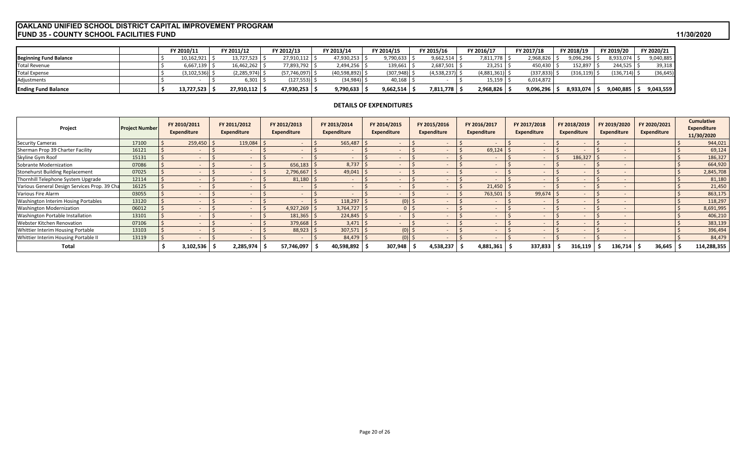#### **FUND 35 - COUNTY SCHOOL FACILITIES FUND 11/30/2020 OAKLAND UNIFIED SCHOOL DISTRICT CAPITAL IMPROVEMENT PROGRAM**

|                               | FY 2010/11 | FY 2011/12 | FY 2012/13          | FY 2013/14        | FY 2014/15       | FY 2015/16  | FY 2016/17       | FY 2017/18     | FY 2018/19      | FY 2019/20 | FY 2020/21 |
|-------------------------------|------------|------------|---------------------|-------------------|------------------|-------------|------------------|----------------|-----------------|------------|------------|
| <b>Beginning Fund Balance</b> | 10,162,921 | 13,727,523 | 27,910,112          | 47,930,253        | 9,790,633        | 9,662,514   | ,811,778         | 2,968,826      | ,096,296        | 8,933,074  | 9,040,885  |
| <b>Total Revenue</b>          | 6,667,139  | 16,462,262 | 7,893,792           | $2,494,256$ \$    | $139,661$   \$   | 2,687,501   | 23,251           | 450,430        | 152,897         | 244,525    | 39,318     |
| <b>Total Expense</b>          | 3,102,536) | 2,285,974  | $(57, 746, 097)$ \$ | $(40,598,892)$ \$ | $(307,948)$ \ \; | (4,538,237) | $(4,881,361)$ \$ | $(337, 833)$ : | $(316, 119)$ \$ | (136, 714) | (36, 645)  |
| Adjustments                   |            | 5,301      | (127, 553)          | (34, 984)         | 40,168           |             | 15,159           | 6,014,872      |                 |            |            |
| <b>Ending Fund Balance</b>    | 13,727,523 | 27,910,112 | 47,930,253          | 9,790,633         | 9,662,514        | 7,811,778   | 2,968,826        | 9,096,296      | 8,933,074       | 9,040,885  | 9,043,559  |

#### **DETAILS OF EXPENDITURES**

| Project                                      | <b>Project Number</b> | FY 2010/2011<br><b>Expenditure</b> | FY 2011/2012<br>Expenditure | FY 2012/2013<br><b>Expenditure</b> | FY 2013/2014<br><b>Expenditure</b> | FY 2014/2015<br><b>Expenditure</b> | FY 2015/2016<br><b>Expenditure</b> |           | FY 2016/2017<br><b>Expenditure</b> | FY 2017/2018<br>Expenditure | FY 2018/2019<br>Expenditure | FY 2019/2020<br><b>Expenditure</b> | FY 2020/2021<br><b>Expenditure</b> | <b>Cumulative</b><br><b>Expenditure</b><br>11/30/2020 |
|----------------------------------------------|-----------------------|------------------------------------|-----------------------------|------------------------------------|------------------------------------|------------------------------------|------------------------------------|-----------|------------------------------------|-----------------------------|-----------------------------|------------------------------------|------------------------------------|-------------------------------------------------------|
| <b>Security Cameras</b>                      | 17100                 | $259,450$ \$                       | 119,084                     |                                    | $565,487$ \$                       |                                    |                                    |           | $\overline{\phantom{a}}$           |                             |                             |                                    |                                    | 944,021                                               |
| Sherman Prop 39 Charter Facility             | 16121                 |                                    |                             |                                    | $\sim$                             |                                    |                                    |           | $69,124$ :                         |                             |                             |                                    |                                    | 69,124                                                |
| Skyline Gym Roof                             | 15131                 |                                    |                             |                                    | $\sim$                             |                                    |                                    |           | $\overline{\phantom{a}}$           |                             | 186,327                     |                                    |                                    | 186,327                                               |
| Sobrante Modernization                       | 07086                 |                                    |                             | 656,183                            | 8,737                              | $\sim$                             |                                    |           | $\overline{a}$                     |                             |                             |                                    |                                    | 664,920                                               |
| <b>Stonehurst Building Replacement</b>       | 07025                 |                                    |                             | 2,796,667                          | 49,041                             |                                    |                                    |           |                                    |                             |                             |                                    |                                    | 2,845,708                                             |
| Thornhill Telephone System Upgrade           | 12114                 |                                    |                             | 81,180                             |                                    |                                    |                                    |           |                                    |                             |                             |                                    |                                    | 81,180                                                |
| Various General Design Services Prop. 39 Cha | 16125                 |                                    |                             |                                    |                                    |                                    |                                    |           | $21,450$ \$                        |                             |                             |                                    |                                    | 21,450                                                |
| Various Fire Alarm                           | 03055                 |                                    |                             |                                    |                                    |                                    |                                    |           | 763,501                            | 99,674                      |                             |                                    |                                    | 863,175                                               |
| Washington Interim Hosing Portables          | 13120                 |                                    |                             |                                    | 118,297                            | $(0)$ \$                           |                                    |           | $\overline{\phantom{a}}$           |                             |                             |                                    |                                    | 118,297                                               |
| <b>Washington Modernization</b>              | 06012                 |                                    |                             | 4,927,269                          | $3,764,727$ \$                     |                                    |                                    |           | $\overline{a}$                     |                             |                             |                                    |                                    | 8,691,995                                             |
| Washington Portable Installation             | 13101                 |                                    |                             | 181,365                            | $224,845$ \$                       |                                    |                                    |           | $\overline{a}$                     |                             |                             |                                    |                                    | 406,210                                               |
| Webster Kitchen Renovation                   | 07106                 |                                    |                             | 379,668                            | $3,471$ \$                         |                                    |                                    |           |                                    |                             |                             |                                    |                                    | 383,139                                               |
| Whittier Interim Housing Portable            | 13103                 |                                    |                             | 88,923                             | 307,571                            | $(0)$ \$                           |                                    |           |                                    |                             |                             |                                    |                                    | 396,494                                               |
| Whittier Interim Housing Portable II         | 13119                 |                                    |                             |                                    | $84,479$ \$                        | $(0)$ \$                           |                                    |           |                                    |                             |                             |                                    |                                    | 84,479                                                |
| Total                                        |                       | 3,102,536                          | 2,285,974                   | 57,746,097                         | 40,598,892                         | 307,948                            |                                    | 4,538,237 | 4,881,361                          | 337,833                     | 316,119                     | 136,714                            | 36,645                             | 114,288,355                                           |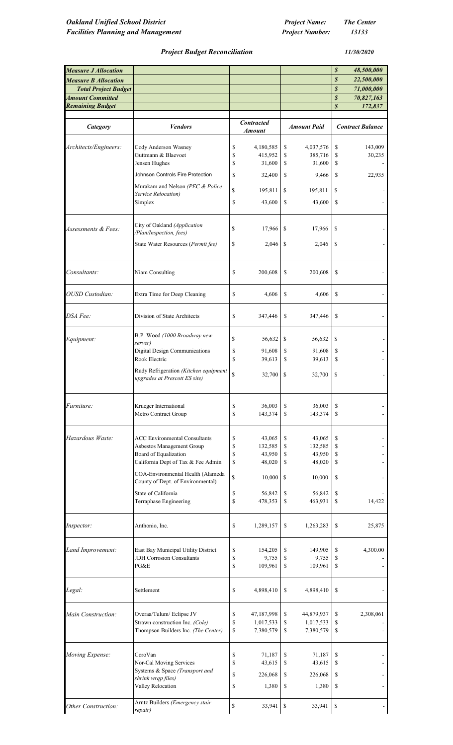*11/30/2020*

### *Project Budget Reconciliation*

| <b>Measure J Allocation</b><br><b>Measure B Allocation</b><br><b>Total Project Budget</b> |                                                                        |                   |               |                    | \$<br>$\boldsymbol{s}$<br>$\boldsymbol{s}$ | 48,500,000<br>22,500,000<br>71,000,000 |
|-------------------------------------------------------------------------------------------|------------------------------------------------------------------------|-------------------|---------------|--------------------|--------------------------------------------|----------------------------------------|
| <b>Amount Committed</b>                                                                   |                                                                        |                   |               |                    | $\boldsymbol{s}$                           | 70,827,163                             |
| <b>Remaining Budget</b>                                                                   |                                                                        |                   |               |                    | $\boldsymbol{s}$                           | 172,837                                |
| Category                                                                                  | <b>Vendors</b>                                                         | <b>Contracted</b> |               | <b>Amount Paid</b> |                                            | <b>Contract Balance</b>                |
|                                                                                           |                                                                        | <b>Amount</b>     |               |                    |                                            |                                        |
| Architects/Engineers:                                                                     | Cody Anderson Wasney                                                   | \$<br>4,180,585   | \$            | 4,037,576          | \$                                         | 143,009                                |
|                                                                                           | Guttmann & Blaevoet                                                    | \$<br>415,952     | \$            | 385,716            | \$                                         | 30,235                                 |
|                                                                                           | Jensen Hughes                                                          | \$<br>31,600      | \$            | 31,600             | \$                                         |                                        |
|                                                                                           | Johnson Controls Fire Protection                                       | \$<br>32,400      | \$            | 9,466              | \$                                         | 22,935                                 |
|                                                                                           | Murakam and Nelson (PEC & Police                                       |                   |               |                    |                                            |                                        |
|                                                                                           | Service Relocation)                                                    | \$<br>195,811     | \$            | 195,811            | \$                                         |                                        |
|                                                                                           | Simplex                                                                | \$<br>43,600      | \$            | 43,600             | \$                                         |                                        |
|                                                                                           | City of Oakland (Application                                           |                   |               |                    |                                            |                                        |
| Assessments & Fees:                                                                       | /Plan/Inspection, fees)                                                | \$<br>17,966      | \$            | 17,966             | \$                                         |                                        |
|                                                                                           | State Water Resources (Permit fee)                                     | \$<br>2,046       | <sup>\$</sup> | 2,046              | \$                                         |                                        |
| Consultants:                                                                              | Niam Consulting                                                        | \$<br>200,608     | \$            | 200,608            | \$                                         |                                        |
| OUSD Custodian:                                                                           | Extra Time for Deep Cleaning                                           | \$<br>4,606       | \$            | 4,606              | \$                                         |                                        |
|                                                                                           |                                                                        |                   |               |                    |                                            |                                        |
| DSA Fee:                                                                                  | Division of State Architects                                           | \$<br>347,446     | \$            | 347,446            | \$                                         |                                        |
| Equipment:                                                                                | B.P. Wood (1000 Broadway new<br>server)                                | \$<br>56,632      | \$            | 56,632             | \$                                         |                                        |
|                                                                                           | Digital Design Communications                                          | \$<br>91,608      | \$            | 91,608             | \$                                         |                                        |
|                                                                                           | Rook Electric                                                          | \$<br>39,613      | \$            | 39,613             | \$                                         |                                        |
|                                                                                           | Rudy Refrigeration (Kitchen equipment<br>upgrades at Prescott ES site) | \$<br>32,700      | \$            | 32,700             | \$                                         |                                        |
| <i>Furniture:</i>                                                                         | Krueger International                                                  | \$<br>36,003      | \$            | 36,003             | \$                                         |                                        |
|                                                                                           | Metro Contract Group                                                   | \$<br>143,374     | \$            | 143,374            | \$                                         |                                        |
| Hazardous Waste:                                                                          | <b>ACC Environmental Consultants</b>                                   | \$<br>43,065      | \$            | 43,065             | \$                                         |                                        |
|                                                                                           | Asbestos Management Group                                              | \$<br>132,585     | \$            | 132,585            | \$                                         |                                        |
|                                                                                           | Board of Equalization                                                  | \$<br>43,950      | \$            | 43,950             | \$                                         |                                        |
|                                                                                           | California Dept of Tax & Fee Admin                                     | \$<br>48,020      | \$            | 48,020             | \$                                         |                                        |
|                                                                                           | COA-Environmental Health (Alameda<br>County of Dept. of Environmental) | \$<br>10,000      | \$            | 10,000             | \$                                         |                                        |
|                                                                                           | State of California                                                    | \$<br>56,842      | \$            |                    | \$                                         |                                        |
|                                                                                           | Terraphase Engineering                                                 | \$<br>478,353     | \$            | 56,842<br>463,931  | \$                                         | 14,422                                 |
| Inspector:                                                                                | Anthonio, Inc.                                                         | \$<br>1,289,157   | \$            | 1,263,283          | \$                                         | 25,875                                 |
|                                                                                           |                                                                        |                   |               |                    |                                            |                                        |
| Land Improvement:                                                                         | East Bay Municipal Utility District                                    | \$<br>154,205     | \$            | 149,905            | \$                                         | 4,300.00                               |
|                                                                                           | <b>JDH</b> Corrosion Consultants                                       | \$<br>9,755       | \$            | 9,755              | \$                                         |                                        |
|                                                                                           | PG&E                                                                   | \$<br>109,961     | \$            | 109,961            | \$                                         |                                        |
| Legal:                                                                                    | Settlement                                                             | \$<br>4,898,410   | \$            | 4,898,410          | \$                                         |                                        |
| Main Construction:                                                                        | Overaa/Tulum/Eclipse JV                                                | \$<br>47,187,998  | \$            | 44,879,937         | \$                                         | 2,308,061                              |
|                                                                                           | Strawn construction Inc. (Cole)                                        | \$<br>1,017,533   | \$            | 1,017,533          | \$                                         |                                        |
|                                                                                           | Thompson Builders Inc. (The Center)                                    | \$<br>7,380,579   | \$            | 7,380,579          | \$                                         |                                        |
| Moving Expense:                                                                           | CoroVan                                                                | \$<br>71,187      | \$            | 71,187             | \$                                         |                                        |
|                                                                                           | Nor-Cal Moving Services                                                | \$<br>43.615      | \$            | 43,615             | \$                                         |                                        |
|                                                                                           | Systems & Space (Transport and                                         | \$<br>226,068     | \$            | 226,068            | \$                                         |                                        |
|                                                                                           | shrink wrqp files)                                                     |                   |               |                    |                                            |                                        |
|                                                                                           | Valley Relocation                                                      | \$<br>1,380       | \$            | 1,380              | \$                                         |                                        |
| Other Construction:                                                                       | Arntz Builders (Emergency stair<br>repair)                             | \$<br>$33,941$ \$ |               | 33,941             | \$                                         |                                        |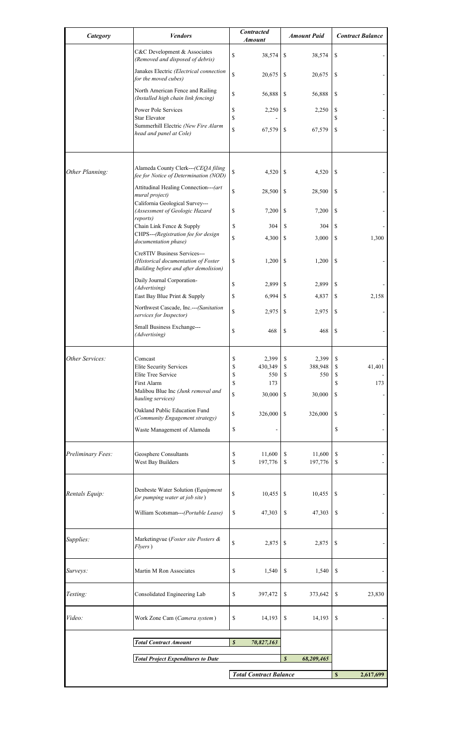| Category          | <b>Vendors</b>                                                                                               | <b>Contracted</b><br><b>Amount</b> | <b>Amount Paid</b>             | <b>Contract Balance</b>  |
|-------------------|--------------------------------------------------------------------------------------------------------------|------------------------------------|--------------------------------|--------------------------|
|                   | C&C Development & Associates<br>(Removed and disposed of debris)                                             | \$<br>38,574                       | \$<br>38,574                   | \$                       |
|                   | Janakes Electric (Electrical connection<br>for the moved cubes)                                              | \$<br>20,675                       | \$<br>20,675                   | \$                       |
|                   | North American Fence and Railing<br>(Installed high chain link fencing)                                      | \$<br>56,888                       | \$<br>56,888                   | \$                       |
|                   | Power Pole Services                                                                                          | \$<br>2,250                        | \$<br>2,250                    | \$                       |
|                   | <b>Star Elevator</b><br>Summerhill Electric (New Fire Alarm<br>head and panel at Cole)                       | \$<br>\$<br>67,579                 | \$<br>67,579                   | \$<br>\$                 |
|                   |                                                                                                              |                                    |                                |                          |
| Other Planning:   | Alameda County Clerk---(CEQA filing<br>fee for Notice of Determination (NOD)                                 | \$<br>4,520                        | \$<br>4,520                    | \$                       |
|                   | Attitudinal Healing Connection--- (art<br>mural project)                                                     | \$<br>28,500                       | \$<br>28,500                   | \$                       |
|                   | California Geological Survey---<br>(Assessment of Geologic Hazard<br>reports)                                | \$<br>7,200                        | \$<br>7,200                    | \$                       |
|                   | Chain Link Fence & Supply                                                                                    | \$<br>304                          | \$<br>304                      | \$                       |
|                   | CHPS---(Registration fee for design<br>documentation phase)                                                  | \$<br>4,300                        | \$<br>3,000                    | 1,300<br>\$              |
|                   | Cre8TIV Business Services---<br>(Historical documentation of Foster<br>Building before and after demolision) | \$<br>1,200                        | \$<br>1,200                    | \$                       |
|                   | Daily Journal Corporation-<br>(Advertising)                                                                  | \$<br>2,899                        | \$<br>2,899                    | \$                       |
|                   | East Bay Blue Print & Supply                                                                                 | \$<br>6,994                        | \$<br>4,837                    | 2,158<br>\$              |
|                   | Northwest Cascade, Inc.--- (Sanitation<br>services for Inspector)                                            | \$<br>2,975                        | \$<br>2,975                    | \$                       |
|                   | Small Business Exchange---<br>(Advertising)                                                                  | \$<br>468                          | \$<br>468                      | \$                       |
|                   |                                                                                                              |                                    |                                |                          |
| Other Services:   | Comcast<br><b>Elite Security Services</b>                                                                    | 2,399<br>P<br>\$<br>430,349        | 2,399<br>\$<br>\$<br>388,948   | \$<br>\$<br>41,401       |
|                   | Elite Tree Service                                                                                           | \$<br>550                          | \$<br>550                      | \$                       |
|                   | First Alarm                                                                                                  | \$<br>173                          |                                | \$<br>173                |
|                   | Malibou Blue Inc (Junk removal and<br>hauling services)                                                      | \$<br>30,000                       | \$<br>30,000                   | \$                       |
|                   | Oakland Public Education Fund<br>(Community Engagement strategy)                                             | \$<br>326,000                      | \$<br>326,000                  | \$                       |
|                   | Waste Management of Alameda                                                                                  | \$                                 |                                | \$                       |
| Preliminary Fees: | Geosphere Consultants                                                                                        | \$<br>11,600                       | \$<br>11,600                   | \$                       |
|                   | West Bay Builders                                                                                            | \$<br>197,776                      | \$<br>197,776                  | \$                       |
| Rentals Equip:    | Denbeste Water Solution (Equipment                                                                           | \$<br>10,455                       | \$<br>10,455                   | S                        |
|                   | for pumping water at job site)                                                                               |                                    |                                |                          |
|                   | William Scotsman---(Portable Lease)                                                                          | \$<br>47,303                       | \$<br>47,303                   | \$                       |
| Supplies:         | Marketingvue (Foster site Posters &<br>Flyers)                                                               | \$<br>2,875                        | \$<br>2,875                    | \$                       |
| Surveys:          | Martin M Ron Associates                                                                                      | \$<br>1,540                        | \$<br>1,540                    | $\mathbb{S}$             |
| Testing:          | Consolidated Engineering Lab                                                                                 | \$<br>397,472                      | \$<br>373,642                  | \$<br>23,830             |
| Video:            | Work Zone Cam (Camera system)                                                                                | \$<br>14,193                       | \$<br>14,193                   | $\mathbb{S}$             |
|                   | <b>Total Contract Amount</b>                                                                                 | $\boldsymbol{s}$<br>70,827,163     |                                |                          |
|                   | <b>Total Project Expenditures to Date</b>                                                                    |                                    | $\boldsymbol{s}$<br>68,209,465 |                          |
|                   |                                                                                                              |                                    |                                |                          |
|                   |                                                                                                              | <b>Total Contract Balance</b>      |                                | $\mathbf S$<br>2,617,699 |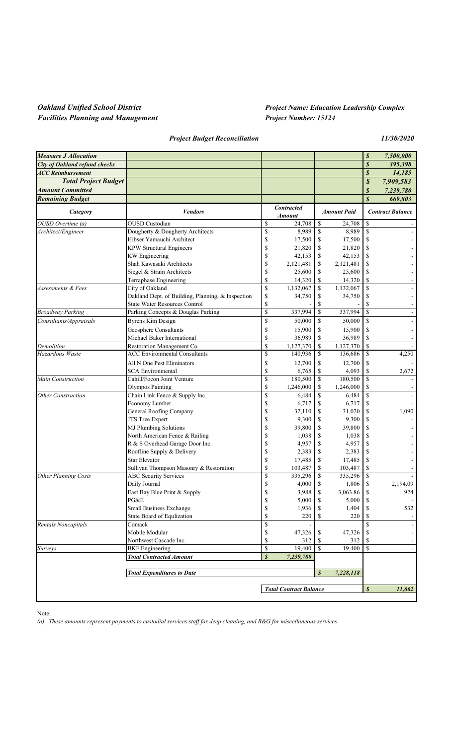# *Oakland Unified School District Project Name: Education Leadership Complex*

*Project Budget Reconciliation 11/30/2020*

| <b>Measure J Allocation</b>          |                                                   |                  |                               |                  |                    | \$               | 7,500,000                |
|--------------------------------------|---------------------------------------------------|------------------|-------------------------------|------------------|--------------------|------------------|--------------------------|
| <b>City of Oakland refund checks</b> |                                                   |                  |                               |                  |                    | $\boldsymbol{s}$ | 395,398                  |
| <b>ACC Reimbursement</b>             |                                                   |                  |                               |                  |                    | $\boldsymbol{s}$ | 14,185                   |
| <b>Total Project Budget</b>          |                                                   |                  |                               |                  |                    | \$               |                          |
| <b>Amount Committed</b>              |                                                   |                  |                               |                  |                    | $\boldsymbol{s}$ | 7,909,583<br>7,239,780   |
| <b>Remaining Budget</b>              |                                                   |                  |                               |                  |                    | $\boldsymbol{s}$ | 669,803                  |
|                                      |                                                   |                  | <b>Contracted</b>             |                  |                    |                  |                          |
| Category                             | <b>Vendors</b>                                    |                  | <b>Amount</b>                 |                  | <b>Amount Paid</b> |                  | <b>Contract Balance</b>  |
| OUSD Overtime (a)                    | <b>OUSD</b> Custodian                             | <sup>\$</sup>    | 24,708                        | \$               | 24,708             | \$               |                          |
| Architect/Engineer                   | Dougherty & Dougherty Architects                  | \$               | 8,989                         | \$               | 8,989              | \$               |                          |
|                                      | Hibser Yamauchi Architect                         | \$               | 17,500                        | \$               | 17,500             | \$               |                          |
|                                      | <b>KPW Structural Engineers</b>                   | \$               | 21,820                        | \$               | 21,820             | \$               |                          |
|                                      | <b>KW</b> Engineering                             | \$               | 42,153                        | \$               | 42,153             | \$               |                          |
|                                      | Shah Kawasaki Architects                          | \$               | 2,121,481                     | \$               | 2,121,481          | S                |                          |
|                                      | Siegel & Strain Architects                        | \$               | 25,600                        | \$               | 25,600             | \$               |                          |
|                                      | Terraphase Engineering                            | \$               | 14,320                        | \$               | 14,320             | \$               | $\overline{\phantom{a}}$ |
| Assessments & Fees                   | City of Oakland                                   | \$               | $\overline{1,132,067}$        | \$               | 1,132,067          | $\mathbf S$      | $\overline{\phantom{a}}$ |
|                                      | Oakland Dept. of Building, Planning, & Inspection | \$               | 34,750                        | \$               | 34,750             | \$               | $\overline{\phantom{a}}$ |
|                                      | <b>State Water Resources Control</b>              | \$               |                               | \$               |                    | \$               | $\blacksquare$           |
| <b>Broadway Parking</b>              | Parking Concepts & Douglas Parking                | $\mathbf S$      | 337,994                       | \$               | 337,994            | $\mathbf S$      | $\blacksquare$           |
| Consultants/Appraisals               | <b>Byrens Kim Design</b>                          | \$               | 50,000                        | \$               | 50,000             | \$               | $\blacksquare$           |
|                                      | Geosphere Consultants                             | \$               | 15,900                        | \$               | 15,900             | \$               |                          |
|                                      | Michael Baker International                       | \$               | 36,989                        | \$               | 36,989             | \$               |                          |
| Demolition                           | Restoration Management Co.                        | <sup>S</sup>     | 1,127,370                     | \$               | 1,127,370          | $\mathbf S$      |                          |
| Hazardous Waste                      | <b>ACC</b> Environmental Consultants              | \$               | 140,936                       | \$               | 136,686            | \$               | 4,250                    |
|                                      | All N One Pest Eliminators                        | \$               | 12,700                        | \$               | 12,700             | \$               |                          |
|                                      | <b>SCA Environmental</b>                          | \$               | 6,765                         | \$               | 4,093              | \$               | 2,672                    |
| Main Construction                    | Cahill/Focon Joint Venture                        | \$               | 180,500                       | \$               | 180,500            | \$               |                          |
|                                      | <b>Olympos Painting</b>                           | \$               | 1,246,000                     | \$               | 1,246,000          | \$               |                          |
| Other Construction                   | Chain Link Fence & Supply Inc.                    | \$               | 6,484                         | \$               | 6,484              | \$               |                          |
|                                      | Economy Lumber                                    | \$               | 6,717                         | \$               | 6,717              | \$               |                          |
|                                      | General Roofing Company                           | \$               | 32,110                        | \$               | 31,020             | \$               | 1,090                    |
|                                      | JTS Tree Expert                                   | \$               | 9,300                         | \$               | 9,300              | \$               |                          |
|                                      | <b>MJ Plumbing Solutions</b>                      | \$               | 39,800                        | \$               | 39,800             | \$               |                          |
|                                      | North American Fence & Railing                    | S                | 1,038                         | \$               | 1,038              | \$               |                          |
|                                      | R & S Overhead Garage Door Inc.                   | S                | 4,957                         | \$               | 4,957              | \$               |                          |
|                                      | Roofline Supply & Delivery                        | S                | 2,383                         | \$               | 2,383              | \$               |                          |
|                                      | <b>Star Elevator</b>                              | \$               | 17,485                        | \$               | 17,485             | \$               |                          |
|                                      | Sullivan Thompson Masonry & Restoration           | S                | 103,487                       | \$               | 103,487            | \$               |                          |
| <b>Other Planning Costs</b>          | <b>ABC Security Services</b>                      | \$               | 335,296                       | \$               | 335,296            | $\mathbf S$      |                          |
|                                      | Daily Journal                                     | \$               | 4,000                         | \$               | 1,806              | \$               | 2,194.09                 |
|                                      | East Bay Blue Print & Supply                      |                  | 3,988                         | \$               | 3,063.86           | \$               | 924                      |
|                                      | PG&E                                              | \$               | 5,000                         | \$               | 5,000              | \$               | $\overline{\phantom{a}}$ |
|                                      | Small Business Exchange                           | \$               | 1,936                         | S                | 1,404              | \$               | 532                      |
|                                      | State Board of Equlization                        | <sup>\$</sup>    | 220                           | \$               | 220                | \$               |                          |
| Rentals Noncapitals                  | Comack                                            | \$               |                               |                  |                    | S                | $\overline{\phantom{a}}$ |
|                                      | Mobile Modular                                    | \$               | 47,326                        | \$               | 47,326             | \$               | $\overline{\phantom{a}}$ |
|                                      | Northwest Cascade Inc.                            | <sup>\$</sup>    | 312                           | \$               | 312                | \$               | $\overline{\phantom{a}}$ |
| Surveys                              | <b>BKF</b> Engineering                            | <sup>\$</sup>    | 19,400                        | \$               | 19,400             | $\mathbf S$      | $\blacksquare$           |
|                                      | <b>Total Contracted Amount</b>                    | $\boldsymbol{s}$ | 7,239,780                     |                  |                    |                  |                          |
|                                      |                                                   |                  |                               |                  |                    |                  |                          |
|                                      | <b>Total Expenditures to Date</b>                 |                  |                               | $\boldsymbol{s}$ | 7,228,118          |                  |                          |
|                                      |                                                   |                  | <b>Total Contract Balance</b> |                  |                    | $\boldsymbol{s}$ | 11,662                   |
|                                      |                                                   |                  |                               |                  |                    |                  |                          |

Note:

*(a) These amounts represent payments to custodial services staff for deep cleaning, and B&G for miscellaneous services*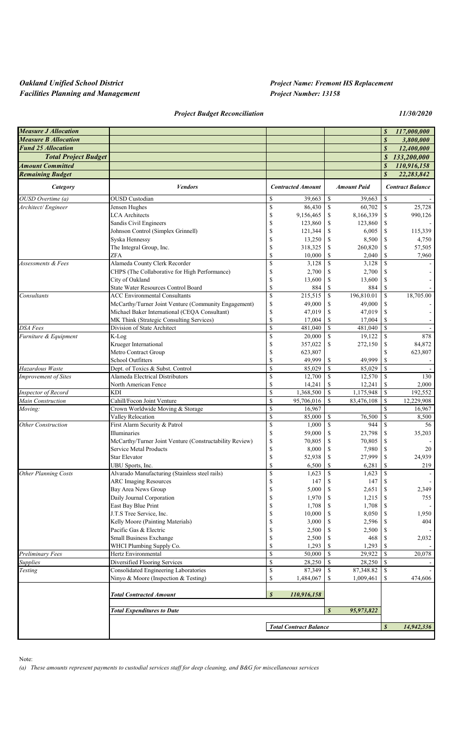### *Oakland Unified School District Project Name: Fremont HS Replacement*

*Project Budget Reconciliation 11/30/2020*

| <b>Measure J Allocation</b> |                                                                               |                                 |                                   |                        | \$               | 117,000,000             |
|-----------------------------|-------------------------------------------------------------------------------|---------------------------------|-----------------------------------|------------------------|------------------|-------------------------|
| <b>Measure B Allocation</b> |                                                                               |                                 |                                   |                        | $\boldsymbol{s}$ | 3,800,000               |
| <b>Fund 25 Allocation</b>   |                                                                               |                                 |                                   |                        | $\boldsymbol{s}$ | 12,400,000              |
| <b>Total Project Budget</b> |                                                                               |                                 |                                   |                        | S                | 133,200,000             |
| <b>Amount Committed</b>     |                                                                               |                                 |                                   |                        | $\boldsymbol{s}$ | 110,916,158             |
| <b>Remaining Budget</b>     |                                                                               |                                 |                                   |                        | $\boldsymbol{s}$ | 22,283,842              |
| Category                    | <b>Vendors</b>                                                                | <b>Contracted Amount</b>        |                                   | <b>Amount Paid</b>     |                  | <b>Contract Balance</b> |
| OUSD Overtime (a)           | <b>OUSD</b> Custodian                                                         | \$<br>39.663                    | \$                                | 39,663                 | \$               |                         |
| Architect/Engineer          | Jensen Hughes                                                                 | \$<br>86,430                    | \$                                | 60,702                 | \$               | 25,728                  |
|                             | <b>LCA</b> Architects                                                         | \$<br>9,156,465                 | \$                                | 8,166,339              | \$               | 990,126                 |
|                             | Sandis Civil Engineers                                                        | \$<br>123,860                   | \$                                | 123,860                | \$               |                         |
|                             | Johnson Control (Simplex Grinnell)                                            | S<br>121,344                    | \$                                | 6,005                  | \$               | 115,339                 |
|                             | Syska Hennessy                                                                | \$<br>13,250                    | \$                                | 8,500                  | \$               | 4,750                   |
|                             | The Integral Group, Inc.                                                      | \$<br>318,325                   | \$                                | 260,820                | \$               | 57,505                  |
|                             | ZFA                                                                           | \$<br>10,000                    | \$                                | 2,040                  | \$               | 7,960                   |
| Assessments & Fees          | Alameda County Clerk Recorder                                                 | S<br>3,128                      | \$                                | 3,128                  | $\mathbf S$      |                         |
|                             | CHPS (The Collaborative for High Performance)                                 | \$<br>2,700<br>S                | \$                                | 2,700                  | \$               |                         |
|                             | City of Oakland<br><b>State Water Resources Control Board</b>                 | 13,600<br>\$<br>884             | \$<br>\$                          | 13,600<br>884          | \$<br>\$         |                         |
| Consultants                 | <b>ACC Environmental Consultants</b>                                          | \$<br>215,515                   | $\mathbb S$                       | 196,810.01             | \$               | 18,705.00               |
|                             | McCarthy/Turner Joint Venture (Community Engagement)                          | \$<br>49,000                    | \$                                | 49,000                 | \$               |                         |
|                             | Michael Baker International (CEQA Consultant)                                 | \$<br>47,019                    | \$                                | 47,019                 | \$               |                         |
|                             | MK Think (Strategic Consulting Services)                                      | S<br>17,004                     | \$                                | 17,004                 | \$               |                         |
| <b>DSA</b> Fees             | Division of State Architect                                                   | \$<br>481,040                   | \$                                | 481,040                | $\mathbf S$      |                         |
| Furniture & Equipment       | K-Log                                                                         | \$<br>20,000                    | \$                                | 19,122                 | $\mathbf S$      | 878                     |
|                             | Krueger International                                                         | \$<br>357,022                   | \$                                | 272,150                | \$               | 84,872                  |
|                             | Metro Contract Group                                                          | \$<br>623,807                   |                                   |                        | \$               | 623,807                 |
|                             | School Outfitters                                                             | \$<br>49,999                    | \$                                | 49,999                 | \$               |                         |
| Hazardous Waste             | Dept. of Toxics & Subst. Control                                              | \$<br>85,029                    | $\mathbf S$                       | 85,029                 | $\mathbf S$      | $\sim$                  |
| <b>Improvement of Sites</b> | Alameda Electrical Distributors                                               | \$<br>12,700                    | \$                                | 12,570                 | <sup>\$</sup>    | 130                     |
|                             | North American Fence                                                          | \$<br>14,241                    | \$                                | 12,241                 | \$               | 2,000                   |
| Inspector of Record         | <b>KDI</b>                                                                    | \$<br>1,368,500                 | \$                                | 1,175,948              | \$               | 192,552                 |
| Main Construction           | Cahill/Focon Joint Venture                                                    | \$<br>95,706,016                | $\mathbf S$                       | 83,476,108             | $\mathbf S$      | 12,229,908              |
| Moving:                     | Crown Worldwide Moving & Storage                                              | \$<br>16,967                    |                                   |                        | $\mathbf S$      | 16,967                  |
|                             | Valley Relocation                                                             | \$<br>85,000                    | \$                                | 76,500                 | \$               | 8,500                   |
| <b>Other Construction</b>   | First Alarm Security & Patrol<br><b>Illuminaries</b>                          | \$<br>1,000                     | \$                                | 944                    | \$               | 56                      |
|                             | McCarthy/Turner Joint Venture (Constructability Review)                       | \$<br>59,000<br>\$<br>70,805    | \$<br>\$                          | 23,798<br>70,805       | \$<br>\$         | 35,203                  |
|                             | Service Metal Products                                                        | \$<br>8,000                     | \$                                | 7,980                  | \$               | 20                      |
|                             | <b>Star Elevator</b>                                                          | \$<br>52,938                    | $\mathbb{S}% _{t}\left( t\right)$ | 27,999                 | \$               | 24,939                  |
|                             | UBU Sports, Inc.                                                              | \$<br>6,500                     | \$                                | 6,281                  | \$               | 219                     |
| <b>Other Planning Costs</b> | Alvarado Manufacturing (Stainless steel rails)                                | \$<br>1,623                     | \$                                | 1,623                  | \$               |                         |
|                             | <b>ARC Imaging Resources</b>                                                  | \$<br>147                       | \$                                | 147                    | \$               |                         |
|                             | Bay Area News Group                                                           | \$<br>5,000                     | \$                                | 2,651                  | \$               | 2,349                   |
|                             | Daily Journal Corporation                                                     | \$<br>1,970                     | \$                                | 1,215                  | \$               | 755                     |
|                             | East Bay Blue Print                                                           | \$<br>1,708                     | \$                                | 1,708                  | \$               |                         |
|                             | J.T.S Tree Service, Inc.                                                      | \$<br>10,000                    | \$                                | 8,050                  | \$               | 1,950                   |
|                             | Kelly Moore (Painting Materials)                                              | \$<br>3,000                     | \$                                | 2,596                  | \$               | 404                     |
|                             | Pacific Gas & Electric                                                        | \$<br>2,500                     | \$                                | 2,500                  | \$               |                         |
|                             | Small Business Exchange                                                       | \$<br>2,500                     | \$                                | 468                    | \$               | 2,032                   |
|                             | WHCI Plumbing Supply Co.                                                      | \$<br>1,293                     | \$                                | 1,293                  | \$               |                         |
| Preliminary Fees            | Hertz Environmental                                                           | \$<br>50,000                    | <sup>\$</sup>                     | 29,922                 | \$               | 20,078                  |
| <b>Supplies</b>             | Diversified Flooring Services                                                 | \$<br>28,250                    | \$                                | 28,250                 | \$               |                         |
| Testing                     | Consolidated Engineering Laboratories<br>Ninyo & Moore (Inspection & Testing) | \$<br>87,349<br>\$<br>1,484,067 | \$<br>\$                          | 87,348.82<br>1,009,461 | \$<br>\$         | 474,606                 |
|                             | <b>Total Contracted Amount</b>                                                | $\boldsymbol{s}$<br>110,916,158 |                                   |                        |                  |                         |
|                             | <b>Total Expenditures to Date</b>                                             |                                 | $\boldsymbol{s}$                  | 95,973,822             |                  |                         |
|                             |                                                                               | <b>Total Contract Balance</b>   |                                   |                        | $\boldsymbol{s}$ | 14,942,336              |
|                             |                                                                               |                                 |                                   |                        |                  |                         |

Note:

*(a) These amounts represent payments to custodial services staff for deep cleaning, and B&G for miscellaneous services*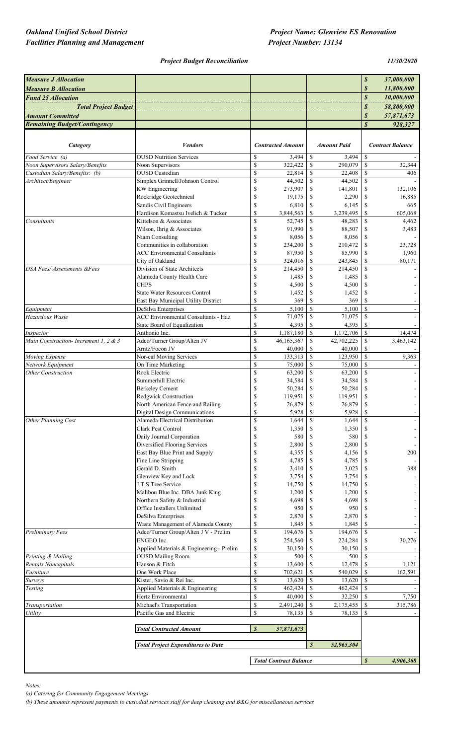### *Oakland Unified School District* Project Name: Glenview ES Renovation

#### *Project Budget Reconciliation 11/30/2020*

| <b>Measure J Allocation</b>           |                                                                             |                                |                               |                                |                     | $\boldsymbol{s}$               | 37,000,000              |
|---------------------------------------|-----------------------------------------------------------------------------|--------------------------------|-------------------------------|--------------------------------|---------------------|--------------------------------|-------------------------|
| <b>Measure B Allocation</b>           |                                                                             |                                |                               |                                |                     | \$                             | 11,800,000              |
| <b>Fund 25 Allocation</b>             |                                                                             |                                |                               |                                |                     | $\boldsymbol{s}$               | 10,000,000              |
| <b>Total Project Budget</b>           |                                                                             |                                |                               |                                |                     | $\boldsymbol{s}$               | 58,800,000              |
| <b>Amount Committed</b>               |                                                                             |                                |                               |                                |                     | \$                             | 57,871,673              |
| <b>Remaining Budget/Contingency</b>   |                                                                             |                                |                               |                                |                     | $\overline{s}$                 | 928,327                 |
|                                       |                                                                             |                                |                               |                                |                     |                                |                         |
| Category                              | <b>Vendors</b>                                                              |                                | <b>Contracted Amount</b>      |                                | <b>Amount Paid</b>  |                                | <b>Contract Balance</b> |
| Food Service (a)                      | <b>OUSD Nutrition Services</b>                                              | \$                             | 3,494                         | \$                             | 3,494               | <sup>\$</sup>                  |                         |
| Noon Supervisors Salary/Benefits      | Noon Supervisors                                                            | $\overline{\mathcal{S}}$       | 322,422                       | <sup>S</sup>                   | 290,079             | $\mathcal{S}$                  | 32,344                  |
| Custodian Salary/Benefits: (b)        | <b>OUSD</b> Custodian                                                       | \$                             | 22,814                        | \$                             | 22,408              | <sup>\$</sup>                  | 406                     |
| Architect/Engineer                    | Simplex Grinnell/Johnson Control                                            | \$                             | 44,502                        | \$                             | 44,502              | <sup>\$</sup>                  |                         |
|                                       | <b>KW</b> Engineering<br>Rockridge Geotechnical                             | \$<br>\$                       | 273,907<br>19,175             | \$<br>\$                       | 141,801<br>2,290    | <sup>\$</sup><br><sup>\$</sup> | 132,106<br>16,885       |
|                                       | Sandis Civil Engineers                                                      | $\mathbb{S}$                   | 6,810                         | \$                             | 6,145               | <sup>\$</sup>                  | 665                     |
|                                       | Hardison Komastsu Ivelich & Tucker                                          | \$                             | 3,844,563                     | \$                             | 3,239,495           | S                              | 605,068                 |
| Consultants                           | Kittelson & Associates                                                      | $\mathsf{\$}$                  | 52,745                        | \$                             | 48,283              | <sup>\$</sup>                  | 4,462                   |
|                                       | Wilson, Ihrig & Associates                                                  | \$                             | 91,990                        | \$                             | 88,507              | <sup>\$</sup>                  | 3,483                   |
|                                       | Niam Consulting<br>Communities in collaboration                             | \$                             | 8,056                         | \$                             | 8,056               | -S                             |                         |
|                                       | <b>ACC Environmental Consultants</b>                                        | \$<br>\$                       | 234,200<br>87,950             | \$<br>\$                       | 210,472<br>85,990   | <sup>\$</sup><br><sup>\$</sup> | 23,728<br>1,960         |
|                                       | City of Oakland                                                             | \$                             | 324,016                       | \$                             | 243,845             | -S                             | 80.171                  |
| DSA Fees/Assessments &Fees            | Division of State Architects                                                | $\boldsymbol{\mathsf{S}}$      | 214,450                       | \$                             | 214,450             | <sup>\$</sup>                  |                         |
|                                       | Alameda County Health Care                                                  | \$                             | 1,485                         | S                              | 1,485               | -S                             |                         |
|                                       | <b>CHPS</b>                                                                 | \$                             | 4,500                         | \$                             | 4,500               | -S                             |                         |
|                                       | <b>State Water Resources Control</b><br>East Bay Municipal Utility District | \$<br>\$                       | 1,452<br>369                  | \$<br><sup>\$</sup>            | 1,452<br>369        | <sup>\$</sup><br>S             |                         |
| Equipment                             | DeSilva Enterprises                                                         | $\mathsf{\$}$                  | 5,100                         | <sup>\$</sup>                  | 5,100               | <sup>\$</sup>                  |                         |
| Hazardous Waste                       | <b>ACC Environmental Consultants - Haz</b>                                  | \$                             | 71,075                        | <sup>\$</sup>                  | 71,075              | <sup>\$</sup>                  |                         |
|                                       | State Board of Equalization                                                 | \$                             | 4,395                         | <sup>\$</sup>                  | 4,395               | S                              |                         |
| Inspector                             | Anthonio Inc.                                                               | $\mathsf{\$}$                  | 1,187,180                     | <sup>\$</sup>                  | 1,172,706           | <sup>\$</sup>                  | 14,474                  |
| Main Construction- Increment 1, 2 & 3 | Adco/Turner Group/Alten JV                                                  | \$                             | 46,165,367                    | \$                             | 42,702,225          | <sup>\$</sup>                  | 3,463,142               |
| Moving Expense                        | Arntz/Focon JV<br>Nor-cal Moving Services                                   | \$<br>\$                       | 40,000<br>133,313             | \$<br><sup>\$</sup>            | 40,000<br>123,950   | S<br><sup>\$</sup>             | 9,363                   |
| Network Equipment                     | On Time Marketing                                                           | $\mathsf{\$}$                  | 75,000                        | <sup>\$</sup>                  | 75,000              | <sup>\$</sup>                  |                         |
| <b>Other Construction</b>             | Rook Electric                                                               | \$                             | 63,200                        | \$                             | 63,200              | <sup>\$</sup>                  |                         |
|                                       | Summerhill Electric                                                         | \$                             | 34,584                        | \$                             | 34,584              | -S                             |                         |
|                                       | <b>Berkeley Cement</b>                                                      | \$                             | 50,284                        | \$                             | 50,284              | S                              |                         |
|                                       | Redgwick Construction<br>North American Fence and Railing                   | $\mathcal{S}$<br>\$            | 119,951<br>26,879             | \$<br>\$                       | 119,951<br>26,879   | <sup>\$</sup><br>\$            |                         |
|                                       | <b>Digital Design Communications</b>                                        | \$                             | 5,928                         | <sup>\$</sup>                  | 5,928               | -S                             |                         |
| Other Planning Cost                   | Alameda Electrical Distribution                                             | \$                             | 1,644                         | \$                             | 1,644               | <sup>\$</sup>                  |                         |
|                                       | <b>Clark Pest Control</b>                                                   | $\mathbb{S}$                   | 1,350                         | \$                             | 1,350               | -S                             |                         |
|                                       | Daily Journal Corporation                                                   | $\mathbb S$                    | 580                           | \$                             | 580                 |                                |                         |
|                                       | Diversified Flooring Services                                               | \$                             | 2,800                         | \$                             | 2,800               | -S                             |                         |
|                                       | East Bay Blue Print and Supply<br>Fine Line Stripping                       | \$<br>\$                       | 4,355<br>4,785                | \$<br>\$                       | 4,156<br>4,785      |                                | 200                     |
|                                       | Gerald D. Smith                                                             | \$                             | 3,410                         | \$                             | 3,023               | -S                             | 388                     |
|                                       | Glenview Key and Lock                                                       | \$                             | 3,754                         | \$                             | 3,754               |                                |                         |
|                                       | J.T.S.Tree Service                                                          | \$                             | 14,750                        | S                              | 14,750              | -S                             |                         |
|                                       | Malibou Blue Inc. DBA Junk King                                             | \$                             | 1,200                         | \$                             | 1,200               | -S                             |                         |
|                                       | Northern Safety & Industrial<br>Office Installers Unlimited                 | \$<br>$\mathbb S$              | 4,698<br>950                  | S<br>\$                        | 4,698<br>950        |                                |                         |
|                                       | DeSilva Enterprises                                                         | \$                             | 2,870                         | <sup>\$</sup>                  | 2,870               |                                |                         |
|                                       | Waste Management of Alameda County                                          | \$                             | 1,845                         | \$                             | 1,845               | -S                             |                         |
| Preliminary Fees                      | Adco/Turner Group/Alten J V - Prelim                                        | $\mathbb S$                    | 194,676                       | \$                             | 194,676             | -S                             |                         |
|                                       | ENGEO Inc.                                                                  | \$                             | 254,560                       | \$                             | 224,284             | -S                             | 30,276                  |
| Printing & Mailing                    | Applied Materials & Engineering - Prelim<br><b>OUSD Mailing Room</b>        | \$<br>\$                       | 30,150<br>500                 | \$<br><sup>\$</sup>            | 30,150<br>500       | S<br><sup>\$</sup>             |                         |
| Rentals Noncapitals                   | Hanson & Fitch                                                              | $\mathsf{\$}$                  | 13,600                        | <sup>\$</sup>                  | 12,478              | <sup>\$</sup>                  | 1,121                   |
| Furniture                             | One Work Place                                                              | \$                             | 702,621                       | \$                             | 540,029             | <sup>\$</sup>                  | 162,591                 |
| <b>Surveys</b>                        | Kister, Savio & Rei Inc.                                                    | \$                             | 13,620                        | -S                             | 13,620              | -S                             |                         |
| Testing                               | Applied Materials & Engineering                                             | $\overline{\mathcal{S}}$       | 462,424                       | \$                             | 462,424             | <sup>\$</sup>                  |                         |
|                                       | Hertz Environmental                                                         | \$                             | 40,000                        | <sup>\$</sup>                  | 32,250              | <sup>\$</sup>                  | 7,750                   |
| Transportation<br>Utility             | Michael's Transportation<br>Pacific Gas and Electric                        | $\mathsf{\$}$<br>$\mathsf{\$}$ | 2,491,240<br>78,135           | <sup>\$</sup><br><sup>\$</sup> | 2,175,455<br>78,135 | \$                             | 315,786                 |
|                                       |                                                                             |                                |                               |                                |                     |                                |                         |
|                                       | <b>Total Contracted Amount</b>                                              | $\boldsymbol{s}$               | 57,871,673                    |                                |                     |                                |                         |
|                                       |                                                                             |                                |                               |                                |                     |                                |                         |
|                                       | $\boldsymbol{s}$<br><b>Total Project Expenditures to Date</b><br>52,965,304 |                                |                               |                                |                     |                                |                         |
|                                       |                                                                             |                                | <b>Total Contract Balance</b> |                                |                     | $\boldsymbol{s}$               | 4,906,368               |
|                                       |                                                                             |                                |                               |                                |                     |                                |                         |

*Notes:*

*(a) Catering for Community Engagement Meetings*

*(b) These amounts represent payments to custodial services staff for deep cleaning and B&G for miscellaneous services*